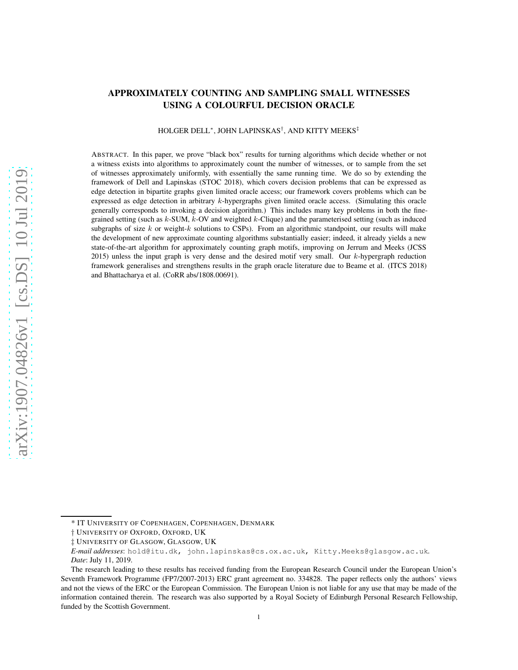# APPROXIMATELY COUNTING AND SAMPLING SMALL WITNESSES USING A COLOURFUL DECISION ORACLE

#### HOLGER DELL<sup>∗</sup> , JOHN LAPINSKAS† , AND KITTY MEEKS‡

ABSTRACT. In this paper, we prove "black box" results for turning algorithms which decide whether or not a witness exists into algorithms to approximately count the number of witnesses, or to sample from the set of witnesses approximately uniformly, with essentially the same running time. We do so by extending the framework of Dell and Lapinskas (STOC 2018), which covers decision problems that can be expressed as edge detection in bipartite graphs given limited oracle access; our framework covers problems which can be expressed as edge detection in arbitrary k-hypergraphs given limited oracle access. (Simulating this oracle generally corresponds to invoking a decision algorithm.) This includes many key problems in both the finegrained setting (such as k-SUM, k-OV and weighted k-Clique) and the parameterised setting (such as induced subgraphs of size  $k$  or weight- $k$  solutions to CSPs). From an algorithmic standpoint, our results will make the development of new approximate counting algorithms substantially easier; indeed, it already yields a new state-of-the-art algorithm for approximately counting graph motifs, improving on Jerrum and Meeks (JCSS 2015) unless the input graph is very dense and the desired motif very small. Our  $k$ -hypergraph reduction framework generalises and strengthens results in the graph oracle literature due to Beame et al. (ITCS 2018) and Bhattacharya et al. (CoRR abs/1808.00691).

<sup>\*</sup> IT UNIVERSITY OF COPENHAGEN, COPENHAGEN, DENMARK

<sup>†</sup> UNIVERSITY OF OXFORD, OXFORD, UK

<sup>‡</sup> UNIVERSITY OF GLASGOW, GLASGOW, UK

*E-mail addresses*: hold@itu.dk, john.lapinskas@cs.ox.ac.uk, Kitty.Meeks@glasgow.ac.uk.

*Date*: July 11, 2019.

The research leading to these results has received funding from the European Research Council under the European Union's Seventh Framework Programme (FP7/2007-2013) ERC grant agreement no. 334828. The paper reflects only the authors' views and not the views of the ERC or the European Commission. The European Union is not liable for any use that may be made of the information contained therein. The research was also supported by a Royal Society of Edinburgh Personal Research Fellowship, funded by the Scottish Government.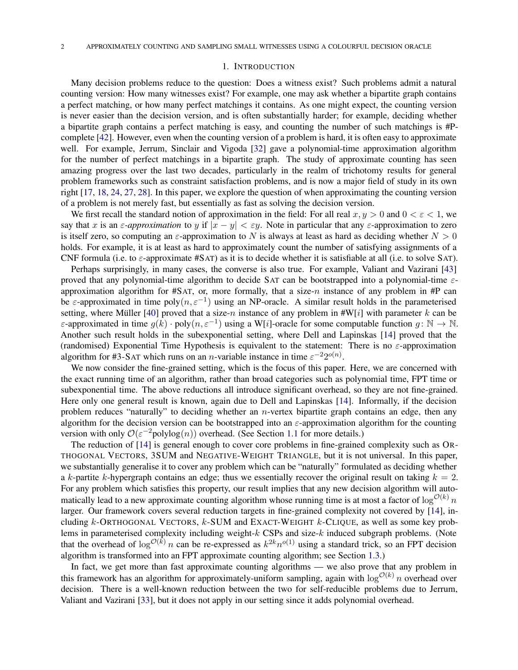#### 1. INTRODUCTION

Many decision problems reduce to the question: Does a witness exist? Such problems admit a natural counting version: How many witnesses exist? For example, one may ask whether a bipartite graph contains a perfect matching, or how many perfect matchings it contains. As one might expect, the counting version is never easier than the decision version, and is often substantially harder; for example, deciding whether a bipartite graph contains a perfect matching is easy, and counting the number of such matchings is #Pcomplete [\[42\]](#page-35-0). However, even when the counting version of a problem is hard, it is often easy to approximate well. For example, Jerrum, Sinclair and Vigoda [\[32\]](#page-34-0) gave a polynomial-time approximation algorithm for the number of perfect matchings in a bipartite graph. The study of approximate counting has seen amazing progress over the last two decades, particularly in the realm of trichotomy results for general problem frameworks such as constraint satisfaction problems, and is now a major field of study in its own right [\[17,](#page-34-1) [18,](#page-34-2) [24,](#page-34-3) [27,](#page-34-4) [28\]](#page-34-5). In this paper, we explore the question of when approximating the counting version of a problem is not merely fast, but essentially as fast as solving the decision version.

We first recall the standard notion of approximation in the field: For all real  $x, y > 0$  and  $0 < \varepsilon < 1$ , we say that x is an  $\varepsilon$ -approximation to y if  $|x - y| < \varepsilon y$ . Note in particular that any  $\varepsilon$ -approximation to zero is itself zero, so computing an  $\varepsilon$ -approximation to N is always at least as hard as deciding whether  $N > 0$ holds. For example, it is at least as hard to approximately count the number of satisfying assignments of a CNF formula (i.e. to  $\varepsilon$ -approximate #SAT) as it is to decide whether it is satisfiable at all (i.e. to solve SAT).

Perhaps surprisingly, in many cases, the converse is also true. For example, Valiant and Vazirani [\[43\]](#page-35-1) proved that any polynomial-time algorithm to decide SAT can be bootstrapped into a polynomial-time  $\varepsilon$ approximation algorithm for  $#SAT$ , or, more formally, that a size-n instance of any problem in  $#P$  can be  $\varepsilon$ -approximated in time poly $(n, \varepsilon^{-1})$  using an NP-oracle. A similar result holds in the parameterised setting, where Müller [\[40\]](#page-35-2) proved that a size-n instance of any problem in  $\sharp W[i]$  with parameter k can be ε-approximated in time  $g(k) \cdot \text{poly}(n, \varepsilon^{-1})$  using a W[i]-oracle for some computable function  $g \colon \mathbb{N} \to \mathbb{N}$ . Another such result holds in the subexponential setting, where Dell and Lapinskas [\[14\]](#page-34-6) proved that the (randomised) Exponential Time Hypothesis is equivalent to the statement: There is no  $\varepsilon$ -approximation algorithm for #3-SAT which runs on an *n*-variable instance in time  $\varepsilon^{-2}2^{o(n)}$ .

We now consider the fine-grained setting, which is the focus of this paper. Here, we are concerned with the exact running time of an algorithm, rather than broad categories such as polynomial time, FPT time or subexponential time. The above reductions all introduce significant overhead, so they are not fine-grained. Here only one general result is known, again due to Dell and Lapinskas [\[14\]](#page-34-6). Informally, if the decision problem reduces "naturally" to deciding whether an *n*-vertex bipartite graph contains an edge, then any algorithm for the decision version can be bootstrapped into an  $\varepsilon$ -approximation algorithm for the counting version with only  $\mathcal{O}(\varepsilon^{-2} \text{polylog}(n))$  overhead. (See Section [1.1](#page-2-0) for more details.)

The reduction of [\[14\]](#page-34-6) is general enough to cover core problems in fine-grained complexity such as OR-THOGONAL VECTORS, 3SUM and NEGATIVE-WEIGHT TRIANGLE, but it is not universal. In this paper, we substantially generalise it to cover any problem which can be "naturally" formulated as deciding whether a k-partite k-hypergraph contains an edge; thus we essentially recover the original result on taking  $k = 2$ . For any problem which satisfies this property, our result implies that any new decision algorithm will automatically lead to a new approximate counting algorithm whose running time is at most a factor of  $\log^{O(k)} n$ larger. Our framework covers several reduction targets in fine-grained complexity not covered by [\[14\]](#page-34-6), including  $k$ -ORTHOGONAL VECTORS,  $k$ -SUM and EXACT-WEIGHT  $k$ -CLIQUE, as well as some key problems in parameterised complexity including weight- $k$  CSPs and size- $k$  induced subgraph problems. (Note that the overhead of  $\log^{O(k)} n$  can be re-expressed as  $k^{2k}n^{o(1)}$  using a standard trick, so an FPT decision algorithm is transformed into an FPT approximate counting algorithm; see Section [1.3.](#page-5-0))

In fact, we get more than fast approximate counting algorithms — we also prove that any problem in this framework has an algorithm for approximately-uniform sampling, again with  $\log^{O(k)} n$  overhead over decision. There is a well-known reduction between the two for self-reducible problems due to Jerrum, Valiant and Vazirani [\[33\]](#page-34-7), but it does not apply in our setting since it adds polynomial overhead.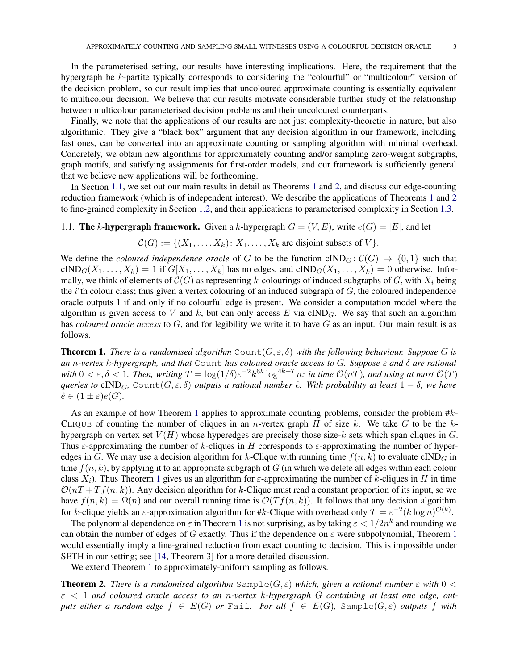In the parameterised setting, our results have interesting implications. Here, the requirement that the hypergraph be k-partite typically corresponds to considering the "colourful" or "multicolour" version of the decision problem, so our result implies that uncoloured approximate counting is essentially equivalent to multicolour decision. We believe that our results motivate considerable further study of the relationship between multicolour parameterised decision problems and their uncoloured counterparts.

Finally, we note that the applications of our results are not just complexity-theoretic in nature, but also algorithmic. They give a "black box" argument that any decision algorithm in our framework, including fast ones, can be converted into an approximate counting or sampling algorithm with minimal overhead. Concretely, we obtain new algorithms for approximately counting and/or sampling zero-weight subgraphs, graph motifs, and satisfying assignments for first-order models, and our framework is sufficiently general that we believe new applications will be forthcoming.

In Section [1.1,](#page-2-0) we set out our main results in detail as Theorems [1](#page-2-1) and [2,](#page-2-2) and discuss our edge-counting reduction framework (which is of independent interest). We describe the applications of Theorems [1](#page-2-1) and [2](#page-2-2) to fine-grained complexity in Section [1.2,](#page-3-0) and their applications to parameterised complexity in Section [1.3.](#page-5-0)

# <span id="page-2-0"></span>1.1. The k-hypergraph framework. Given a k-hypergraph  $G = (V, E)$ , write  $e(G) = |E|$ , and let

$$
C(G) := \{ (X_1, \ldots, X_k) \colon X_1, \ldots, X_k \text{ are disjoint subsets of } V \}.
$$

We define the *coloured independence oracle* of G to be the function  $cIND_G: \mathcal{C}(G) \to \{0,1\}$  such that  $\text{cIND}_G(X_1,\ldots,X_k) = 1$  if  $G[X_1,\ldots,X_k]$  has no edges, and  $\text{cIND}_G(X_1,\ldots,X_k) = 0$  otherwise. Informally, we think of elements of  $\mathcal{C}(G)$  as representing k-colourings of induced subgraphs of G, with  $X_i$  being the  $i$ 'th colour class; thus given a vertex colouring of an induced subgraph of  $G$ , the coloured independence oracle outputs 1 if and only if no colourful edge is present. We consider a computation model where the algorithm is given access to V and k, but can only access E via  $\text{cIND}_G$ . We say that such an algorithm has *coloured oracle access* to G, and for legibility we write it to have G as an input. Our main result is as follows.

<span id="page-2-1"></span>**Theorem 1.** *There is a randomised algorithm* Count $(G, \varepsilon, \delta)$  with the following behaviour. Suppose G is *an* n*-vertex* k*-hypergraph, and that* Count *has coloured oracle access to* G*. Suppose* ε *and* δ *are rational*  $with\ 0 < \varepsilon, \delta < 1$ . Then, writing  $T = \log(1/\delta) \varepsilon^{-2} k^{6k} \log^{4k+7} n$ : in time  $\mathcal{O}(nT)$ , and using at most  $\mathcal{O}(T)$ *queries to* cIND<sub>G</sub>, Count $(G, \varepsilon, \delta)$  *outputs a rational number*  $\hat{e}$ *. With probability at least*  $1 - \delta$ *, we have*  $\hat{e} \in (1 \pm \varepsilon)e(G)$ .

As an example of how Theorem [1](#page-2-1) applies to approximate counting problems, consider the problem #k-CLIQUE of counting the number of cliques in an *n*-vertex graph H of size k. We take G to be the khypergraph on vertex set  $V(H)$  whose hyperedges are precisely those size-k sets which span cliques in G. Thus  $\varepsilon$ -approximating the number of k-cliques in H corresponds to  $\varepsilon$ -approximating the number of hyperedges in G. We may use a decision algorithm for k-Clique with running time  $f(n, k)$  to evaluate cIND<sub>G</sub> in time  $f(n, k)$ , by applying it to an appropriate subgraph of G (in which we delete all edges within each colour class  $X_i$ ). Thus Theorem [1](#page-2-1) gives us an algorithm for  $\varepsilon$ -approximating the number of k-cliques in H in time  $\mathcal{O}(nT + Tf(n, k))$ . Any decision algorithm for k-Clique must read a constant proportion of its input, so we have  $f(n, k) = \Omega(n)$  and our overall running time is  $\mathcal{O}(Tf(n, k))$ . It follows that any decision algorithm for k-clique yields an  $\varepsilon$ -approximation algorithm for #k-Clique with overhead only  $T = \varepsilon^{-2} (k \log n)^{\mathcal{O}(k)}$ .

The polynomial dependence on  $\varepsilon$  in Theorem [1](#page-2-1) is not surprising, as by taking  $\varepsilon < 1/2n^k$  and rounding we can obtain the number of edges of G exactly. Thus if the dependence on  $\varepsilon$  were subpolynomial, Theorem [1](#page-2-1) would essentially imply a fine-grained reduction from exact counting to decision. This is impossible under SETH in our setting; see [\[14,](#page-34-6) Theorem 3] for a more detailed discussion.

We extend Theorem [1](#page-2-1) to approximately-uniform sampling as follows.

<span id="page-2-2"></span>**Theorem 2.** There is a randomised algorithm  $\text{Sample}(G, \varepsilon)$  which, given a rational number  $\varepsilon$  with  $0 <$ ε < 1 *and coloured oracle access to an* n*-vertex* k*-hypergraph* G *containing at least one edge, outputs either a random edge*  $f \in E(G)$  *or* Fail*. For all*  $f \in E(G)$ *,* Sample $(G, \varepsilon)$  *outputs* f *with*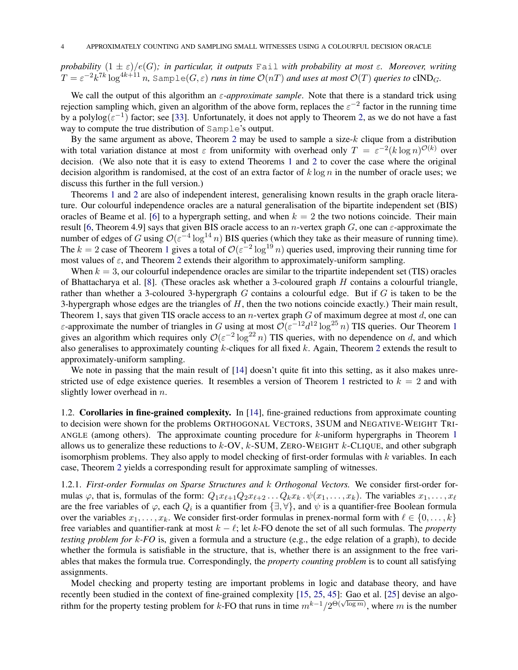*probability*  $(1 \pm \varepsilon)/e(G)$ *; in particular, it outputs* Fail *with probability at most*  $\varepsilon$ *. Moreover, writing*  $T=\varepsilon^{-2}k^{7k}\log^{4k+11}n$ , Sample $(G,\varepsilon)$  *runs in time*  $\mathcal{O}(nT)$  *and uses at most*  $\mathcal{O}(T)$  *queries to* cIND<sub>G</sub>.

We call the output of this algorithm an ε*-approximate sample*. Note that there is a standard trick using rejection sampling which, given an algorithm of the above form, replaces the  $\varepsilon^{-2}$  factor in the running time by a polylog $(\varepsilon^{-1})$  factor; see [\[33\]](#page-34-7). Unfortunately, it does not apply to Theorem [2,](#page-2-2) as we do not have a fast way to compute the true distribution of Sample's output.

By the same argument as above, Theorem [2](#page-2-2) may be used to sample a size- $k$  clique from a distribution with total variation distance at most  $\varepsilon$  from uniformity with overhead only  $T = \varepsilon^{-2} (k \log n)^{\mathcal{O}(k)}$  over decision. (We also note that it is easy to extend Theorems [1](#page-2-1) and [2](#page-2-2) to cover the case where the original decision algorithm is randomised, at the cost of an extra factor of  $k \log n$  in the number of oracle uses; we discuss this further in the full version.)

Theorems [1](#page-2-1) and [2](#page-2-2) are also of independent interest, generalising known results in the graph oracle literature. Our colourful independence oracles are a natural generalisation of the bipartite independent set (BIS) oracles of Beame et al. [\[6\]](#page-33-0) to a hypergraph setting, and when  $k = 2$  the two notions coincide. Their main result [\[6,](#page-33-0) Theorem 4.9] says that given BIS oracle access to an *n*-vertex graph G, one can  $\varepsilon$ -approximate the number of edges of G using  $\mathcal{O}(\varepsilon^{-4} \log^{14} n)$  BIS queries (which they take as their measure of running time). The  $k = 2$  case of Theorem [1](#page-2-1) gives a total of  $\mathcal{O}(\varepsilon^{-2} \log^{19} n)$  queries used, improving their running time for most values of  $\varepsilon$ , and Theorem [2](#page-2-2) extends their algorithm to approximately-uniform sampling.

When  $k = 3$ , our colourful independence oracles are similar to the tripartite independent set (TIS) oracles of Bhattacharya et al. [\[8\]](#page-33-1). (These oracles ask whether a 3-coloured graph  $H$  contains a colourful triangle, rather than whether a 3-coloured 3-hypergraph G contains a colourful edge. But if G is taken to be the 3-hypergraph whose edges are the triangles of  $H$ , then the two notions coincide exactly.) Their main result, Theorem 1, says that given TIS oracle access to an *n*-vertex graph  $G$  of maximum degree at most  $d$ , one can  $\varepsilon$ -approximate the number of triangles in G using at most  $\mathcal{O}(\varepsilon^{-12}d^{12} \log^{25} n)$  $\mathcal{O}(\varepsilon^{-12}d^{12} \log^{25} n)$  $\mathcal{O}(\varepsilon^{-12}d^{12} \log^{25} n)$  TIS queries. Our Theorem 1 gives an algorithm which requires only  $\mathcal{O}(\varepsilon^{-2} \log^{22} n)$  TIS queries, with no dependence on d, and which also generalises to approximately counting k-cliques for all fixed k. Again, Theorem [2](#page-2-2) extends the result to approximately-uniform sampling.

We note in passing that the main result of [\[14\]](#page-34-6) doesn't quite fit into this setting, as it also makes unre-stricted use of edge existence queries. It resembles a version of Theorem [1](#page-2-1) restricted to  $k = 2$  and with slightly lower overhead in  $n$ .

<span id="page-3-0"></span>1.2. Corollaries in fine-grained complexity. In [\[14\]](#page-34-6), fine-grained reductions from approximate counting to decision were shown for the problems ORTHOGONAL VECTORS, 3SUM and NEGATIVE-WEIGHT TRI-ANGLE (among others). The approximate counting procedure for  $k$ -uniform hypergraphs in Theorem [1](#page-2-1) allows us to generalize these reductions to  $k$ -OV,  $k$ -SUM, ZERO-WEIGHT  $k$ -CLIQUE, and other subgraph isomorphism problems. They also apply to model checking of first-order formulas with  $k$  variables. In each case, Theorem [2](#page-2-2) yields a corresponding result for approximate sampling of witnesses.

1.2.1. *First-order Formulas on Sparse Structures and* k *Orthogonal Vectors.* We consider first-order formulas  $\varphi$ , that is, formulas of the form:  $Q_1x_{\ell+1}Q_2x_{\ell+2}\dots Q_kx_k$ .  $\psi(x_1,\dots,x_k)$ . The variables  $x_1,\dots,x_\ell$ are the free variables of  $\varphi$ , each  $Q_i$  is a quantifier from  $\{\exists, \forall\}$ , and  $\psi$  is a quantifier-free Boolean formula over the variables  $x_1, \ldots, x_k$ . We consider first-order formulas in prenex-normal form with  $\ell \in \{0, \ldots, k\}$ free variables and quantifier-rank at most k − ℓ; let k-FO denote the set of all such formulas. The *property testing problem for*  $k$ *-FO* is, given a formula and a structure (e.g., the edge relation of a graph), to decide whether the formula is satisfiable in the structure, that is, whether there is an assignment to the free variables that makes the formula true. Correspondingly, the *property counting problem* is to count all satisfying assignments.

Model checking and property testing are important problems in logic and database theory, and have recently been studied in the context of fine-grained complexity [15, [25,](#page-34-8) [45\]](#page-35-3): Gao et al. [\[25\]](#page-34-8) devise an algorithm for the property testing problem for k-FO that runs in time  $m^{k-1}/2^{\Theta(\sqrt{\log m})}$ , where m is the number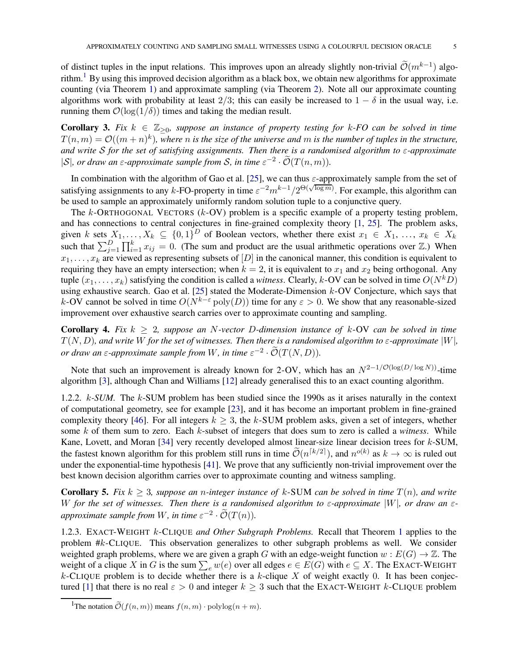of distinct tuples in the input relations. This improves upon an already slightly non-trivial  $\tilde{\mathcal{O}}(m^{k-1})$  algo-rithm.<sup>[1](#page-4-0)</sup> By using this improved decision algorithm as a black box, we obtain new algorithms for approximate counting (via Theorem [1\)](#page-2-1) and approximate sampling (via Theorem [2\)](#page-2-2). Note all our approximate counting algorithms work with probability at least 2/3; this can easily be increased to  $1 - \delta$  in the usual way, i.e. running them  $\mathcal{O}(\log(1/\delta))$  times and taking the median result.

<span id="page-4-2"></span>**Corollary 3.** Fix  $k \in \mathbb{Z}_{\geq 0}$ , suppose an instance of property testing for k-FO can be solved in time  $T(n,m) = \mathcal{O}((m+n)^k)$ , where *n* is the size of the universe and *m* is the number of tuples in the structure, *and write* S *for the set of satisfying assignments. Then there is a randomised algorithm to* ε*-approximate*  $|S|$ , or draw an  $\varepsilon$ -approximate sample from  $S$ , in time  $\varepsilon^{-2} \cdot \tilde{\mathcal{O}}(T(n,m))$ .

In combination with the algorithm of Gao et al. [\[25\]](#page-34-8), we can thus  $\varepsilon$ -approximately sample from the set of satisfying assignments to any k-FO-property in time  $\varepsilon^{-2} m^{k-1}/2^{\Theta(\sqrt{\log m})}$ . For example, this algorithm can be used to sample an approximately uniformly random solution tuple to a conjunctive query.

The  $k$ -ORTHOGONAL VECTORS ( $k$ -OV) problem is a specific example of a property testing problem, and has connections to central conjectures in fine-grained complexity theory [1, [25\]](#page-34-8). The problem asks, given k sets  $X_1, \ldots, X_k \subseteq \{0,1\}^D$  of Boolean vectors, whether there exist  $x_1 \in X_1, \ldots, x_k \in X_k$ such that  $\sum_{j=1}^D \prod_{i=1}^k x_{ij} = 0$ . (The sum and product are the usual arithmetic operations over  $\mathbb{Z}$ .) When  $x_1, \ldots, x_k$  are viewed as representing subsets of  $[D]$  in the canonical manner, this condition is equivalent to requiring they have an empty intersection; when  $k = 2$ , it is equivalent to  $x_1$  and  $x_2$  being orthogonal. Any tuple  $(x_1, \ldots, x_k)$  satisfying the condition is called a *witness*. Clearly, k-OV can be solved in time  $O(N^kD)$ using exhaustive search. Gao et al. [\[25\]](#page-34-8) stated the Moderate-Dimension k-OV Conjecture, which says that k-OV cannot be solved in time  $O(N^{k-\epsilon} \text{poly}(D))$  time for any  $\epsilon > 0$ . We show that any reasonable-sized improvement over exhaustive search carries over to approximate counting and sampling.

<span id="page-4-3"></span>**Corollary 4.** Fix  $k \geq 2$ , suppose an N-vector D-dimension instance of  $k$ -OV can be solved in time  $T(N, D)$ , and write W for the set of witnesses. Then there is a randomised algorithm to  $\varepsilon$ -approximate  $|W|$ , *or draw an*  $\varepsilon$ -approximate sample from W, in time  $\varepsilon^{-2} \cdot \mathcal{O}(T(N, D)).$ 

Note that such an improvement is already known for 2-OV, which has an  $N^{2-1/O(\log(D/\log N))}$ -time algorithm [3], although Chan and Williams [12] already generalised this to an exact counting algorithm.

1.2.2. k*-SUM.* The k-SUM problem has been studied since the 1990s as it arises naturally in the context of computational geometry, see for example [23], and it has become an important problem in fine-grained complexity theory [46]. For all integers  $k \geq 3$ , the k-SUM problem asks, given a set of integers, whether some k of them sum to zero. Each k-subset of integers that does sum to zero is called a *witness*. While Kane, Lovett, and Moran [34] very recently developed almost linear-size linear decision trees for k-SUM, the fastest known algorithm for this problem still runs in time  $\tilde{\mathcal{O}}(n^{\lceil k/2 \rceil})$ , and  $n^{o(k)}$  as  $k \to \infty$  is ruled out under the exponential-time hypothesis [41]. We prove that any sufficiently non-trivial improvement over the best known decision algorithm carries over to approximate counting and witness sampling.

<span id="page-4-1"></span>**Corollary 5.** Fix  $k \geq 3$ , suppose an *n*-integer instance of k-SUM can be solved in time  $T(n)$ , and write W for the set of witnesses. Then there is a randomised algorithm to  $\varepsilon$ -approximate  $|W|$ , or draw an  $\varepsilon$ *approximate sample from* W, in time  $\varepsilon^{-2} \cdot \tilde{\mathcal{O}}(T(n))$ .

1.2.3. EXACT-WEIGHT k-CLIQUE *and Other Subgraph Problems.* Recall that Theorem [1](#page-2-1) applies to the problem #k-CLIQUE. This observation generalizes to other subgraph problems as well. We consider weighted graph problems, where we are given a graph G with an edge-weight function  $w : E(G) \to \mathbb{Z}$ . The weight of a clique X in G is the sum  $\sum_{e} w(e)$  over all edges  $e \in E(G)$  with  $e \subseteq X$ . The EXACT-WEIGHT  $k$ -CLIQUE problem is to decide whether there is a  $k$ -clique  $X$  of weight exactly 0. It has been conjectured [1] that there is no real  $\varepsilon > 0$  and integer  $k > 3$  such that the EXACT-WEIGHT k-CLIQUE problem

<span id="page-4-0"></span><sup>&</sup>lt;sup>1</sup>The notation  $\widetilde{\mathcal{O}}(f(n, m))$  means  $f(n, m) \cdot \text{polylog}(n + m)$ .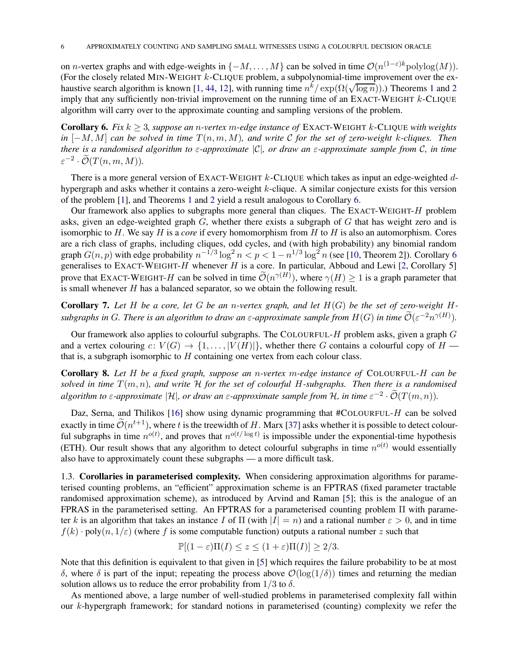on *n*-vertex graphs and with edge-weights in  $\{-M, \ldots, M\}$  can be solved in time  $\mathcal{O}(n^{(1-\varepsilon)k} \text{polylog}(M)).$ (For the closely related MIN-WEIGHT  $k$ -CLIQUE problem, a subpolynomial-time improvement over the ex-haustive search algorithm is known [[1](#page-2-1), 44, 1[2](#page-2-2)], with running time  $n^k / \exp(\Omega(\sqrt{\log n}))$ .) Theorems 1 and 2 imply that any sufficiently non-trivial improvement on the running time of an EXACT-WEIGHT  $k$ -CLIQUE algorithm will carry over to the approximate counting and sampling versions of the problem.

<span id="page-5-1"></span>Corollary 6. *Fix* k ≥ 3*, suppose an* n*-vertex* m*-edge instance of* EXACT-WEIGHT k-CLIQUE *with weights in* [−M, M] *can be solved in time* T(n, m, M)*, and write* C *for the set of zero-weight* k*-cliques. Then there is a randomised algorithm to* ε*-approximate* |C|*, or draw an* ε*-approximate sample from* C*, in time*  $\varepsilon^{-2} \cdot \widetilde{\mathcal{O}}(T(n,m,M)).$ 

There is a more general version of EXACT-WEIGHT  $k$ -CLIQUE which takes as input an edge-weighted  $d$ hypergraph and asks whether it contains a zero-weight  $k$ -clique. A similar conjecture exists for this version of the problem [1], and Theorems [1](#page-2-1) and [2](#page-2-2) yield a result analogous to Corollary [6.](#page-5-1)

Our framework also applies to subgraphs more general than cliques. The EXACT-WEIGHT- $H$  problem asks, given an edge-weighted graph  $G$ , whether there exists a subgraph of  $G$  that has weight zero and is isomorphic to H. We say H is a *core* if every homomorphism from H to H is also an automorphism. Cores are a rich class of graphs, including cliques, odd cycles, and (with high probability) any binomial random graph  $G(n, p)$  with edge probability  $n^{-1/3} \log^2 n < p < 1 - n^{1/3} \log^2 n$  (see [\[10,](#page-34-9) Theorem 2]). Corollary [6](#page-5-1) generalises to EXACT-WEIGHT-H whenever H is a core. In particular, Abboud and Lewi [2, Corollary 5] prove that EXACT-WEIGHT-H can be solved in time  $\mathcal{O}(n^{\gamma(H)})$ , where  $\gamma(H) \ge 1$  is a graph parameter that is small whenever  $H$  has a balanced separator, so we obtain the following result.

<span id="page-5-2"></span>Corollary 7. Let H be a core, let G be an n-vertex graph, and let  $H(G)$  be the set of zero-weight H $s$ ubgraphs in G. There is an algorithm to draw an  $\varepsilon$ -approximate sample from  $H(G)$  in time  $\mathcal{O}(\varepsilon^{-2}n^{\gamma(H)})$ .

Our framework also applies to colourful subgraphs. The COLOURFUL- $H$  problem asks, given a graph  $G$ and a vertex colouring  $c: V(G) \to \{1, \ldots, |V(H)|\}$ , whether there G contains a colourful copy of  $H$  that is, a subgraph isomorphic to  $H$  containing one vertex from each colour class.

<span id="page-5-3"></span>Corollary 8. *Let* H *be a fixed graph, suppose an* n*-vertex* m*-edge instance of* COLOURFUL-H *can be solved in time*  $T(m, n)$ *, and write*  $H$  *for the set of colourful* H-subgraphs. Then there is a randomised  $a$ lgorithm to  $\varepsilon$ -approximate  $|\mathcal{H}|$ , or draw an  $\varepsilon$ -approximate sample from  $\mathcal{H}$ , in time  $\varepsilon^{-2} \cdot \mathcal{O}(T(m,n))$ .

Daz, Serna, and Thilikos [16] show using dynamic programming that  $\#ColoUREUL-H$  can be solved exactly in time  $\tilde{\mathcal{O}}(n^{t+1})$ , where t is the treewidth of H. Marx [37] asks whether it is possible to detect colourful subgraphs in time  $n^{o(t)}$ , and proves that  $n^{o(t/\log t)}$  is impossible under the exponential-time hypothesis (ETH). Our result shows that any algorithm to detect colourful subgraphs in time  $n^{o(t)}$  would essentially also have to approximately count these subgraphs — a more difficult task.

<span id="page-5-0"></span>1.3. Corollaries in parameterised complexity. When considering approximation algorithms for parameterised counting problems, an "efficient" approximation scheme is an FPTRAS (fixed parameter tractable randomised approximation scheme), as introduced by Arvind and Raman [\[5\]](#page-33-2); this is the analogue of an FPRAS in the parameterised setting. An FPTRAS for a parameterised counting problem Π with parameter k is an algorithm that takes an instance I of  $\Pi$  (with  $|I| = n$ ) and a rational number  $\varepsilon > 0$ , and in time  $f(k)$  · poly $(n, 1/\varepsilon)$  (where f is some computable function) outputs a rational number z such that

$$
\mathbb{P}[(1-\varepsilon)\Pi(I) \leq z \leq (1+\varepsilon)\Pi(I)] \geq 2/3.
$$

Note that this definition is equivalent to that given in [\[5\]](#page-33-2) which requires the failure probability to be at most δ, where δ is part of the input; repeating the process above  $\mathcal{O}(\log(1/\delta))$  times and returning the median solution allows us to reduce the error probability from  $1/3$  to  $\delta$ .

As mentioned above, a large number of well-studied problems in parameterised complexity fall within our k-hypergraph framework; for standard notions in parameterised (counting) complexity we refer the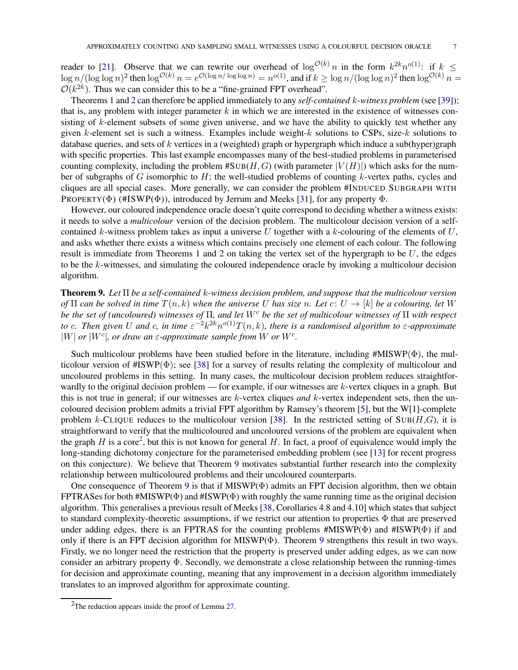reader to [\[21\]](#page-34-10). Observe that we can rewrite our overhead of  $\log^{O(k)} n$  in the form  $k^{2k}n^{o(1)}$ : if  $k \leq$  $\log n/(\log \log n)^2$  then  $\log^{\mathcal{O}(k)} n = e^{\mathcal{O}(\log n/\log \log n)} = n^{o(1)}$ , and if  $k \geq \log n/(\log \log n)^2$  then  $\log^{\mathcal{O}(k)} n =$  $\mathcal{O}(k^{2k})$ . Thus we can consider this to be a "fine-grained FPT overhead".

Theorems [1](#page-2-1) and [2](#page-2-2) can therefore be applied immediately to any *self-contained* k*-witness problem* (see [\[39\]](#page-35-4)); that is, any problem with integer parameter  $k$  in which we are interested in the existence of witnesses consisting of  $k$ -element subsets of some given universe, and we have the ability to quickly test whether any given k-element set is such a witness. Examples include weight- $k$  solutions to CSPs, size- $k$  solutions to database queries, and sets of  $k$  vertices in a (weighted) graph or hypergraph which induce a sub(hyper)graph with specific properties. This last example encompasses many of the best-studied problems in parameterised counting complexity, including the problem  $\sharp \text{SUB}(H, G)$  (with parameter  $|V(H)|$ ) which asks for the number of subgraphs of  $G$  isomorphic to  $H$ ; the well-studied problems of counting  $k$ -vertex paths, cycles and cliques are all special cases. More generally, we can consider the problem #INDUCED SUBGRAPH WITH PROPERTY( $\Phi$ ) (#ISWP( $\Phi$ )), introduced by Jerrum and Meeks [\[31\]](#page-34-11), for any property  $\Phi$ .

However, our coloured independence oracle doesn't quite correspond to deciding whether a witness exists: it needs to solve a *multicolour* version of the decision problem. The multicolour decision version of a selfcontained k-witness problem takes as input a universe U together with a k-colouring of the elements of  $U$ , and asks whether there exists a witness which contains precisely one element of each colour. The following result is immediate from Theorems [1](#page-2-1) and [2](#page-2-2) on taking the vertex set of the hypergraph to be  $U$ , the edges to be the k-witnesses, and simulating the coloured independence oracle by invoking a multicolour decision algorithm.

<span id="page-6-1"></span>Theorem 9. *Let* Π *be a self-contained* k*-witness decision problem, and suppose that the multicolour version of*  $\Pi$  *can be solved in time*  $T(n, k)$  *when the universe* U *has size* n. Let  $c: U \to [k]$  *be a colouring, let* W *be the set of (uncoloured) witnesses of* Π*, and let* W<sup>c</sup> *be the set of multicolour witnesses of* Π *with respect* to c. Then given U and c, in time  $\varepsilon^{-2} k^{2k} n^{o(1)} T(n,k)$ , there is a randomised algorithm to  $\varepsilon$ -approximate  $|W|$  *or*  $|W^c|$ , *or draw an*  $\varepsilon$ -*approximate sample from* W *or*  $W^c$ .

Such multicolour problems have been studied before in the literature, including  $\sharp$ MISWP $(\Phi)$ , the multicolour version of  $\#\text{ISWP}(\Phi)$ ; see [\[38\]](#page-35-5) for a survey of results relating the complexity of multicolour and uncoloured problems in this setting. In many cases, the multicolour decision problem reduces straightforwardly to the original decision problem — for example, if our witnesses are k-vertex cliques in a graph. But this is not true in general; if our witnesses are k-vertex cliques *and* k-vertex independent sets, then the uncoloured decision problem admits a trivial FPT algorithm by Ramsey's theorem [\[5\]](#page-33-2), but the W[1]-complete problem k-CLIQUE reduces to the multicolour version [\[38\]](#page-35-5). In the restricted setting of  $SUB(H,G)$ , it is straightforward to verify that the multicoloured and uncoloured versions of the problem are equivalent when the graph H is a core<sup>[2](#page-6-0)</sup>, but this is not known for general H. In fact, a proof of equivalence would imply the long-standing dichotomy conjecture for the parameterised embedding problem (see [\[13\]](#page-34-12) for recent progress on this conjecture). We believe that Theorem [9](#page-6-1) motivates substantial further research into the complexity relationship between multicoloured problems and their uncoloured counterparts.

One consequence of Theorem [9](#page-6-1) is that if  $MISWP(\Phi)$  admits an FPT decision algorithm, then we obtain FPTRASes for both #MISWP( $\Phi$ ) and #ISWP( $\Phi$ ) with roughly the same running time as the original decision algorithm. This generalises a previous result of Meeks [\[38,](#page-35-5) Corollaries 4.8 and 4.10] which states that subject to standard complexity-theoretic assumptions, if we restrict our attention to properties Φ that are preserved under adding edges, there is an FPTRAS for the counting problems #MISWP(Φ) and #ISWP(Φ) if and only if there is an FPT decision algorithm for MISWP $(\Phi)$ . Theorem [9](#page-6-1) strengthens this result in two ways. Firstly, we no longer need the restriction that the property is preserved under adding edges, as we can now consider an arbitrary property Φ. Secondly, we demonstrate a close relationship between the running-times for decision and approximate counting, meaning that any improvement in a decision algorithm immediately translates to an improved algorithm for approximate counting.

<span id="page-6-0"></span><sup>&</sup>lt;sup>2</sup>The reduction appears inside the proof of Lemma [27.](#page-30-0)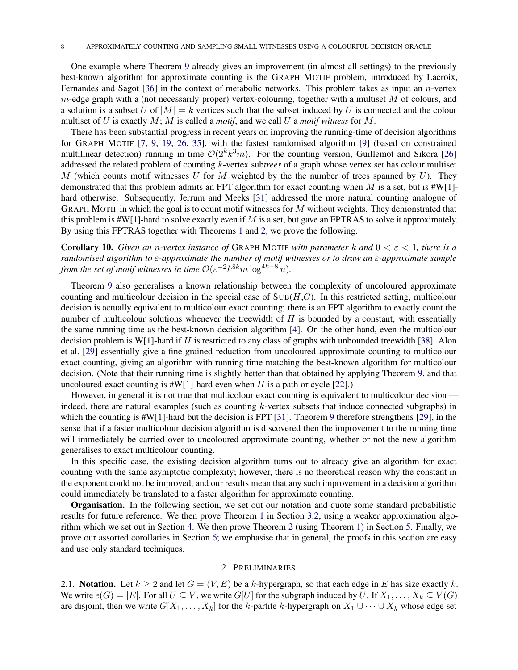One example where Theorem [9](#page-6-1) already gives an improvement (in almost all settings) to the previously best-known algorithm for approximate counting is the GRAPH MOTIF problem, introduced by Lacroix, Fernandes and Sagot [\[36\]](#page-34-13) in the context of metabolic networks. This problem takes as input an  $n$ -vertex m-edge graph with a (not necessarily proper) vertex-colouring, together with a multiset  $M$  of colours, and a solution is a subset U of  $|M| = k$  vertices such that the subset induced by U is connected and the colour multiset of U is exactly M; M is called a *motif*, and we call U a *motif witness* for M.

There has been substantial progress in recent years on improving the running-time of decision algorithms for GRAPH MOTIF [\[7,](#page-33-3) [9,](#page-33-4) [19,](#page-34-14) [26,](#page-34-15) [35\]](#page-34-16), with the fastest randomised algorithm [\[9\]](#page-33-4) (based on constrained multilinear detection) running in time  $O(2^k k^3 m)$ . For the counting version, Guillemot and Sikora [\[26\]](#page-34-15) addressed the related problem of counting k-vertex sub*trees* of a graph whose vertex set has colour multiset M (which counts motif witnesses U for M weighted by the the number of trees spanned by  $U$ ). They demonstrated that this problem admits an FPT algorithm for exact counting when M is a set, but is  $\#W[1]$ -hard otherwise. Subsequently, Jerrum and Meeks [\[31\]](#page-34-11) addressed the more natural counting analogue of GRAPH MOTIF in which the goal is to count motif witnesses for  $M$  without weights. They demonstrated that this problem is  $\sharp W[1]$ -hard to solve exactly even if M is a set, but gave an FPTRAS to solve it approximately. By using this FPTRAS together with Theorems [1](#page-2-1) and [2,](#page-2-2) we prove the following.

<span id="page-7-0"></span>Corollary 10. *Given an* n*-vertex instance of* GRAPH MOTIF *with parameter* k *and* 0 < ε < 1*, there is a randomised algorithm to* ε*-approximate the number of motif witnesses or to draw an* ε*-approximate sample from the set of motif witnesses in time*  $\mathcal{O}(\varepsilon^{-2}k^{8k}m\log^{4k+8}n)$ *.* 

Theorem [9](#page-6-1) also generalises a known relationship between the complexity of uncoloured approximate counting and multicolour decision in the special case of  $SUB(H, G)$ . In this restricted setting, multicolour decision is actually equivalent to multicolour exact counting; there is an FPT algorithm to exactly count the number of multicolour solutions whenever the treewidth of  $H$  is bounded by a constant, with essentially the same running time as the best-known decision algorithm [\[4\]](#page-33-5). On the other hand, even the multicolour decision problem is W[1]-hard if H is restricted to any class of graphs with unbounded treewidth [\[38\]](#page-35-5). Alon et al. [\[29\]](#page-34-17) essentially give a fine-grained reduction from uncoloured approximate counting to multicolour exact counting, giving an algorithm with running time matching the best-known algorithm for multicolour decision. (Note that their running time is slightly better than that obtained by applying Theorem [9,](#page-6-1) and that uncoloured exact counting is  $#W[1]$ -hard even when H is a path or cycle [\[22\]](#page-34-18).)

However, in general it is not true that multicolour exact counting is equivalent to multicolour decision indeed, there are natural examples (such as counting k-vertex subsets that induce connected subgraphs) in which the counting is  $\sharp W[1]$ -hard but the decision is FPT [\[31\]](#page-34-11). Theorem [9](#page-6-1) therefore strengthens [\[29\]](#page-34-17), in the sense that if a faster multicolour decision algorithm is discovered then the improvement to the running time will immediately be carried over to uncoloured approximate counting, whether or not the new algorithm generalises to exact multicolour counting.

In this specific case, the existing decision algorithm turns out to already give an algorithm for exact counting with the same asymptotic complexity; however, there is no theoretical reason why the constant in the exponent could not be improved, and our results mean that any such improvement in a decision algorithm could immediately be translated to a faster algorithm for approximate counting.

Organisation. In the following section, we set out our notation and quote some standard probabilistic results for future reference. We then prove Theorem [1](#page-2-1) in Section [3.2,](#page-9-0) using a weaker approximation algorithm which we set out in Section [4.](#page-18-0) We then prove Theorem [2](#page-2-2) (using Theorem [1\)](#page-2-1) in Section [5.](#page-23-0) Finally, we prove our assorted corollaries in Section [6;](#page-27-0) we emphasise that in general, the proofs in this section are easy and use only standard techniques.

## 2. PRELIMINARIES

2.1. Notation. Let  $k \ge 2$  and let  $G = (V, E)$  be a k-hypergraph, so that each edge in E has size exactly k. We write  $e(G) = |E|$ . For all  $U \subseteq V$ , we write  $G[U]$  for the subgraph induced by U. If  $X_1, \ldots, X_k \subseteq V(G)$ are disjoint, then we write  $G[X_1, \ldots, X_k]$  for the k-partite k-hypergraph on  $X_1 \cup \cdots \cup X_k$  whose edge set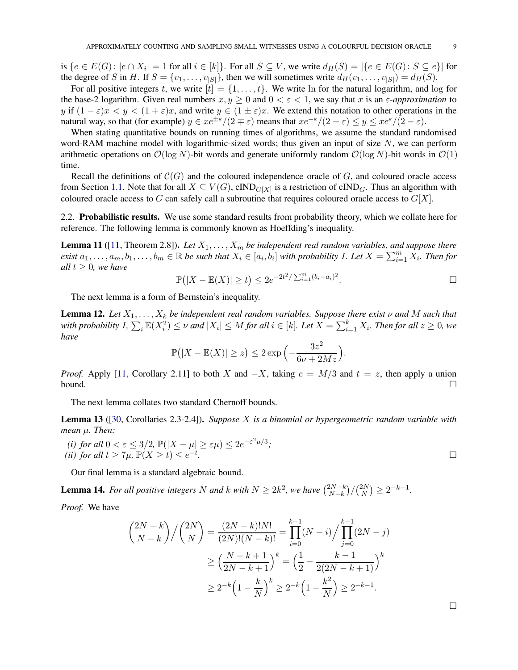is  $\{e \in E(G) : |e \cap X_i| = 1 \text{ for all } i \in [k]\}$ . For all  $S \subseteq V$ , we write  $d_H(S) = |\{e \in E(G) : S \subseteq e\}|$  for the degree of S in H. If  $S = \{v_1, \ldots, v_{|S|}\}\)$ , then we will sometimes write  $d_H(v_1, \ldots, v_{|S|}) = d_H(S)\$ .

For all positive integers t, we write  $[t] = \{1, \ldots, t\}$ . We write ln for the natural logarithm, and log for the base-2 logarithm. Given real numbers  $x, y \ge 0$  and  $0 < \varepsilon < 1$ , we say that x is an  $\varepsilon$ -approximation to y if  $(1 - \varepsilon)x < y < (1 + \varepsilon)x$ , and write  $y \in (1 \pm \varepsilon)x$ . We extend this notation to other operations in the natural way, so that (for example)  $y \in xe^{\pm \varepsilon}/(2 \mp \varepsilon)$  means that  $xe^{-\varepsilon}/(2 + \varepsilon) \leq y \leq xe^{\varepsilon}/(2 - \varepsilon)$ .

When stating quantitative bounds on running times of algorithms, we assume the standard randomised word-RAM machine model with logarithmic-sized words; thus given an input of size  $N$ , we can perform arithmetic operations on  $\mathcal{O}(\log N)$ -bit words and generate uniformly random  $\mathcal{O}(\log N)$ -bit words in  $\mathcal{O}(1)$ time.

Recall the definitions of  $\mathcal{C}(G)$  and the coloured independence oracle of G, and coloured oracle access from Section [1.1.](#page-2-0) Note that for all  $X \subseteq V(G)$ , cIND<sub>G[X]</sub> is a restriction of cIND<sub>G</sub>. Thus an algorithm with coloured oracle access to G can safely call a subroutine that requires coloured oracle access to  $G[X]$ .

2.2. Probabilistic results. We use some standard results from probability theory, which we collate here for reference. The following lemma is commonly known as Hoeffding's inequality.

<span id="page-8-1"></span>**Lemma 11** ([\[11,](#page-34-19) Theorem 2.8]). Let  $X_1, \ldots, X_m$  be independent real random variables, and suppose there  $e$ *xist*  $a_1, \ldots, a_m, b_1, \ldots, b_m \in \mathbb{R}$  *be such that*  $X_i \in [a_i, b_i]$  *with probability 1. Let*  $X = \sum_{i=1}^m X_i$ *. Then for all*  $t \geq 0$ *, we have* 

$$
\mathbb{P}(|X - \mathbb{E}(X)| \ge t) \le 2e^{-2t^2/\sum_{i=1}^m (b_i - a_i)^2}.
$$

The next lemma is a form of Bernstein's inequality.

<span id="page-8-2"></span>**Lemma 12.** Let  $X_1, \ldots, X_k$  be independent real random variables. Suppose there exist  $\nu$  and M such that with probability  $I$ ,  $\sum_i \mathbb{E}(X_i^2) \leq \nu$  and  $|X_i| \leq M$  for all  $i \in [k]$ . Let  $X = \sum_{i=1}^k X_i$ . Then for all  $z \geq 0$ , we *have*

$$
\mathbb{P}(|X - \mathbb{E}(X)| \geq z) \leq 2 \exp\left(-\frac{3z^2}{6\nu + 2Mz}\right).
$$

*Proof.* Apply [\[11,](#page-34-19) Corollary 2.11] to both X and  $-X$ , taking  $c = M/3$  and  $t = z$ , then apply a union bound. bound.  $\square$ 

The next lemma collates two standard Chernoff bounds.

<span id="page-8-3"></span>Lemma 13 ([\[30,](#page-34-20) Corollaries 2.3-2.4]). *Suppose* X *is a binomial or hypergeometric random variable with mean* µ*. Then:*

(i) for all 
$$
0 < \varepsilon \le 3/2
$$
,  $\mathbb{P}(|X - \mu| \ge \varepsilon \mu) \le 2e^{-\varepsilon^2 \mu/3}$ ;  
(ii) for all  $t \ge 7\mu$ ,  $\mathbb{P}(X \ge t) \le e^{-t}$ .

Our final lemma is a standard algebraic bound.

<span id="page-8-0"></span>**Lemma 14.** For all positive integers N and k with  $N \geq 2k^2$ , we have  $\binom{2N-k}{N-k}$  $N-k$  $)/( \frac{2N}{N}$  $_{N}^{2N}$ )  $\geq 2^{-k-1}$ .

*Proof.* We have

$$
\binom{2N-k}{N-k} / \binom{2N}{N} = \frac{(2N-k)!N!}{(2N)!(N-k)!} = \prod_{i=0}^{k-1} (N-i) / \prod_{j=0}^{k-1} (2N-j)
$$

$$
\geq \left(\frac{N-k+1}{2N-k+1}\right)^k = \left(\frac{1}{2} - \frac{k-1}{2(2N-k+1)}\right)^k
$$

$$
\geq 2^{-k} \left(1 - \frac{k}{N}\right)^k \geq 2^{-k} \left(1 - \frac{k^2}{N}\right) \geq 2^{-k-1}.
$$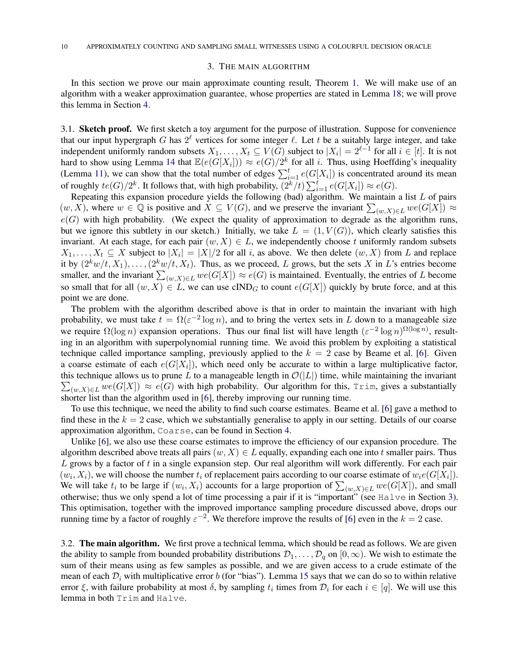#### 3. THE MAIN ALGORITHM

<span id="page-9-1"></span>In this section we prove our main approximate counting result, Theorem [1.](#page-2-1) We will make use of an algorithm with a weaker approximation guarantee, whose properties are stated in Lemma [18;](#page-13-0) we will prove this lemma in Section [4.](#page-18-0)

<span id="page-9-2"></span>3.1. Sketch proof. We first sketch a toy argument for the purpose of illustration. Suppose for convenience that our input hypergraph G has  $2^{\ell}$  vertices for some integer  $\ell$ . Let t be a suitably large integer, and take independent uniformly random subsets  $X_1, \ldots, X_t \subseteq V(G)$  subject to  $|X_i| = 2^{\ell-1}$  for all  $i \in [t]$ . It is not hard to show using Lemma [14](#page-8-0) that  $\mathbb{E}(e(G[X_i])) \approx e(G)/2^k$  for all i. Thus, using Hoeffding's inequality (Lemma [11\)](#page-8-1), we can show that the total number of edges  $\sum_{i=1}^{t} e(G[X_i])$  is concentrated around its mean of roughly  $te(G)/2^k$ . It follows that, with high probability,  $(2^k/t) \sum_{i=1}^t e(G[X_i]) \approx e(G)$ .

Repeating this expansion procedure yields the following (bad) algorithm. We maintain a list  $L$  of pairs  $(w, X)$ , where  $w \in \mathbb{Q}$  is positive and  $X \subseteq V(G)$ , and we preserve the invariant  $\sum_{(w, X) \in L} we(G[X]) \approx$  $e(G)$  with high probability. (We expect the quality of approximation to degrade as the algorithm runs, but we ignore this subtlety in our sketch.) Initially, we take  $L = (1, V(G))$ , which clearly satisfies this invariant. At each stage, for each pair  $(w, X) \in L$ , we independently choose t uniformly random subsets  $X_1, \ldots, X_t \subseteq X$  subject to  $|X_i| = |X|/2$  for all i, as above. We then delete  $(w, X)$  from L and replace it by  $(2^k w/t, X_1), \ldots, (2^k w/t, X_t)$ . Thus, as we proceed, L grows, but the sets X in L's entries become smaller, and the invariant  $\sum_{(w,X)\in L} we(G[X]) \approx e(G)$  is maintained. Eventually, the entries of L become so small that for all  $(w, X) \in L$ , we can use cIND<sub>G</sub> to count  $e(G[X])$  quickly by brute force, and at this point we are done.

The problem with the algorithm described above is that in order to maintain the invariant with high probability, we must take  $t = \Omega(\varepsilon^{-2} \log n)$ , and to bring the vertex sets in L down to a manageable size we require  $\Omega(\log n)$  expansion operations. Thus our final list will have length  $(\varepsilon^{-2} \log n)^{\Omega(\log n)}$ , resulting in an algorithm with superpolynomial running time. We avoid this problem by exploiting a statistical technique called importance sampling, previously applied to the  $k = 2$  case by Beame et al. [\[6\]](#page-33-0). Given a coarse estimate of each  $e(G[X_i])$ , which need only be accurate to within a large multiplicative factor,  $\sum_{(w,X)\in L} we(G[X]) \approx e(G)$  with high probability. Our algorithm for this, Trim, gives a substantially this technique allows us to prune L to a manageable length in  $\mathcal{O}(|L|)$  time, while maintaining the invariant shorter list than the algorithm used in [\[6\]](#page-33-0), thereby improving our running time.

To use this technique, we need the ability to find such coarse estimates. Beame et al. [\[6\]](#page-33-0) gave a method to find these in the  $k = 2$  case, which we substantially generalise to apply in our setting. Details of our coarse approximation algorithm, Coarse, can be found in Section [4.](#page-18-0)

Unlike [\[6\]](#page-33-0), we also use these coarse estimates to improve the efficiency of our expansion procedure. The algorithm described above treats all pairs  $(w, X) \in L$  equally, expanding each one into t smaller pairs. Thus L grows by a factor of t in a single expansion step. Our real algorithm will work differently. For each pair  $(w_i, X_i)$ , we will choose the number  $t_i$  of replacement pairs according to our coarse estimate of  $w_i e(G[X_i])$ . We will take  $t_i$  to be large if  $(w_i, X_i)$  accounts for a large proportion of  $\sum_{(w,X)\in L} we(G[X])$ , and small otherwise; thus we only spend a lot of time processing a pair if it is "important" (see Halve in Section [3\)](#page-9-1). This optimisation, together with the improved importance sampling procedure discussed above, drops our running time by a factor of roughly  $\varepsilon^{-2}$ . We therefore improve the results of [\[6\]](#page-33-0) even in the  $k = 2$  case.

<span id="page-9-0"></span>3.2. The main algorithm. We first prove a technical lemma, which should be read as follows. We are given the ability to sample from bounded probability distributions  $\mathcal{D}_1, \ldots, \mathcal{D}_q$  on  $[0, \infty)$ . We wish to estimate the sum of their means using as few samples as possible, and we are given access to a crude estimate of the mean of each  $D_i$  with multiplicative error b (for "bias"). Lemma [15](#page-10-0) says that we can do so to within relative error  $\xi$ , with failure probability at most  $\delta$ , by sampling  $t_i$  times from  $\mathcal{D}_i$  for each  $i \in [q]$ . We will use this lemma in both Trim and Halve.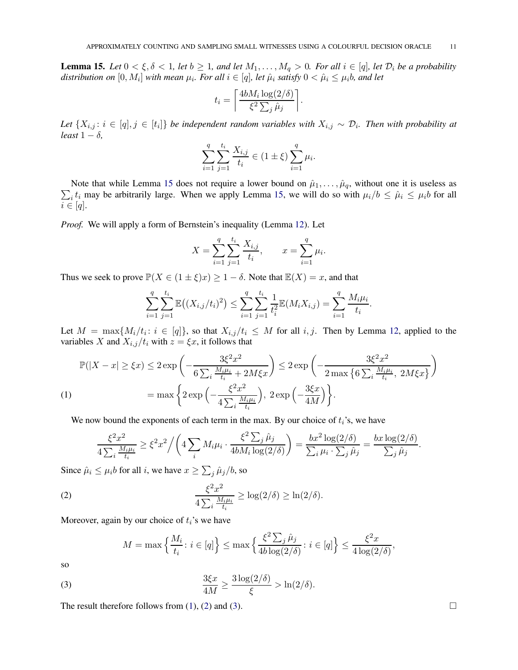<span id="page-10-0"></span>**Lemma 15.** Let  $0 < \xi, \delta < 1$ , let  $b \ge 1$ , and let  $M_1, \ldots, M_q > 0$ . For all  $i \in [q]$ , let  $\mathcal{D}_i$  be a probability distribution on  $[0, M_i]$  with mean  $\mu_i$ . For all  $i \in [q]$ , let  $\hat{\mu}_i$  satisfy  $0 < \hat{\mu}_i \leq \mu_i$ b, and let

$$
t_i = \left\lceil \frac{4bM_i \log(2/\delta)}{\xi^2 \sum_j \hat{\mu}_j} \right\rceil.
$$

Let  $\{X_{i,j}: i \in [q], j \in [t_i]\}$  be independent random variables with  $X_{i,j} \sim \mathcal{D}_i$ . Then with probability at *least*  $1 - \delta$ *,* 

$$
\sum_{i=1}^{q} \sum_{j=1}^{t_i} \frac{X_{i,j}}{t_i} \in (1 \pm \xi) \sum_{i=1}^{q} \mu_i.
$$

 $\sum_i t_i$  may be arbitrarily large. When we apply Lemma [15,](#page-10-0) we will do so with  $\mu_i/b \le \hat{\mu}_i \le \mu_i b$  for all Note that while Lemma [15](#page-10-0) does not require a lower bound on  $\hat{\mu}_1, \dots, \hat{\mu}_q$ , without one it is useless as  $i \in [q]$ .

*Proof.* We will apply a form of Bernstein's inequality (Lemma [12\)](#page-8-2). Let

$$
X = \sum_{i=1}^{q} \sum_{j=1}^{t_i} \frac{X_{i,j}}{t_i}, \qquad x = \sum_{i=1}^{q} \mu_i.
$$

Thus we seek to prove  $\mathbb{P}(X \in (1 \pm \xi)x) \geq 1 - \delta$ . Note that  $\mathbb{E}(X) = x$ , and that

$$
\sum_{i=1}^q \sum_{j=1}^{t_i} \mathbb{E}\big((X_{i,j}/t_i)^2\big) \le \sum_{i=1}^q \sum_{j=1}^{t_i} \frac{1}{t_i^2} \mathbb{E}(M_i X_{i,j}) = \sum_{i=1}^q \frac{M_i \mu_i}{t_i}.
$$

Let  $M = \max\{M_i/t_i : i \in [q]\}$ , so that  $X_{i,j}/t_i \leq M$  for all  $i, j$ . Then by Lemma [12,](#page-8-2) applied to the variables X and  $X_{i,j}/t_i$  with  $z = \xi x$ , it follows that

$$
\mathbb{P}(|X-x| \geq \xi x) \leq 2 \exp\left(-\frac{3\xi^2 x^2}{6\sum_i \frac{M_i\mu_i}{t_i} + 2M\xi x}\right) \leq 2 \exp\left(-\frac{3\xi^2 x^2}{2 \max\left\{6\sum_i \frac{M_i\mu_i}{t_i}, 2M\xi x\right\}}\right)
$$
\n
$$
(1) \qquad \qquad = \max\left\{2 \exp\left(-\frac{\xi^2 x^2}{4\sum_i \frac{M_i\mu_i}{t_i}}\right), \ 2 \exp\left(-\frac{3\xi x}{4M}\right)\right\}.
$$

<span id="page-10-1"></span>We now bound the exponents of each term in the max. By our choice of  $t_i$ 's, we have

$$
\frac{\xi^2 x^2}{4 \sum_i \frac{M_i \mu_i}{t_i}} \ge \xi^2 x^2 \Big/ \Bigg( 4 \sum_i M_i \mu_i \cdot \frac{\xi^2 \sum_j \hat{\mu}_j}{4b M_i \log(2/\delta)} \Bigg) = \frac{bx^2 \log(2/\delta)}{\sum_i \mu_i \cdot \sum_j \hat{\mu}_j} = \frac{bx \log(2/\delta)}{\sum_j \hat{\mu}_j}.
$$

Since  $\hat{\mu}_i \le \mu_i b$  for all *i*, we have  $x \ge \sum_j \hat{\mu}_j/b$ , so

(2) 
$$
\frac{\xi^2 x^2}{4 \sum_i \frac{M_i \mu_i}{t_i}} \ge \log(2/\delta) \ge \ln(2/\delta).
$$

Moreover, again by our choice of  $t_i$ 's we have

<span id="page-10-3"></span><span id="page-10-2"></span>
$$
M = \max\left\{\frac{M_i}{t_i} \colon i \in [q]\right\} \le \max\left\{\frac{\xi^2 \sum_j \hat{\mu}_j}{4b \log(2/\delta)} \colon i \in [q]\right\} \le \frac{\xi^2 x}{4 \log(2/\delta)},
$$

so

(3) 
$$
\frac{3\xi x}{4M} \ge \frac{3\log(2/\delta)}{\xi} > \ln(2/\delta).
$$

The result therefore follows from [\(1\)](#page-10-1), [\(2\)](#page-10-2) and [\(3\)](#page-10-3).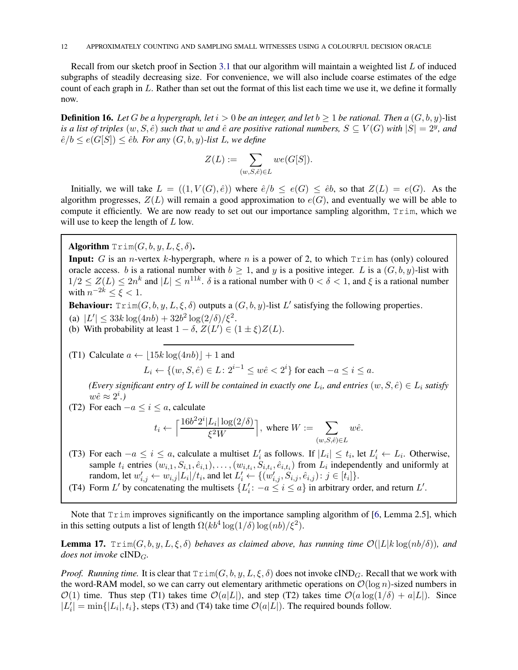Recall from our sketch proof in Section [3.1](#page-9-2) that our algorithm will maintain a weighted list L of induced subgraphs of steadily decreasing size. For convenience, we will also include coarse estimates of the edge count of each graph in L. Rather than set out the format of this list each time we use it, we define it formally now.

**Definition 16.** Let G be a hypergraph, let  $i > 0$  be an integer, and let  $b > 1$  be rational. Then a  $(G, b, y)$ -list *is a list of triples*  $(w, S, \hat{e})$  *such that*  $w$  *and*  $\hat{e}$  *are positive rational numbers,*  $S \subseteq V(G)$  *with*  $|S| = 2^y$ *, and*  $\hat{e}/b \leq e(G[S]) \leq \hat{e}b$ . For any  $(G, b, y)$ -list L, we define

$$
Z(L):=\sum_{(w,S,\hat{e})\in L}we(G[S]).
$$

Initially, we will take  $L = ((1, V(G), \hat{e}))$  where  $\hat{e}/b \leq e(G) \leq \hat{e}b$ , so that  $Z(L) = e(G)$ . As the algorithm progresses,  $Z(L)$  will remain a good approximation to  $e(G)$ , and eventually we will be able to compute it efficiently. We are now ready to set out our importance sampling algorithm,  $Trim$ , which we will use to keep the length of  $L$  low.

Algorithm  $Trim(G, b, y, L, \xi, \delta)$ .

**Input:** G is an *n*-vertex k-hypergraph, where *n* is a power of 2, to which  $Trim$  has (only) coloured oracle access. b is a rational number with  $b \ge 1$ , and y is a positive integer. L is a  $(G, b, y)$ -list with  $1/2 \leq Z(L) \leq 2n^k$  and  $|L| \leq n^{11k}$ .  $\delta$  is a rational number with  $0 < \delta < 1$ , and  $\xi$  is a rational number with  $n^{-2k} \leq \xi < 1$ .

**Behaviour:**  $Trim(G, b, y, L, \xi, \delta)$  outputs a  $(G, b, y)$ -list L' satisfying the following properties.

(a)  $|L'| \leq 33k \log(4nb) + 32b^2 \log(2/\delta)/\xi^2$ . (b) With probability at least  $1 - \delta$ ,  $Z(L') \in (1 \pm \xi)Z(L)$ .

(T1) Calculate  $a \leftarrow |15k \log(4nb)| + 1$  and

 $L_i \leftarrow \{(w, S, \hat{e}) \in L : 2^{i-1} \leq w\hat{e} < 2^i\}$  for each  $-a \leq i \leq a$ .

*(Every significant entry of L will be contained in exactly one*  $L_i$ *, and entries*  $(w, S, \hat{e}) \in L_i$  *satisfy*  $w\hat{e} \approx 2^i.$ 

(T2) For each  $-a \le i \le a$ , calculate

$$
t_i \leftarrow \Big\lceil \frac{16 b^2 2^i |L_i| \log(2/\delta)}{\xi^2 W} \Big\rceil, \text{ where } W := \sum_{(w,S,\hat{e}) \in L} w\hat{e}.
$$

(T3) For each  $-a \le i \le a$ , calculate a multiset  $L'_i$  as follows. If  $|L_i| \le t_i$ , let  $L'_i \leftarrow L_i$ . Otherwise, sample  $t_i$  entries  $(w_{i,1}, S_{i,1}, \hat{e}_{i,1}), \ldots, (w_{i,t_i}, S_{i,t_i}, \hat{e}_{i,t_i})$  from  $L_i$  independently and uniformly at random, let  $w'_{i,j} \leftarrow w_{i,j} |L_i| / t_i$ , and let  $L'_i \leftarrow \{(w'_{i,j}, S_{i,j}, \hat{e}_{i,j}) : j \in [t_i]\}.$ 

(T4) Form L' by concatenating the multisets  $\{L'_i: -a \le i \le a\}$  in arbitrary order, and return L'.

Note that Trim improves significantly on the importance sampling algorithm of [\[6,](#page-33-0) Lemma 2.5], which in this setting outputs a list of length  $\Omega(kb^4 \log(1/\delta) \log(n b)/\xi^2)$ .

<span id="page-11-0"></span>**Lemma 17.**  $Trim(G, b, y, L, \xi, \delta)$  *behaves as claimed above, has running time*  $\mathcal{O}(|L|k \log(nb/\delta))$ *, and does not invoke* cIND<sub>*G*</sub>.

*Proof. Running time.* It is clear that  $Trim(G, b, y, L, \xi, \delta)$  does not invoke cIND<sub>G</sub>. Recall that we work with the word-RAM model, so we can carry out elementary arithmetic operations on  $\mathcal{O}(\log n)$ -sized numbers in  $\mathcal{O}(1)$  time. Thus step (T1) takes time  $\mathcal{O}(a|L|)$ , and step (T2) takes time  $\mathcal{O}(a \log(1/\delta) + a|L|)$ . Since  $|L'_i| = \min\{|L_i|, t_i\}$ , steps (T3) and (T4) take time  $\mathcal{O}(a|L|)$ . The required bounds follow.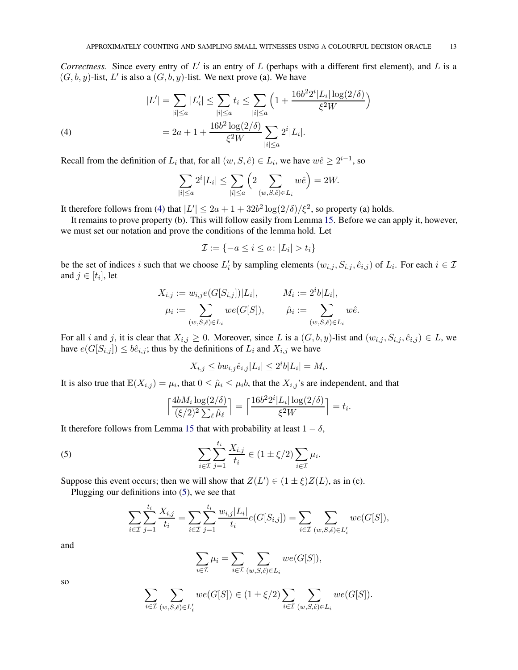*Correctness.* Since every entry of  $L'$  is an entry of  $L$  (perhaps with a different first element), and  $L$  is a  $(G, b, y)$ -list, L' is also a  $(G, b, y)$ -list. We next prove (a). We have

(4)  
\n
$$
|L'| = \sum_{|i| \le a} |L'_i| \le \sum_{|i| \le a} t_i \le \sum_{|i| \le a} \left( 1 + \frac{16b^2 2^i |L_i| \log(2/\delta)}{\xi^2 W} \right)
$$
\n
$$
= 2a + 1 + \frac{16b^2 \log(2/\delta)}{\xi^2 W} \sum_{|i| \le a} 2^i |L_i|.
$$

<span id="page-12-0"></span>Recall from the definition of  $L_i$  that, for all  $(w, S, \hat{e}) \in L_i$ , we have  $w\hat{e} \ge 2^{i-1}$ , so

$$
\sum_{|i| \le a} 2^i |L_i| \le \sum_{|i| \le a} \left( 2 \sum_{(w,S,\hat{e}) \in L_i} w\hat{e} \right) = 2W.
$$

It therefore follows from [\(4\)](#page-12-0) that  $|L'| \le 2a + 1 + 32b^2 \log(2/\delta)/\xi^2$ , so property (a) holds.

It remains to prove property (b). This will follow easily from Lemma [15.](#page-10-0) Before we can apply it, however, we must set our notation and prove the conditions of the lemma hold. Let

$$
\mathcal{I} := \{-a \le i \le a \colon |L_i| > t_i\}
$$

be the set of indices i such that we choose  $L'_i$  by sampling elements  $(w_{i,j}, S_{i,j}, \hat{e}_{i,j})$  of  $L_i$ . For each  $i \in \mathcal{I}$ and  $j \in [t_i]$ , let

$$
X_{i,j} := w_{i,j}e(G[S_{i,j}])|L_i|, \t M_i := 2^ib|L_i|, \n\mu_i := \sum_{(w,S,\hat{e}) \in L_i} we(G[S]), \t \hat{\mu}_i := \sum_{(w,S,\hat{e}) \in L_i} w\hat{e}.
$$

For all i and j, it is clear that  $X_{i,j} \geq 0$ . Moreover, since L is a  $(G, b, y)$ -list and  $(w_{i,j}, S_{i,j}, \hat{e}_{i,j}) \in L$ , we have  $e(G[S_{i,j}]) \leq b\hat{e}_{i,j}$ ; thus by the definitions of  $L_i$  and  $X_{i,j}$  we have

$$
X_{i,j} \le bw_{i,j}\hat{e}_{i,j}|L_i| \le 2^i b|L_i| = M_i.
$$

It is also true that  $\mathbb{E}(X_{i,j}) = \mu_i$ , that  $0 \leq \hat{\mu}_i \leq \mu_i b$ , that the  $X_{i,j}$ 's are independent, and that

<span id="page-12-1"></span>
$$
\left\lceil \frac{4bM_i \log(2/\delta)}{(\xi/2)^2 \sum_{\ell} \hat{\mu}_{\ell}} \right\rceil = \left\lceil \frac{16b^2 2^i |L_i| \log(2/\delta)}{\xi^2 W} \right\rceil = t_i.
$$

It therefore follows from Lemma [15](#page-10-0) that with probability at least  $1 - \delta$ ,

(5) 
$$
\sum_{i \in \mathcal{I}} \sum_{j=1}^{t_i} \frac{X_{i,j}}{t_i} \in (1 \pm \xi/2) \sum_{i \in \mathcal{I}} \mu_i.
$$

Suppose this event occurs; then we will show that  $Z(L') \in (1 \pm \xi)Z(L)$ , as in (c).

Plugging our definitions into [\(5\)](#page-12-1), we see that

$$
\sum_{i \in \mathcal{I}} \sum_{j=1}^{t_i} \frac{X_{i,j}}{t_i} = \sum_{i \in \mathcal{I}} \sum_{j=1}^{t_i} \frac{w_{i,j} |L_i|}{t_i} e(G[S_{i,j}]) = \sum_{i \in \mathcal{I}} \sum_{(w,S,\hat{e}) \in L'_i} we(G[S]),
$$

and

$$
\sum_{i\in\mathcal{I}}\mu_i=\sum_{i\in\mathcal{I}}\sum_{(w,S,\hat{e})\in L_i}we(G[S]),
$$

so

$$
\sum_{i \in \mathcal{I}} \sum_{(w,S,\hat{e}) \in L'_i} we(G[S]) \in (1 \pm \xi/2) \sum_{i \in \mathcal{I}} \sum_{(w,S,\hat{e}) \in L_i} we(G[S]).
$$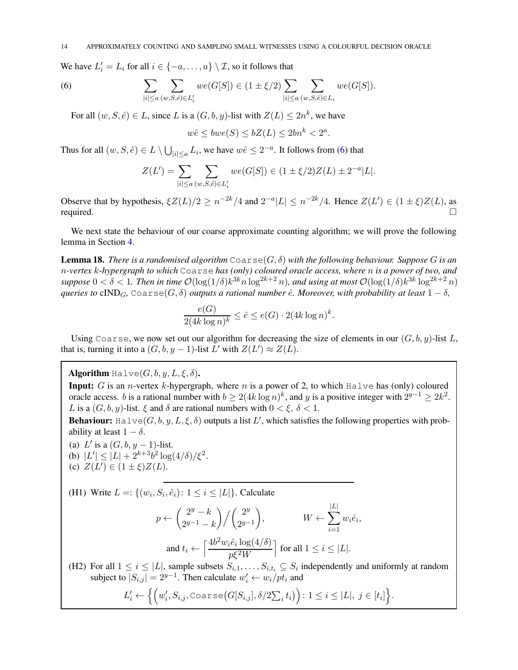We have  $L'_i = L_i$  for all  $i \in \{-a, \dots, a\} \setminus \mathcal{I}$ , so it follows that

(6) 
$$
\sum_{|i| \le a} \sum_{(w,S,\hat{e}) \in L'_i} we(G[S]) \in (1 \pm \xi/2) \sum_{|i| \le a} \sum_{(w,S,\hat{e}) \in L_i} we(G[S]).
$$

For all  $(w, S, \hat{e}) \in L$ , since L is a  $(G, b, y)$ -list with  $Z(L) \leq 2n^k$ , we have

<span id="page-13-1"></span>
$$
w\hat{e} \le bwe(S) \le bZ(L) \le 2bn^k < 2^a.
$$

Thus for all  $(w, S, \hat{e}) \in L \setminus \bigcup_{|i| \leq a} L_i$ , we have  $w\hat{e} \leq 2^{-a}$ . It follows from [\(6\)](#page-13-1) that

$$
Z(L') = \sum_{|i| \le a} \sum_{(w,S,\hat{e}) \in L'_i} we(G[S]) \in (1 \pm \xi/2)Z(L) \pm 2^{-a}|L|.
$$

Observe that by hypothesis,  $\xi Z(L)/2 \ge n^{-2k}/4$  and  $2^{-a}|L| \le n^{-2k}/4$ . Hence  $Z(L') \in (1 \pm \xi)Z(L)$ , as required.  $\Box$ 

We next state the behaviour of our coarse approximate counting algorithm; we will prove the following lemma in Section [4.](#page-18-0)

<span id="page-13-0"></span>**Lemma 18.** *There is a randomised algorithm*  $\text{Coarse}(G, \delta)$  *with the following behaviour. Suppose* G *is an* n*-vertex* k*-hypergraph to which* Coarse *has (only) coloured oracle access, where* n *is a power of two, and*  $suppose\ 0 < \delta < 1$ . Then in time  $\mathcal{O}(\log(1/\delta)k^{3k}n\log^{2k+2}n)$ , and using at most  $\mathcal{O}(\log(1/\delta)k^{3k}\log^{2k+2}n)$ *queries to* cIND<sub>*G*</sub>, Coarse(*G*,  $\delta$ ) *outputs a rational number*  $\hat{e}$ *. Moreover, with probability at least*  $1 - \delta$ *,* 

$$
\frac{e(G)}{2(4k\log n)^k} \le \hat{e} \le e(G) \cdot 2(4k\log n)^k.
$$

Using Coarse, we now set out our algorithm for decreasing the size of elements in our  $(G, b, y)$ -list L, that is, turning it into a  $(G, b, y - 1)$ -list  $L'$  with  $Z(L') \approx Z(L)$ .

Algorithm Halve $(G, b, y, L, \xi, \delta)$ .

**Input:** G is an *n*-vertex k-hypergraph, where *n* is a power of 2, to which  $H\nabla \times$  has (only) coloured oracle access. *b* is a rational number with  $b \ge 2(4k \log n)^k$ , and y is a positive integer with  $2^{y-1} \ge 2k^2$ . L is a  $(G, b, y)$ -list.  $\xi$  and  $\delta$  are rational numbers with  $0 < \xi$ ,  $\delta < 1$ .

**Behaviour:** Halve $(G, b, y, L, \xi, \delta)$  outputs a list L', which satisfies the following properties with probability at least  $1 - \delta$ .

(a)  $L'$  is a  $(G, b, y - 1)$ -list. (b)  $|L'| \leq |L| + 2^{k+3}b^2 \log(4/\delta)/\xi^2$ . (c)  $Z(L') \in (1 \pm \xi)Z(L)$ .

(H1) Write  $L =: \{(w_i, S_i, \hat{e}_i): 1 \le i \le |L|\}$ . Calculate

$$
p \leftarrow \binom{2^y - k}{2^{y-1} - k} / \binom{2^y}{2^{y-1}}, \qquad W \leftarrow \sum_{i=1}^{|L|} w_i \hat{e}_i,
$$
  
and  $t_i \leftarrow \left\lceil \frac{4b^2 w_i \hat{e}_i \log(4/\delta)}{p\xi^2 W} \right\rceil$  for all  $1 \le i \le |L|$ .

(H2) For all  $1 \le i \le |L|$ , sample subsets  $S_{i,1}, \ldots, S_{i,t_i} \subseteq S_i$  independently and uniformly at random subject to  $|S_{i,j}| = 2^{y-1}$ . Then calculate  $w'_i \leftarrow w_i / pt_i$  and

$$
L'_{i} \leftarrow \Big\{ \Big(w'_{i}, S_{i,j}, \text{Coarse}\big(G[S_{i,j}], \delta/2\sum_{i} t_{i}\big)\Big) : 1 \leq i \leq |L|, j \in [t_{i}]\Big\}.
$$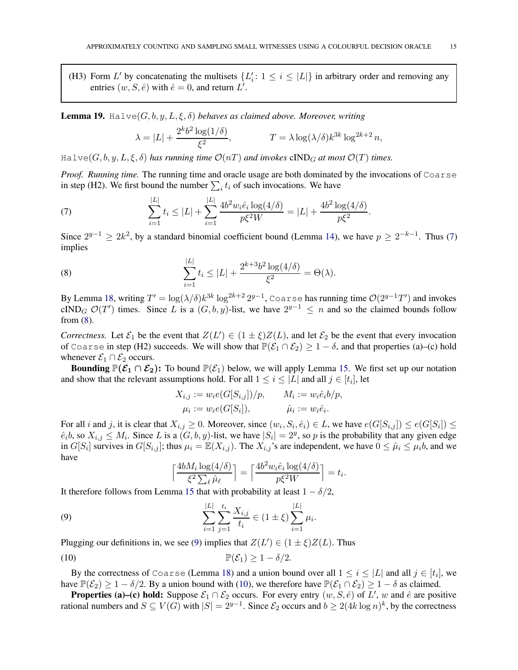(H3) Form L' by concatenating the multisets  $\{L'_i: 1 \leq i \leq |L|\}$  in arbitrary order and removing any entries  $(w, S, \hat{e})$  with  $\hat{e} = 0$ , and return  $L'$ .

<span id="page-14-4"></span>**Lemma 19.** Halve $(G, b, y, L, \xi, \delta)$  *behaves as claimed above. Moreover, writing* 

<span id="page-14-0"></span>
$$
\lambda = |L| + \frac{2^k b^2 \log(1/\delta)}{\xi^2}, \qquad T = \lambda \log(\lambda/\delta) k^{3k} \log^{2k+2} n,
$$

 $H\text{alve}(G, b, y, L, \xi, \delta)$  *has running time*  $\mathcal{O}(nT)$  *and invokes* cIND<sub>G</sub> *at most*  $\mathcal{O}(T)$  *times.* 

*Proof. Running time.* The running time and oracle usage are both dominated by the invocations of Coarse in step (H2). We first bound the number  $\sum_i t_i$  of such invocations. We have

(7) 
$$
\sum_{i=1}^{|L|} t_i \le |L| + \sum_{i=1}^{|L|} \frac{4b^2 w_i \hat{e}_i \log(4/\delta)}{p\xi^2 W} = |L| + \frac{4b^2 \log(4/\delta)}{p\xi^2}.
$$

Since  $2^{y-1} \ge 2k^2$ , by a standard binomial coefficient bound (Lemma [14\)](#page-8-0), we have  $p \ge 2^{-k-1}$ . Thus [\(7\)](#page-14-0) implies

<span id="page-14-1"></span>(8) 
$$
\sum_{i=1}^{|L|} t_i \le |L| + \frac{2^{k+3}b^2\log(4/\delta)}{\xi^2} = \Theta(\lambda).
$$

By Lemma [18,](#page-13-0) writing  $T' = \log(\lambda/\delta)k^{3k} \log^{2k+2} 2^{y-1}$ , Coarse has running time  $\mathcal{O}(2^{y-1}T')$  and invokes cIND<sub>G</sub>  $\mathcal{O}(T')$  times. Since L is a  $(G, b, y)$ -list, we have  $2^{y-1} \leq n$  and so the claimed bounds follow from [\(8\)](#page-14-1).

*Correctness.* Let  $\mathcal{E}_1$  be the event that  $Z(L') \in (1 \pm \xi)Z(L)$ , and let  $\mathcal{E}_2$  be the event that every invocation of Coarse in step (H2) succeeds. We will show that  $\mathbb{P}(\mathcal{E}_1 \cap \mathcal{E}_2) \geq 1 - \delta$ , and that properties (a)–(c) hold whenever  $\mathcal{E}_1 \cap \mathcal{E}_2$  occurs.

Bounding  $\mathbb{P}(\mathcal{E}_1 \cap \mathcal{E}_2)$ : To bound  $\mathbb{P}(\mathcal{E}_1)$  below, we will apply Lemma [15.](#page-10-0) We first set up our notation and show that the relevant assumptions hold. For all  $1 \leq i \leq |L|$  and all  $j \in [t_i]$ , let

$$
X_{i,j} := w_i e(G[S_{i,j}])/p, \qquad M_i := w_i \hat{e}_i b/p,
$$
  

$$
\mu_i := w_i e(G[S_i]), \qquad \hat{\mu}_i := w_i \hat{e}_i.
$$

For all i and j, it is clear that  $X_{i,j} \ge 0$ . Moreover, since  $(w_i, S_i, \hat{e}_i) \in L$ , we have  $e(G[S_{i,j}]) \le e(G[S_i]) \le$  $\hat{e}_i b$ , so  $X_{i,j} \leq M_i$ . Since L is a  $(G, b, y)$ -list, we have  $|S_i| = 2^y$ , so p is the probability that any given edge in  $G[S_i]$  survives in  $G[S_{i,j}]$ ; thus  $\mu_i = \mathbb{E}(X_{i,j})$ . The  $X_{i,j}$ 's are independent, we have  $0 \le \hat{\mu}_i \le \mu_i b$ , and we have

<span id="page-14-3"></span><span id="page-14-2"></span>
$$
\left\lceil \frac{4bM_i \log(4/\delta)}{\xi^2 \sum_{\ell} \hat{\mu}_{\ell}} \right\rceil = \left\lceil \frac{4b^2 w_i \hat{e}_i \log(4/\delta)}{p\xi^2 W} \right\rceil = t_i.
$$

It therefore follows from Lemma [15](#page-10-0) that with probability at least  $1 - \delta/2$ ,

(9) 
$$
\sum_{i=1}^{|L|} \sum_{j=1}^{t_i} \frac{X_{i,j}}{t_i} \in (1 \pm \xi) \sum_{i=1}^{|L|} \mu_i.
$$

Plugging our definitions in, we see [\(9\)](#page-14-2) implies that  $Z(L') \in (1 \pm \xi)Z(L)$ . Thus

$$
\mathbb{P}(\mathcal{E}_1) \geq 1 - \delta/2.
$$

By the correctness of Coarse (Lemma [18\)](#page-13-0) and a union bound over all  $1 \le i \le |L|$  and all  $j \in [t_i]$ , we have  $\mathbb{P}(\mathcal{E}_2) \geq 1 - \delta/2$ . By a union bound with [\(10\)](#page-14-3), we therefore have  $\mathbb{P}(\mathcal{E}_1 \cap \mathcal{E}_2) \geq 1 - \delta$  as claimed.

**Properties (a)–(c) hold:** Suppose  $\mathcal{E}_1 \cap \mathcal{E}_2$  occurs. For every entry  $(w, S, \hat{e})$  of  $L', w$  and  $\hat{e}$  are positive rational numbers and  $S \subseteq V(G)$  with  $|S| = 2^{y-1}$ . Since  $\mathcal{E}_2$  occurs and  $b \ge 2(4k \log n)^k$ , by the correctness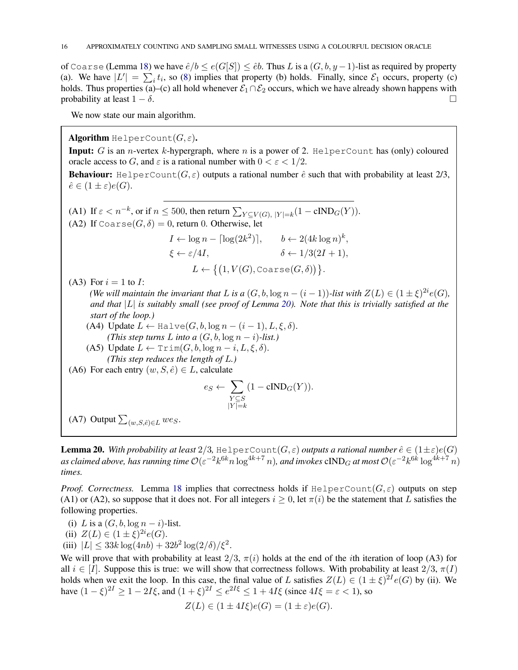of Coarse (Lemma [18\)](#page-13-0) we have  $\hat{e}/b \leq e(G[S]) \leq \hat{e}b$ . Thus L is a  $(G, b, y - 1)$ -list as required by property (a). We have  $|L'| = \sum_i t_i$ , so [\(8\)](#page-14-1) implies that property (b) holds. Finally, since  $\mathcal{E}_1$  occurs, property (c) holds. Thus properties (a)–(c) all hold whenever  $\mathcal{E}_1 \cap \mathcal{E}_2$  occurs, which we have already shown happens with probability at least  $1 - \delta$ . probability at least  $1 - \delta$ .

We now state our main algorithm.

**Algorithm** HelperCount $(G, \varepsilon)$ .

**Input:** G is an *n*-vertex k-hypergraph, where n is a power of 2. HelperCount has (only) coloured oracle access to G, and  $\varepsilon$  is a rational number with  $0 < \varepsilon < 1/2$ .

**Behaviour:** HelperCount $(G, \varepsilon)$  outputs a rational number  $\hat{e}$  such that with probability at least 2/3,  $\hat{e} \in (1 \pm \varepsilon)e(G).$ 

(A1) If  $\varepsilon < n^{-k}$ , or if  $n \le 500$ , then return  $\sum_{Y \subseteq V(G), |Y|=k} (1 - \text{cIND}_G(Y)).$ (A2) If Coarse $(G, \delta) = 0$ , return 0. Otherwise, let

$$
I \leftarrow \log n - \lceil \log(2k^2) \rceil, \qquad b \leftarrow 2(4k \log n)^k,
$$
  

$$
\xi \leftarrow \varepsilon/4I, \qquad \delta \leftarrow 1/3(2I + 1),
$$
  

$$
L \leftarrow \{(1, V(G), \text{Coarse}(G, \delta))\}.
$$

(A3) For  $i = 1$  to I:

*(We will maintain the invariant that* L *is a*  $(G, b, \log n - (i - 1))$ *-list with*  $Z(L) \in (1 \pm \xi)^{2i}e(G)$ *, and that* |L| *is suitably small (see proof of Lemma [20\)](#page-15-0). Note that this is trivially satisfied at the start of the loop.)*

- (A4) Update  $L \leftarrow$  Halve $(G, b, \log n (i 1), L, \xi, \delta)$ . *(This step turns L into a*  $(G, b, \log n - i)$ *-list.)*
- (A5) Update  $L \leftarrow \text{Trim}(G, b, \log n i, L, \xi, \delta).$ *(This step reduces the length of* L*.)*
- (A6) For each entry  $(w, S, \hat{e}) \in L$ , calculate

$$
e_S \leftarrow \sum_{\substack{Y \subseteq S \\ |Y| = k}} (1 - \text{cIND}_G(Y)).
$$

(A7) Output  $\sum_{(w,S,\hat{e}) \in L}$  wes.

<span id="page-15-0"></span>**Lemma 20.** With probability at least  $2/3$ , HelperCount( $G, \varepsilon$ ) *outputs a rational number*  $\hat{e} \in (1 \pm \varepsilon)e(G)$ as claimed above, has running time  $O(\varepsilon^{-2} k^{6k}n\log^{4k+7}n)$ , and invokes  ${\rm cIND}_G$  at most  $O(\varepsilon^{-2}k^{6k}\log^{4k+7}n)$ *times.*

*Proof. Correctness.* Lemma [18](#page-13-0) implies that correctness holds if HelperCount $(G, \varepsilon)$  outputs on step (A1) or (A2), so suppose that it does not. For all integers  $i \ge 0$ , let  $\pi(i)$  be the statement that L satisfies the following properties.

- (i) L is a  $(G, b, \log n i)$ -list.
- (ii)  $Z(L) \in (1 \pm \xi)^{2i} e(G)$ .
- (iii)  $|L| \leq 33k \log(4nb) + 32b^2 \log(2/\delta)/\xi^2$ .

We will prove that with probability at least  $2/3$ ,  $\pi(i)$  holds at the end of the *i*th iteration of loop (A3) for all  $i \in [I]$ . Suppose this is true: we will show that correctness follows. With probability at least  $2/3$ ,  $\pi(I)$ holds when we exit the loop. In this case, the final value of L satisfies  $Z(L) \in (1 \pm \xi)^{2I} e(G)$  by (ii). We have  $(1 - \xi)^{2I} \ge 1 - 2I\xi$ , and  $(1 + \xi)^{2I} \le e^{2I\xi} \le 1 + 4I\xi$  (since  $4I\xi = \varepsilon < 1$ ), so

$$
Z(L) \in (1 \pm 4I\xi)e(G) = (1 \pm \varepsilon)e(G).
$$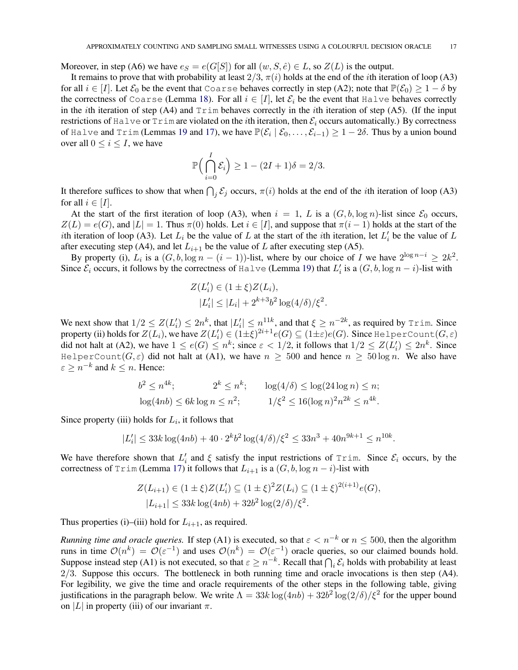Moreover, in step (A6) we have  $e_S = e(G[S])$  for all  $(w, S, \hat{e}) \in L$ , so  $Z(L)$  is the output.

It remains to prove that with probability at least  $2/3$ ,  $\pi(i)$  holds at the end of the *i*th iteration of loop (A3) for all  $i \in [I]$ . Let  $\mathcal{E}_0$  be the event that Coarse behaves correctly in step (A2); note that  $\mathbb{P}(\mathcal{E}_0) \geq 1 - \delta$  by the correctness of Coarse (Lemma [18\)](#page-13-0). For all  $i \in [I]$ , let  $\mathcal{E}_i$  be the event that Halve behaves correctly in the *i*th iteration of step (A4) and  $Trim$  behaves correctly in the *i*th iteration of step (A5). (If the input restrictions of Halve or Trim are violated on the *i*th iteration, then  $\mathcal{E}_i$  occurs automatically.) By correctness of Halve and Trim (Lemmas [19](#page-14-4) and [17\)](#page-11-0), we have  $\mathbb{P}(\mathcal{E}_i \mid \mathcal{E}_0, \dots, \mathcal{E}_{i-1}) \ge 1 - 2\delta$ . Thus by a union bound over all  $0 \le i \le I$ , we have

$$
\mathbb{P}\Big(\bigcap_{i=0}^{I} \mathcal{E}_i\Big) \ge 1 - (2I + 1)\delta = 2/3.
$$

It therefore suffices to show that when  $\bigcap_j \mathcal{E}_j$  occurs,  $\pi(i)$  holds at the end of the *i*th iteration of loop (A3) for all  $i \in [I]$ .

At the start of the first iteration of loop (A3), when  $i = 1, L$  is a  $(G, b, \log n)$ -list since  $\mathcal{E}_0$  occurs,  $Z(L) = e(G)$ , and  $|L| = 1$ . Thus  $\pi(0)$  holds. Let  $i \in [I]$ , and suppose that  $\pi(i-1)$  holds at the start of the *i*th iteration of loop (A3). Let  $L_i$  be the value of L at the start of the *i*th iteration, let  $L'_i$  be the value of L after executing step (A4), and let  $L_{i+1}$  be the value of L after executing step (A5).

By property (i),  $L_i$  is a  $(G, b, \log n - (i - 1))$ -list, where by our choice of I we have  $2^{\log n - i} \geq 2k^2$ . Since  $\mathcal{E}_i$  occurs, it follows by the correctness of Halve (Lemma [19\)](#page-14-4) that  $L'_i$  is a  $(G, b, \log n - i)$ -list with

$$
Z(L'_{i}) \in (1 \pm \xi)Z(L_{i}),
$$
  

$$
|L'_{i}| \leq |L_{i}| + 2^{k+3}b^{2}\log(4/\delta)/\xi^{2}.
$$

We next show that  $1/2 \leq Z(L'_i) \leq 2n^k$ , that  $|L'_i| \leq n^{11k}$ , and that  $\xi \geq n^{-2k}$ , as required by Trim. Since property (ii) holds for  $Z(L_i)$ , we have  $Z(L_i')\in (1\pm \xi)^{2i+1}e(G)\subseteq (1\pm \varepsilon)e(G)$ . Since HelperCount $(G,\varepsilon)$ did not halt at (A2), we have  $1 \le e(G) \le n^k$ ; since  $\varepsilon < 1/2$ , it follows that  $1/2 \le Z(L'_i) \le 2n^k$ . Since HelperCount( $G, \varepsilon$ ) did not halt at (A1), we have  $n \geq 500$  and hence  $n \geq 50 \log n$ . We also have  $\varepsilon \geq n^{-k}$  and  $k \leq n$ . Hence:

$$
b^2 \le n^{4k}
$$
;  $2^k \le n^k$ ;  $\log(4/\delta) \le \log(24 \log n) \le n$ ;  
 $\log(4nb) \le 6k \log n \le n^2$ ;  $1/\xi^2 \le 16(\log n)^2 n^{2k} \le n^{4k}$ .

Since property (iii) holds for  $L_i$ , it follows that

$$
|L'_i| \le 33k \log(4nb) + 40 \cdot 2^k b^2 \log(4/\delta) / \xi^2 \le 33n^3 + 40n^{9k+1} \le n^{10k}.
$$

We have therefore shown that  $L'_i$  and  $\xi$  satisfy the input restrictions of Trim. Since  $\mathcal{E}_i$  occurs, by the correctness of Trim (Lemma [17\)](#page-11-0) it follows that  $L_{i+1}$  is a  $(G, b, \log n - i)$ -list with

$$
Z(L_{i+1}) \in (1 \pm \xi)Z(L'_i) \subseteq (1 \pm \xi)^2 Z(L_i) \subseteq (1 \pm \xi)^{2(i+1)} e(G),
$$
  

$$
|L_{i+1}| \le 33k \log(4nb) + 32b^2 \log(2/\delta)/\xi^2.
$$

Thus properties (i)–(iii) hold for  $L_{i+1}$ , as required.

*Running time and oracle queries.* If step (A1) is executed, so that  $\varepsilon < n^{-k}$  or  $n \leq 500$ , then the algorithm runs in time  $\mathcal{O}(n^k) = \mathcal{O}(\varepsilon^{-1})$  and uses  $\mathcal{O}(n^k) = \mathcal{O}(\varepsilon^{-1})$  oracle queries, so our claimed bounds hold. Suppose instead step (A1) is not executed, so that  $\varepsilon \ge n^{-k}$ . Recall that  $\bigcap_i \mathcal{E}_i$  holds with probability at least 2/3. Suppose this occurs. The bottleneck in both running time and oracle invocations is then step (A4). For legibility, we give the time and oracle requirements of the other steps in the following table, giving justifications in the paragraph below. We write  $\Lambda = 33k \log(4nb) + 32b^2 \log(2/\delta)/\xi^2$  for the upper bound on |L| in property (iii) of our invariant  $\pi$ .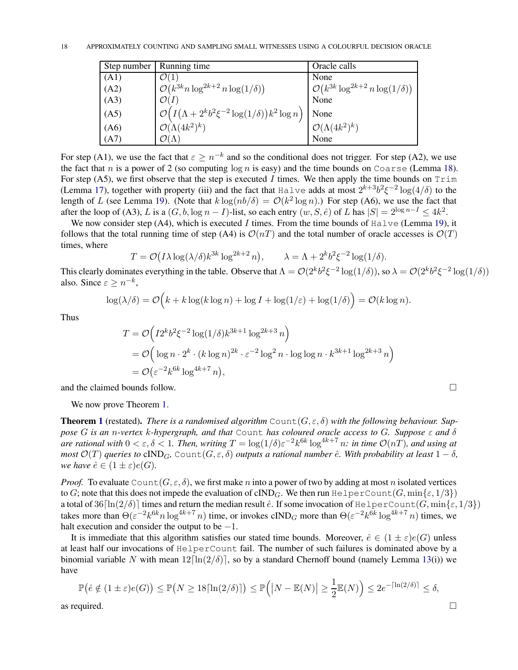| Step number | Running time                                                                          | Oracle calls                                       |
|-------------|---------------------------------------------------------------------------------------|----------------------------------------------------|
| (A1)        | $\mathcal{O}(1)$                                                                      | None                                               |
| (A2)        | $\mathcal{O}(k^{3k}n\log^{2k+2} n\log(1/\delta))$                                     | $\mathcal{O}(k^{3k} \log^{2k+2} n \log(1/\delta))$ |
| (A3)        | $\mathcal{O}(I)$                                                                      | None                                               |
| (A5)        | $\mathcal{O}\left(I\left(\Lambda+2^kb^2\xi^{-2}\log(1/\delta)\right)k^2\log n\right)$ | None                                               |
| (A6)        | $\mathcal{O}(\Lambda(4k^2)^k)$                                                        | $\mathcal{O}(\Lambda(4k^2)^k)$                     |
| (A7)        | $\mathcal{O}(\Lambda)$                                                                | None                                               |

For step (A1), we use the fact that  $\varepsilon \ge n^{-k}$  and so the conditional does not trigger. For step (A2), we use the fact that n is a power of 2 (so computing  $\log n$  is easy) and the time bounds on Coarse (Lemma [18\)](#page-13-0). For step (A5), we first observe that the step is executed I times. We then apply the time bounds on  $Trim$ (Lemma [17\)](#page-11-0), together with property (iii) and the fact that Halve adds at most  $2^{k+3}b^2\xi^{-2}\log(4/\delta)$  to the length of L (see Lemma [19\)](#page-14-4). (Note that  $k \log(n b/\delta) = O(k^2 \log n)$ .) For step (A6), we use the fact that after the loop of (A3), L is a  $(G, b, \log n - I)$ -list, so each entry  $(w, S, \hat{e})$  of L has  $|S| = 2^{\log n - I} \leq 4k^2$ .

We now consider step (A4), which is executed I times. From the time bounds of  $H\nu$ e (Lemma [19\)](#page-14-4), it follows that the total running time of step (A4) is  $\mathcal{O}(nT)$  and the total number of oracle accesses is  $\mathcal{O}(T)$ times, where

$$
T = \mathcal{O}(I\lambda \log(\lambda/\delta)k^{3k} \log^{2k+2} n), \qquad \lambda = \Lambda + 2^k b^2 \xi^{-2} \log(1/\delta).
$$

This clearly dominates everything in the table. Observe that  $\Lambda = \mathcal{O}(2^k b^2 \xi^{-2} \log(1/\delta))$ , so  $\lambda = \mathcal{O}(2^k b^2 \xi^{-2} \log(1/\delta))$ also. Since  $\varepsilon \geq n^{-k}$ ,

$$
\log(\lambda/\delta) = \mathcal{O}\Big(k + k\log(k\log n) + \log I + \log(1/\varepsilon) + \log(1/\delta)\Big) = \mathcal{O}(k\log n).
$$

Thus

$$
T = \mathcal{O}\left(I2^kb^2\xi^{-2}\log(1/\delta)k^{3k+1}\log^{2k+3}n\right)
$$
  
=  $\mathcal{O}\left(\log n \cdot 2^k \cdot (k\log n)^{2k} \cdot \varepsilon^{-2}\log^2 n \cdot \log\log n \cdot k^{3k+1}\log^{2k+3}n\right)$   
=  $\mathcal{O}\left(\varepsilon^{-2}k^{6k}\log^{4k+7}n\right),$ 

and the claimed bounds follow.

We now prove Theorem [1.](#page-2-1)

**Theorem [1](#page-2-1)** (restated). *There is a randomised algorithm*  $Count(G, \varepsilon, \delta)$  with the following behaviour. Sup*pose* G *is an* n*-vertex* k*-hypergraph, and that* Count *has coloured oracle access to* G*. Suppose* ε *and* δ *are rational with*  $0 < \varepsilon, \delta < 1$ . Then, writing  $T = \log(1/\delta) \varepsilon^{-2} k^{6k} \log^{4k+7} n$ : in time  $\mathcal{O}(nT)$ , and using at *most*  $\mathcal{O}(T)$  *queries to* cIND<sub>G</sub>, Count $(G, \varepsilon, \delta)$  *outputs a rational number*  $\hat{e}$ *. With probability at least*  $1 - \delta$ *, we have*  $\hat{e} \in (1 \pm \varepsilon)e(G)$ *.* 

*Proof.* To evaluate Count  $(G, \varepsilon, \delta)$ , we first make n into a power of two by adding at most n isolated vertices to G; note that this does not impede the evaluation of cIND<sub>G</sub>. We then run HelperCount(G, min{ $\varepsilon$ , 1/3}) a total of  $36[\ln(2/\delta)]$  times and return the median result  $\hat{e}$ . If some invocation of HelperCount(G, min{ $\hat{\epsilon}$ , 1/3}) takes more than  $\Theta(\varepsilon^{-2}k^{6k}n\log^{4k+7}n)$  time, or invokes cIND<sub>G</sub> more than  $\Theta(\varepsilon^{-2}k^{6k}\log^{4k+7}n)$  times, we halt execution and consider the output to be  $-1$ .

It is immediate that this algorithm satisfies our stated time bounds. Moreover,  $\hat{e} \in (1 \pm \varepsilon)e(G)$  unless at least half our invocations of HelperCount fail. The number of such failures is dominated above by a binomial variable N with mean  $12[\ln(2/\delta)]$ , so by a standard Chernoff bound (namely Lemma [13\(](#page-8-3)i)) we have

$$
\mathbb{P}\left(\hat{e} \notin (1 \pm \varepsilon)e(G)\right) \le \mathbb{P}\left(N \ge 18\lceil \ln(2/\delta) \rceil\right) \le \mathbb{P}\left(\left|N - \mathbb{E}(N)\right| \ge \frac{1}{2}\mathbb{E}(N)\right) \le 2e^{-\lceil \ln(2/\delta) \rceil} \le \delta,
$$
 as required.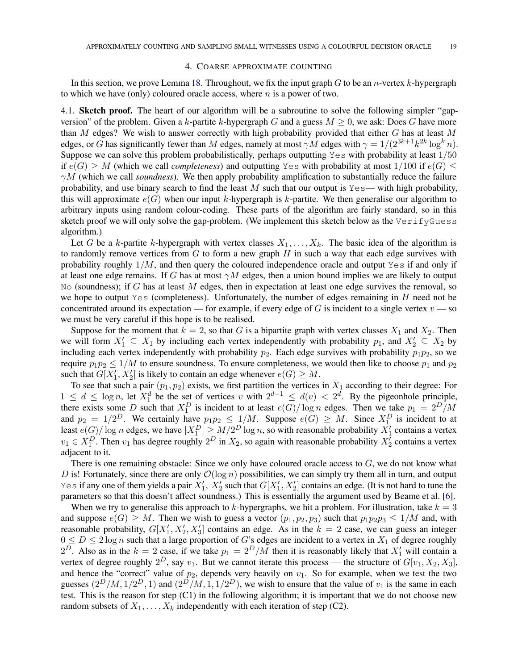#### 4. COARSE APPROXIMATE COUNTING

<span id="page-18-0"></span>In this section, we prove Lemma [18.](#page-13-0) Throughout, we fix the input graph  $G$  to be an *n*-vertex  $k$ -hypergraph to which we have (only) coloured oracle access, where  $n$  is a power of two.

4.1. Sketch proof. The heart of our algorithm will be a subroutine to solve the following simpler "gapversion" of the problem. Given a k-partite k-hypergraph G and a guess  $M > 0$ , we ask: Does G have more than M edges? We wish to answer correctly with high probability provided that either  $G$  has at least  $M$ edges, or G has significantly fewer than M edges, namely at most  $\gamma M$  edges with  $\gamma = 1/(2^{3k+1}k^{2k} \log^k n)$ . Suppose we can solve this problem probabilistically, perhaps outputting  $Y \text{ es with probability at least } 1/50$ if  $e(G) \geq M$  (which we call *completeness*) and outputting Yes with probability at most  $1/100$  if  $e(G) \leq$  $\gamma M$  (which we call *soundness*). We then apply probability amplification to substantially reduce the failure probability, and use binary search to find the least  $M$  such that our output is Yes— with high probability, this will approximate  $e(G)$  when our input k-hypergraph is k-partite. We then generalise our algorithm to arbitrary inputs using random colour-coding. These parts of the algorithm are fairly standard, so in this sketch proof we will only solve the gap-problem. (We implement this sketch below as the VerifyGuess algorithm.)

Let G be a k-partite k-hypergraph with vertex classes  $X_1, \ldots, X_k$ . The basic idea of the algorithm is to randomly remove vertices from  $G$  to form a new graph  $H$  in such a way that each edge survives with probability roughly  $1/M$ , and then query the coloured independence oracle and output Yes if and only if at least one edge remains. If G has at most  $\gamma M$  edges, then a union bound implies we are likely to output No (soundness); if G has at least  $M$  edges, then in expectation at least one edge survives the removal, so we hope to output Yes (completeness). Unfortunately, the number of edges remaining in  $H$  need not be concentrated around its expectation — for example, if every edge of G is incident to a single vertex  $v$  — so we must be very careful if this hope is to be realised.

Suppose for the moment that  $k = 2$ , so that G is a bipartite graph with vertex classes  $X_1$  and  $X_2$ . Then we will form  $X'_1 \subseteq X_1$  by including each vertex independently with probability  $p_1$ , and  $X'_2 \subseteq X_2$  by including each vertex independently with probability  $p_2$ . Each edge survives with probability  $p_1p_2$ , so we require  $p_1p_2 \le 1/M$  to ensure soundness. To ensure completeness, we would then like to choose  $p_1$  and  $p_2$ such that  $G[X'_1, X'_2]$  is likely to contain an edge whenever  $e(G) \geq M$ .

To see that such a pair  $(p_1, p_2)$  exists, we first partition the vertices in  $X_1$  according to their degree: For  $1 \leq d \leq \log n$ , let  $X_1^d$  be the set of vertices v with  $2^{d-1} \leq d(v) < 2^d$ . By the pigeonhole principle, there exists some D such that  $X_1^D$  is incident to at least  $e(G)/\log n$  edges. Then we take  $p_1 = 2^D/M$ and  $p_2 = 1/2^D$ . We certainly have  $p_1p_2 \le 1/M$ . Suppose  $e(G) \ge M$ . Since  $X_1^D$  is incident to at least  $e(G)/\log n$  edges, we have  $|X_1^D| \ge M/2^D \log n$ , so with reasonable probability  $X_1'$  contains a vertex  $v_1 \in X_1^D$ . Then  $v_1$  has degree roughly  $2^D$  in  $X_2$ , so again with reasonable probability  $X_2'$  contains a vertex adjacent to it.

There is one remaining obstacle: Since we only have coloured oracle access to  $G$ , we do not know what D is! Fortunately, since there are only  $\mathcal{O}(\log n)$  possibilities, we can simply try them all in turn, and output Yes if any one of them yields a pair  $X'_1$ ,  $X'_2$  such that  $G[X'_1, X'_2]$  contains an edge. (It is not hard to tune the parameters so that this doesn't affect soundness.) This is essentially the argument used by Beame et al. [\[6\]](#page-33-0).

When we try to generalise this approach to k-hypergraphs, we hit a problem. For illustration, take  $k = 3$ and suppose  $e(G) \geq M$ . Then we wish to guess a vector  $(p_1, p_2, p_3)$  such that  $p_1p_2p_3 \leq 1/M$  and, with reasonable probability,  $G[X'_1, X'_2, X'_3]$  contains an edge. As in the  $k = 2$  case, we can guess an integer  $0 \le D \le 2 \log n$  such that a large proportion of G's edges are incident to a vertex in  $X_1$  of degree roughly  $2^D$ . Also as in the  $k = 2$  case, if we take  $p_1 = 2^D/M$  then it is reasonably likely that  $X'_1$  will contain a vertex of degree roughly  $2^D$ , say  $v_1$ . But we cannot iterate this process — the structure of  $G[v_1, X_2, X_3]$ , and hence the "correct" value of  $p_2$ , depends very heavily on  $v_1$ . So for example, when we test the two guesses  $(2^D/M, 1/2^D, 1)$  and  $(2^D/M, 1, 1/2^D)$ , we wish to ensure that the value of  $v_1$  is the same in each test. This is the reason for step (C1) in the following algorithm; it is important that we do not choose new random subsets of  $X_1, \ldots, X_k$  independently with each iteration of step (C2).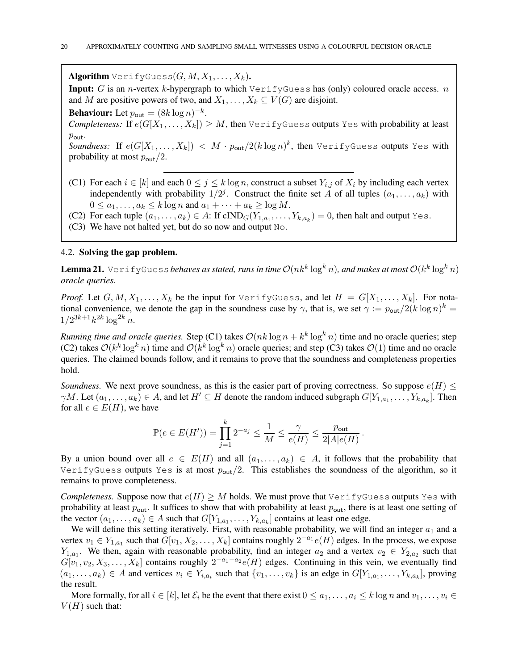**Algorithm** VerifyGuess $(G, M, X_1, \ldots, X_k)$ .

Input: G is an *n*-vertex k-hypergraph to which  $\text{VerifyGuess}$  has (only) coloured oracle access. *n* and M are positive powers of two, and  $X_1, \ldots, X_k \subseteq V(G)$  are disjoint.

**Behaviour:** Let  $p_{\text{out}} = (8k \log n)^{-k}$ .

*Completeness:* If  $e(G[X_1, \ldots, X_k]) \geq M$ , then VerifyGuess outputs Yes with probability at least  $p_{\text{out}}$ .

 $\textit{Soundness:} \;\; \text{If} \;\, e(G[X_1, \dots, X_k]) \; <\; M \cdot p_\mathsf{out}/2 (k \log n)^k, \text{ then } \text{VerifyGuess outputs Yes with}$ probability at most  $p_{\text{out}}/2$ .

- (C1) For each  $i \in [k]$  and each  $0 \le j \le k \log n$ , construct a subset  $Y_{i,j}$  of  $X_i$  by including each vertex independently with probability  $1/2^j$ . Construct the finite set A of all tuples  $(a_1, \ldots, a_k)$  with  $0 \le a_1, \ldots, a_k \le k \log n$  and  $a_1 + \cdots + a_k \ge \log M$ .
- (C2) For each tuple  $(a_1, \ldots, a_k) \in A$ : If  $\text{cIND}_G(Y_{1,a_1}, \ldots, Y_{k,a_k}) = 0$ , then halt and output Yes.
- (C3) We have not halted yet, but do so now and output No.

#### 4.2. Solving the gap problem.

<span id="page-19-0"></span> ${\bf Lenna~21.}$  VerifyGuess*behaves as stated, runs in time*  $\mathcal{O}(nk^k\log^kn)$ *, and makes at most*  $\mathcal{O}(k^k\log^kn)$ *oracle queries.*

*Proof.* Let  $G, M, X_1, \ldots, X_k$  be the input for  $\forall$ erifyGuess, and let  $H = G[X_1, \ldots, X_k]$ . For notational convenience, we denote the gap in the soundness case by  $\gamma$ , that is, we set  $\gamma := p_{\text{out}}/2(k \log n)^k =$  $1/2^{3k+1}k^{2k}\log^{2k} n$ .

*Running time and oracle queries.* Step (C1) takes  $\mathcal{O}(nk \log n + k^k \log^k n)$  time and no oracle queries; step (C2) takes  $\mathcal{O}(k^k \log^k n)$  time and  $\mathcal{O}(k^k \log^k n)$  oracle queries; and step (C3) takes  $\mathcal{O}(1)$  time and no oracle queries. The claimed bounds follow, and it remains to prove that the soundness and completeness properties hold.

*Soundness.* We next prove soundness, as this is the easier part of proving correctness. So suppose  $e(H) \leq$  $\gamma M$ . Let  $(a_1, \ldots, a_k) \in A$ , and let  $H' \subseteq H$  denote the random induced subgraph  $G[Y_{1,a_1}, \ldots, Y_{k,a_k}]$ . Then for all  $e \in E(H)$ , we have

$$
\mathbb{P}(e \in E(H')) = \prod_{j=1}^k 2^{-a_j} \le \frac{1}{M} \le \frac{\gamma}{e(H)} \le \frac{p_{\text{out}}}{2|A|e(H)}.
$$

By a union bound over all  $e \in E(H)$  and all  $(a_1, \ldots, a_k) \in A$ , it follows that the probability that VerifyGuess outputs Yes is at most  $p_{\text{out}}/2$ . This establishes the soundness of the algorithm, so it remains to prove completeness.

*Completeness.* Suppose now that  $e(H) \geq M$  holds. We must prove that VerifyGuess outputs Yes with probability at least  $p_{\text{out}}$ . It suffices to show that with probability at least  $p_{\text{out}}$ , there is at least one setting of the vector  $(a_1, \ldots, a_k) \in A$  such that  $G[Y_{1,a_1}, \ldots, Y_{k,a_k}]$  contains at least one edge.

We will define this setting iteratively. First, with reasonable probability, we will find an integer  $a_1$  and a vertex  $v_1 \in Y_{1,a_1}$  such that  $G[v_1, X_2, \ldots, X_k]$  contains roughly  $2^{-a_1}e(H)$  edges. In the process, we expose  $Y_{1,a_1}$ . We then, again with reasonable probability, find an integer  $a_2$  and a vertex  $v_2 \in Y_{2,a_2}$  such that  $G[v_1, v_2, X_3, \ldots, X_k]$  contains roughly  $2^{-a_1-a_2}e(H)$  edges. Continuing in this vein, we eventually find  $(a_1, \ldots, a_k) \in A$  and vertices  $v_i \in Y_{i,a_i}$  such that  $\{v_1, \ldots, v_k\}$  is an edge in  $G[Y_{1,a_1}, \ldots, Y_{k,a_k}]$ , proving the result.

More formally, for all  $i \in [k]$ , let  $\mathcal{E}_i$  be the event that there exist  $0 \leq a_1, \ldots, a_i \leq k \log n$  and  $v_1, \ldots, v_i \in$  $V(H)$  such that: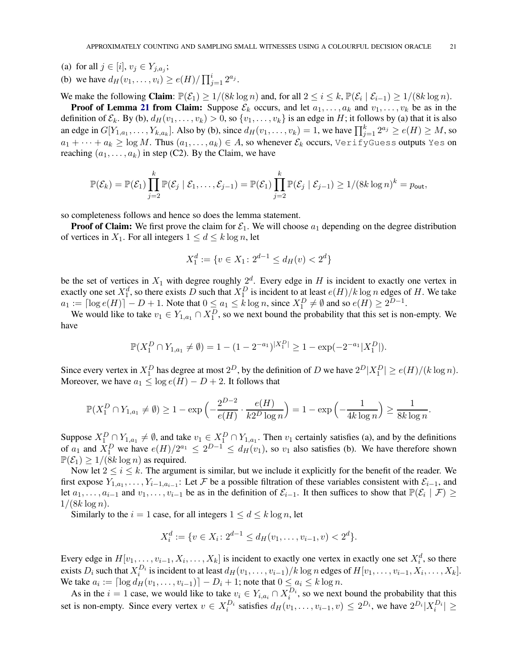- (a) for all  $j \in [i], v_j \in Y_{j, a_j}$ ;
- (b) we have  $d_H(v_1, ..., v_i) \ge e(H) / \prod_{j=1}^i 2^{a_j}$ .

We make the following Claim:  $\mathbb{P}(\mathcal{E}_1) \geq 1/(8k \log n)$  and, for all  $2 \leq i \leq k$ ,  $\mathbb{P}(\mathcal{E}_i \mid \mathcal{E}_{i-1}) \geq 1/(8k \log n)$ .

**Proof of Lemma [21](#page-19-0) from Claim:** Suppose  $\mathcal{E}_k$  occurs, and let  $a_1, \ldots, a_k$  and  $v_1, \ldots, v_k$  be as in the definition of  $\mathcal{E}_k$ . By (b),  $d_H(v_1, \ldots, v_k) > 0$ , so  $\{v_1, \ldots, v_k\}$  is an edge in H; it follows by (a) that it is also an edge in  $G[Y_{1,a_1},\ldots,Y_{k,a_k}]$ . Also by (b), since  $d_H(v_1,\ldots,v_k)=1$ , we have  $\prod_{j=1}^k 2^{a_j} \ge e(H) \ge M$ , so  $a_1 + \cdots + a_k \ge \log M$ . Thus  $(a_1, \ldots, a_k) \in A$ , so whenever  $\mathcal{E}_k$  occurs, VerifyGuess outputs Yes on reaching  $(a_1, \ldots, a_k)$  in step (C2). By the Claim, we have

$$
\mathbb{P}(\mathcal{E}_k)=\mathbb{P}(\mathcal{E}_1)\prod_{j=2}^k \mathbb{P}(\mathcal{E}_j \mid \mathcal{E}_1,\ldots,\mathcal{E}_{j-1})=\mathbb{P}(\mathcal{E}_1)\prod_{j=2}^k \mathbb{P}(\mathcal{E}_j \mid \mathcal{E}_{j-1})\geq 1/(8k\log n)^k=p_{\text{out}},
$$

so completeness follows and hence so does the lemma statement.

**Proof of Claim:** We first prove the claim for  $\mathcal{E}_1$ . We will choose  $a_1$  depending on the degree distribution of vertices in  $X_1$ . For all integers  $1 \le d \le k \log n$ , let

$$
X_1^d := \{ v \in X_1 \colon 2^{d-1} \le d_H(v) < 2^d \}
$$

be the set of vertices in  $X_1$  with degree roughly  $2^d$ . Every edge in H is incident to exactly one vertex in exactly one set  $X_1^d$ , so there exists D such that  $X_1^D$  is incident to at least  $e(H)/k \log n$  edges of H. We take  $a_1 := \lceil \log e(H) \rceil - D + 1$ . Note that  $0 \le a_1 \le k \log n$ , since  $X_1^D \ne \emptyset$  and so  $e(H) \ge 2^{D-1}$ .

We would like to take  $v_1 \in Y_{1,a_1} \cap X_1^D$ , so we next bound the probability that this set is non-empty. We have

$$
\mathbb{P}(X_1^D \cap Y_{1,a_1} \neq \emptyset) = 1 - (1 - 2^{-a_1})^{|X_1^D|} \geq 1 - \exp(-2^{-a_1} |X_1^D|).
$$

Since every vertex in  $X_1^D$  has degree at most  $2^D$ , by the definition of D we have  $2^D |X_1^D| \ge e(H)/(k \log n)$ . Moreover, we have  $a_1 \leq \log e(H) - D + 2$ . It follows that

$$
\mathbb{P}(X_1^D \cap Y_{1,a_1} \neq \emptyset) \ge 1 - \exp\left(-\frac{2^{D-2}}{e(H)} \cdot \frac{e(H)}{k2^D \log n}\right) = 1 - \exp\left(-\frac{1}{4k \log n}\right) \ge \frac{1}{8k \log n}.
$$

Suppose  $X_1^D \cap Y_{1,a_1} \neq \emptyset$ , and take  $v_1 \in X_1^D \cap Y_{1,a_1}$ . Then  $v_1$  certainly satisfies (a), and by the definitions of  $a_1$  and  $X_1^D$  we have  $e(H)/2^{a_1} \leq 2^{D-1} \leq d_H(v_1)$ , so  $v_1$  also satisfies (b). We have therefore shown  $\mathbb{P}(\mathcal{E}_1) \ge 1/(8k \log n)$  as required.

Now let  $2 \le i \le k$ . The argument is similar, but we include it explicitly for the benefit of the reader. We first expose  $Y_{1,a_1}, \ldots, Y_{i-1,a_{i-1}}$ : Let F be a possible filtration of these variables consistent with  $\mathcal{E}_{i-1}$ , and let  $a_1, \ldots, a_{i-1}$  and  $v_1, \ldots, v_{i-1}$  be as in the definition of  $\mathcal{E}_{i-1}$ . It then suffices to show that  $\mathbb{P}(\mathcal{E}_i | \mathcal{F}) \ge$  $1/(8k \log n)$ .

Similarly to the  $i = 1$  case, for all integers  $1 \leq d \leq k \log n$ , let

$$
X_i^d := \{ v \in X_i \colon 2^{d-1} \le d_H(v_1, \dots, v_{i-1}, v) < 2^d \}.
$$

Every edge in  $H[v_1, \ldots, v_{i-1}, X_i, \ldots, X_k]$  is incident to exactly one vertex in exactly one set  $X_i^d$ , so there exists  $D_i$  such that  $X_i^{D_i}$  is incident to at least  $d_H(v_1, \ldots, v_{i-1})/k \log n$  edges of  $H[v_1, \ldots, v_{i-1}, X_i, \ldots, X_k]$ . We take  $a_i := \lceil \log d_H(v_1, \ldots, v_{i-1}) \rceil - D_i + 1$ ; note that  $0 \le a_i \le k \log n$ .

As in the  $i = 1$  case, we would like to take  $v_i \in Y_{i,a_i} \cap X_i^{D_i}$ , so we next bound the probability that this set is non-empty. Since every vertex  $v \in X_i^{D_i}$  satisfies  $d_H(v_1, \ldots, v_{i-1}, v) \leq 2^{D_i}$ , we have  $2^{D_i} |X_i^{D_i}| \geq$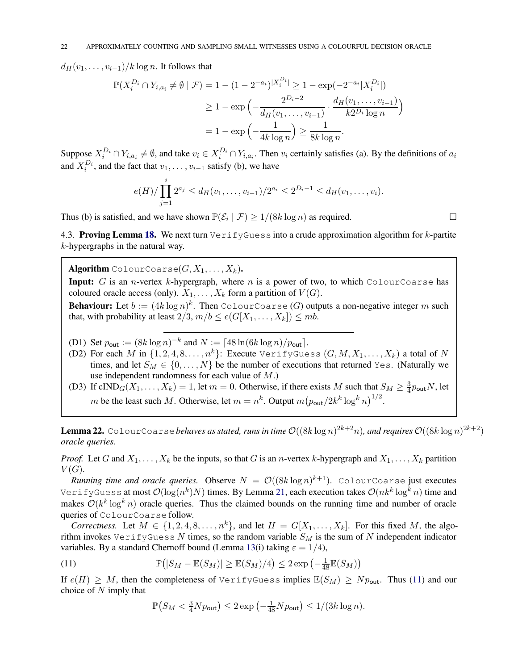$d_H(v_1, \ldots, v_{i-1})/k \log n$ . It follows that

$$
\mathbb{P}(X_i^{D_i} \cap Y_{i,a_i} \neq \emptyset \mid \mathcal{F}) = 1 - (1 - 2^{-a_i})^{|X_i^{D_i}|} \geq 1 - \exp(-2^{-a_i}|X_i^{D_i}|)
$$
  
\n
$$
\geq 1 - \exp\left(-\frac{2^{D_i - 2}}{d_H(v_1, \dots, v_{i-1})} \cdot \frac{d_H(v_1, \dots, v_{i-1})}{k2^{D_i} \log n}\right)
$$
  
\n
$$
= 1 - \exp\left(-\frac{1}{4k \log n}\right) \geq \frac{1}{8k \log n}.
$$

Suppose  $X_i^{D_i} \cap Y_{i,a_i} \neq \emptyset$ , and take  $v_i \in X_i^{D_i} \cap Y_{i,a_i}$ . Then  $v_i$  certainly satisfies (a). By the definitions of  $a_i$ and  $X_i^{D_i}$ , and the fact that  $v_1, \ldots, v_{i-1}$  satisfy (b), we have

$$
e(H)/\prod_{j=1}^i 2^{a_j} \leq d_H(v_1,\ldots,v_{i-1})/2^{a_i} \leq 2^{D_i-1} \leq d_H(v_1,\ldots,v_i).
$$

Thus (b) is satisfied, and we have shown  $\mathbb{P}(\mathcal{E}_i | \mathcal{F}) \ge 1/(8k \log n)$  as required.

4.3. Proving Lemma [18.](#page-13-0) We next turn  $\text{VerifyGues}$  into a crude approximation algorithm for k-partite k-hypergraphs in the natural way.

**Algorithm** ColourCoarse $(G, X_1, \ldots, X_k)$ .

**Input:** G is an *n*-vertex k-hypergraph, where n is a power of two, to which ColourCoarse has coloured oracle access (only).  $X_1, \ldots, X_k$  form a partition of  $V(G)$ .

**Behaviour:** Let  $b := (4k \log n)^k$ . Then ColourCoarse (G) outputs a non-negative integer m such that, with probability at least  $2/3$ ,  $m/b \le e(G[X_1, \ldots, X_k]) \le mb$ .

- (D1) Set  $p_{\text{out}} := (8k \log n)^{-k}$  and  $N := \lceil 48 \ln(6k \log n) / p_{\text{out}} \rceil$ .
- (D2) For each M in  $\{1, 2, 4, 8, \ldots, n^k\}$ : Execute VerifyGuess  $(G, M, X_1, \ldots, X_k)$  a total of N times, and let  $S_M \in \{0, \ldots, N\}$  be the number of executions that returned Yes. (Naturally we use independent randomness for each value of M.)
- (D3) If  $\text{cIND}_G(X_1,\ldots,X_k) = 1$ , let  $m = 0$ . Otherwise, if there exists M such that  $S_M \geq \frac{3}{4}p_{\text{out}}N$ , let m be the least such M. Otherwise, let  $m = n^k$ . Output  $m (p_{\text{out}}/2k^k \log^k n)^{1/2}$ .

<span id="page-21-1"></span>**Lemma 22.** ColourCoarse behaves as stated, runs in time  $\mathcal{O}((8k \log n)^{2k+2}n)$ , and requires  $\mathcal{O}((8k \log n)^{2k+2})$ *oracle queries.*

*Proof.* Let G and  $X_1, \ldots, X_k$  be the inputs, so that G is an *n*-vertex k-hypergraph and  $X_1, \ldots, X_k$  partition  $V(G).$ 

*Running time and oracle queries.* Observe  $N = \mathcal{O}((8k \log n)^{k+1})$ . ColourCoarse just executes VerifyGuess at most  $\mathcal{O}(\log(n^k)N)$  times. By Lemma [21,](#page-19-0) each execution takes  $\mathcal{O}(nk^k\log^kn)$  time and makes  $\mathcal{O}(k^k \log^k n)$  oracle queries. Thus the claimed bounds on the running time and number of oracle queries of ColourCoarse follow.

*Correctness.* Let  $M \in \{1, 2, 4, 8, \ldots, n^k\}$ , and let  $H = G[X_1, \ldots, X_k]$ . For this fixed M, the algorithm invokes VerifyGuess N times, so the random variable  $S_M$  is the sum of N independent indicator variables. By a standard Chernoff bound (Lemma [13\(](#page-8-3)i) taking  $\varepsilon = 1/4$ ),

<span id="page-21-0"></span>(11) 
$$
\mathbb{P}(|S_M - \mathbb{E}(S_M)| \geq \mathbb{E}(S_M)/4) \leq 2 \exp\left(-\frac{1}{48}\mathbb{E}(S_M)\right)
$$

If  $e(H) \geq M$ , then the completeness of VerifyGuess implies  $\mathbb{E}(S_M) \geq N_{\text{Pout}}$ . Thus [\(11\)](#page-21-0) and our choice of  $N$  imply that

$$
\mathbb{P}(S_M < \frac{3}{4}Np_{\text{out}}) \le 2\exp\left(-\frac{1}{48}Np_{\text{out}}\right) \le 1/(3k\log n).
$$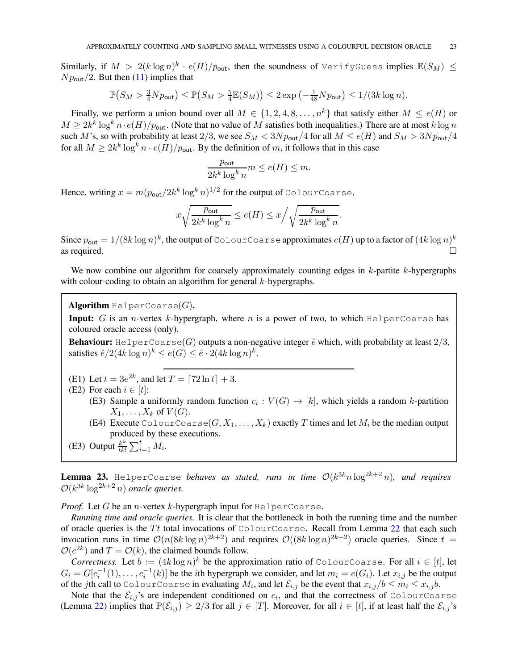Similarly, if  $M > 2(k \log n)^k \cdot e(H)/p_{\sf out}$ , then the soundness of <code>VerifyGuess</code> implies  $\mathbb{E}(S_M) \leq$  $N p_{\text{out}}/2$ . But then [\(11\)](#page-21-0) implies that

$$
\mathbb{P}(S_M > \frac{3}{4}Np_{\text{out}}) \le \mathbb{P}(S_M > \frac{5}{4}\mathbb{E}(S_M)) \le 2\exp\left(-\frac{1}{48}Np_{\text{out}}\right) \le 1/(3k\log n).
$$

Finally, we perform a union bound over all  $M \in \{1, 2, 4, 8, \ldots, n^k\}$  that satisfy either  $M \leq e(H)$  or  $M \ge 2k^k \log^k n \cdot e(H)/p_{\text{out}}$ . (Note that no value of M satisfies both inequalities.) There are at most k log n such M's, so with probability at least 2/3, we see  $S_M < 3N p_{\text{out}}/4$  for all  $M \le e(H)$  and  $S_M > 3N p_{\text{out}}/4$ for all  $M \geq 2k^k \log^k n \cdot e(H)/p_{\text{out}}$ . By the definition of m, it follows that in this case

$$
\frac{p_{\text{out}}}{2k^k \log^k n} m \le e(H) \le m.
$$

Hence, writing  $x = m (p_\mathsf{out}/2k^k \log^k n)^{1/2}$  for the output of <code>ColourCoarse,</code>

$$
x\sqrt{\frac{p_\mathsf{out}}{2k^k\log^kn}}\leq e(H)\leq x\Big/\sqrt{\frac{p_\mathsf{out}}{2k^k\log^kn}}.
$$

Since  $p_\mathsf{out}=1/(8k\log n)^k,$  the output of <code>ColourCoarse</code> approximates  $e(H)$  up to a factor of  $(4k\log n)^k$ as required.  $\Box$ 

We now combine our algorithm for coarsely approximately counting edges in  $k$ -partite  $k$ -hypergraphs with colour-coding to obtain an algorithm for general k-hypergraphs.

Algorithm HelperCoarse $(G)$ .

**Input:** G is an *n*-vertex k-hypergraph, where n is a power of two, to which  $He1perCoarse$  has coloured oracle access (only).

**Behaviour:** HelperCoarse(G) outputs a non-negative integer  $\hat{e}$  which, with probability at least  $2/3$ , satisfies  $\hat{e}/2(4k \log n)^k \le e(G) \le \hat{e} \cdot 2(4k \log n)^k$ .

(E1) Let  $t = 3e^{2k}$ , and let  $T = \lceil 72 \ln t \rceil + 3$ .

(E2) For each  $i \in [t]$ :

- (E3) Sample a uniformly random function  $c_i: V(G) \to [k]$ , which yields a random k-partition  $X_1, \ldots, X_k$  of  $V(G)$ .
	- (E4) Execute ColourCoarse $(G, X_1, \ldots, X_k)$  exactly T times and let  $M_i$  be the median output produced by these executions.
- (E3) Output  $\frac{k^k}{t^{k}}$  $\frac{k^k}{tk!}\sum_{i=1}^t M_i$ .

<span id="page-22-0"></span>**Lemma 23.** HelperCoarse *behaves as stated, runs in time*  $\mathcal{O}(k^{3k}n\log^{2k+2}n)$ *, and requires*  $\mathcal{O}(k^{3k} \log^{2k+2} n)$  *oracle queries.* 

*Proof.* Let  $G$  be an *n*-vertex  $k$ -hypergraph input for  $\text{He1perCoarse.}$ 

*Running time and oracle queries.* It is clear that the bottleneck in both the running time and the number of oracle queries is the  $Tt$  total invocations of ColourCoarse. Recall from Lemma [22](#page-21-1) that each such invocation runs in time  $\mathcal{O}(n(8k \log n)^{2k+2})$  and requires  $\mathcal{O}((8k \log n)^{2k+2})$  oracle queries. Since  $t =$  $\mathcal{O}(e^{2k})$  and  $T = \mathcal{O}(k)$ , the claimed bounds follow.

*Correctness.* Let  $b := (4k \log n)^k$  be the approximation ratio of ColourCoarse. For all  $i \in [t]$ , let  $G_i = G[c_i^{-1}(1), \ldots, c_i^{-1}(k)]$  be the *i*th hypergraph we consider, and let  $m_i = e(G_i)$ . Let  $x_{i,j}$  be the output of the jth call to ColourCoarse in evaluating  $M_i$ , and let  $\mathcal{E}_{i,j}$  be the event that  $x_{i,j}/b \leq m_i \leq x_{i,j}b$ .

Note that the  $\mathcal{E}_{i,j}$ 's are independent conditioned on  $c_i$ , and that the correctness of ColourCoarse (Lemma [22\)](#page-21-1) implies that  $\mathbb{P}(\mathcal{E}_{i,j}) \geq 2/3$  for all  $j \in [T]$ . Moreover, for all  $i \in [t]$ , if at least half the  $\mathcal{E}_{i,j}$ 's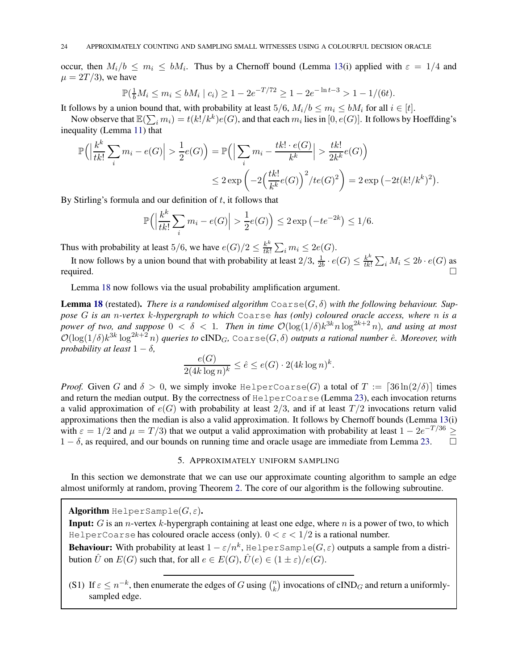occur, then  $M_i/b \le m_i \le bM_i$ . Thus by a Chernoff bound (Lemma [13\(](#page-8-3)i) applied with  $\varepsilon = 1/4$  and  $\mu = 2T/3$ , we have

$$
\mathbb{P}(\frac{1}{b}M_i \le m_i \le bM_i \mid c_i) \ge 1 - 2e^{-T/72} \ge 1 - 2e^{-\ln t - 3} > 1 - 1/(6t).
$$

It follows by a union bound that, with probability at least  $5/6$ ,  $M_i/b \le m_i \le bM_i$  for all  $i \in [t]$ .

Now observe that  $\mathbb{E}(\sum_i m_i) = t(k!/k^k)e(G)$ , and that each  $m_i$  lies in  $[0, e(G)]$ . It follows by Hoeffding's inequality (Lemma [11\)](#page-8-1) that

$$
\mathbb{P}\Big(\Big|\frac{k^k}{tk!}\sum_i m_i - e(G)\Big| > \frac{1}{2}e(G)\Big) = \mathbb{P}\Big(\Big|\sum_i m_i - \frac{tk! \cdot e(G)}{k^k}\Big| > \frac{tk!}{2k^k}e(G)\Big)
$$
  

$$
\leq 2\exp\left(-2\Big(\frac{tk!}{k^k}e(G)\Big)^2/te(G)^2\right) = 2\exp\left(-2t(k!/k^k)^2\right).
$$

By Stirling's formula and our definition of  $t$ , it follows that

$$
\mathbb{P}\Big(\Big|\frac{k^k}{tk!}\sum_i m_i - e(G)\Big| > \frac{1}{2}e(G)\Big) \le 2\exp\left(-te^{-2k}\right) \le 1/6.
$$

Thus with probability at least 5/6, we have  $e(G)/2 \leq \frac{k^k}{tk!}$  $\frac{k^k}{tk!}\sum_i m_i \leq 2e(G).$ 

It now follows by a union bound that with probability at least  $2/3$ ,  $\frac{1}{2}$  $\frac{1}{2b} \cdot e(G) \leq \frac{k^k}{tk!}$  $\frac{k^k}{t k!} \sum_i M_i \leq 2b \cdot e(G)$  as required.

Lemma [18](#page-13-0) now follows via the usual probability amplification argument.

**Lemma [18](#page-13-0)** (restated). *There is a randomised algorithm*  $\text{Coarse}(G, \delta)$  with the following behaviour. Sup*pose* G *is an* n*-vertex* k*-hypergraph to which* Coarse *has (only) coloured oracle access, where* n *is a power of two, and suppose*  $0 < \delta < 1$ . Then in time  $\mathcal{O}(\log(1/\delta)k^{3k}n \log^{2k+2} n)$ , and using at most  $\mathcal{O}(\log(1/\delta)k^{3k}\log^{2k+2}n)$  *queries to* cIND<sub>G</sub>, Coarse $(G,\delta)$  *outputs a rational number*  $\hat{e}$ *. Moreover, with probability at least*  $1 - \delta$ *,* 

$$
\frac{e(G)}{2(4k\log n)^k} \le \hat{e} \le e(G) \cdot 2(4k\log n)^k.
$$

*Proof.* Given G and  $\delta > 0$ , we simply invoke HelperCoarse(G) a total of  $T := \lceil 36 \ln(2/\delta) \rceil$  times and return the median output. By the correctness of HelperCoarse (Lemma [23\)](#page-22-0), each invocation returns a valid approximation of  $e(G)$  with probability at least  $2/3$ , and if at least  $T/2$  invocations return valid approximations then the median is also a valid approximation. It follows by Chernoff bounds (Lemma [13\(](#page-8-3)i) with  $\varepsilon = 1/2$  and  $\mu = T/3$ ) that we output a valid approximation with probability at least  $1 - 2e^{-T/36} \ge$  $1 - \delta$ , as required, and our bounds on running time and oracle usage are immediate from Lemma [23.](#page-22-0)  $\Box$ 

# 5. APPROXIMATELY UNIFORM SAMPLING

<span id="page-23-0"></span>In this section we demonstrate that we can use our approximate counting algorithm to sample an edge almost uniformly at random, proving Theorem [2.](#page-2-2) The core of our algorithm is the following subroutine.

**Algorithm** HelperSample $(G, \varepsilon)$ .

**Input:** G is an *n*-vertex  $k$ -hypergraph containing at least one edge, where  $n$  is a power of two, to which HelperCoarse has coloured oracle access (only).  $0 < \varepsilon < 1/2$  is a rational number.

**Behaviour:** With probability at least  $1 - \varepsilon/n^k$ ,  $\text{H}e1 \text{perSample}(G, \varepsilon)$  outputs a sample from a distribution  $\hat{U}$  on  $E(G)$  such that, for all  $e \in E(G)$ ,  $\hat{U}(e) \in (1 \pm \varepsilon)/e(G)$ .

(S1) If  $\varepsilon \le n^{-k}$ , then enumerate the edges of G using  $\binom{n}{k}$  $\binom{n}{k}$  invocations of cIND<sub>G</sub> and return a uniformlysampled edge.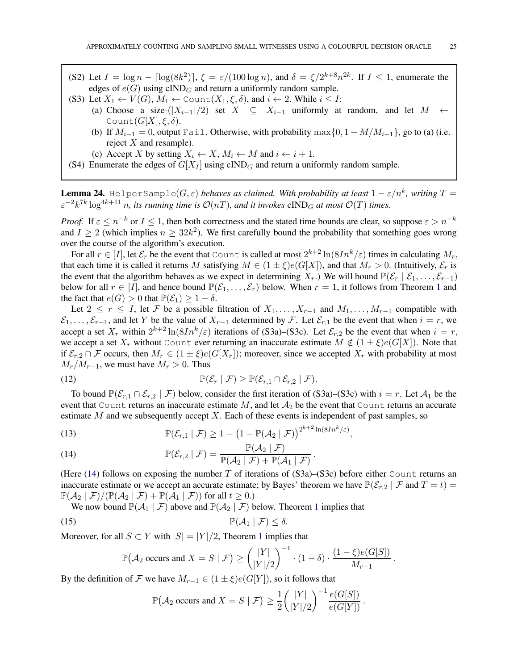- (S2) Let  $I = \log n \lceil \log(8k^2) \rceil$ ,  $\xi = \varepsilon/(100 \log n)$ , and  $\delta = \xi/2^{k+8} n^{2k}$ . If  $I \le 1$ , enumerate the edges of  $e(G)$  using cIND<sub>G</sub> and return a uniformly random sample.
- (S3) Let  $X_1 \leftarrow V(G)$ ,  $M_1 \leftarrow \text{Count}(X_1, \xi, \delta)$ , and  $i \leftarrow 2$ . While  $i \leq I$ :
	- (a) Choose a size- $(|X_{i-1}|/2)$  set  $X \subseteq X_{i-1}$  uniformly at random, and let  $M \leftarrow$ Count $(G[X], \xi, \delta)$ .
		- (b) If  $M_{i-1} = 0$ , output Fail. Otherwise, with probability max $\{0, 1 M/M_{i-1}\}\$ , go to (a) (i.e. reject  $X$  and resample).
	- (c) Accept X by setting  $X_i \leftarrow X$ ,  $M_i \leftarrow M$  and  $i \leftarrow i + 1$ .
- (S4) Enumerate the edges of  $G[X_I]$  using cIND<sub>G</sub> and return a uniformly random sample.

<span id="page-24-4"></span>**Lemma 24.** HelperSample( $G, \varepsilon$ ) *behaves as claimed. With probability at least*  $1 - \varepsilon/n^k$ , writing  $T =$  $\varepsilon^{-2} k^{7k} \log^{4k+11} n$ , its running time is  $\mathcal{O}(nT)$ , and it invokes  $\text{cIND}_G$  at most  $\mathcal{O}(T)$  times.

*Proof.* If  $\varepsilon \le n^{-k}$  or  $I \le 1$ , then both correctness and the stated time bounds are clear, so suppose  $\varepsilon > n^{-k}$ and  $I \ge 2$  (which implies  $n \ge 32k^2$ ). We first carefully bound the probability that something goes wrong over the course of the algorithm's execution.

For all  $r \in [I]$ , let  $\mathcal{E}_r$  be the event that Count is called at most  $2^{k+2} \ln(8In^k/\varepsilon)$  times in calculating  $M_r$ , that each time it is called it returns M satisfying  $M \in (1 \pm \xi)e(G[X])$ , and that  $M_r > 0$ . (Intuitively,  $\mathcal{E}_r$  is the event that the algorithm behaves as we expect in determining  $X_r$ .) We will bound  $\mathbb{P}(\mathcal{E}_r | \mathcal{E}_1, \ldots, \mathcal{E}_{r-1})$ below for all  $r \in [I]$ , and hence bound  $\mathbb{P}(\mathcal{E}_1,\ldots,\mathcal{E}_r)$  $\mathbb{P}(\mathcal{E}_1,\ldots,\mathcal{E}_r)$  $\mathbb{P}(\mathcal{E}_1,\ldots,\mathcal{E}_r)$  below. When  $r = 1$ , it follows from Theorem 1 and the fact that  $e(G) > 0$  that  $\mathbb{P}(\mathcal{E}_1) \geq 1 - \delta$ .

Let  $2 \le r \le I$ , let F be a possible filtration of  $X_1, \ldots, X_{r-1}$  and  $M_1, \ldots, M_{r-1}$  compatible with  $\mathcal{E}_1, \ldots, \mathcal{E}_{r-1}$ , and let Y be the value of  $X_{r-1}$  determined by F. Let  $\mathcal{E}_{r,1}$  be the event that when  $i = r$ , we accept a set  $X_r$  within  $2^{k+2} \ln(8In^k/\varepsilon)$  iterations of (S3a)–(S3c). Let  $\mathcal{E}_{r,2}$  be the event that when  $i = r$ , we accept a set  $X_r$  without Count ever returning an inaccurate estimate  $M \notin (1 \pm \xi)e(G[X])$ . Note that if  $\mathcal{E}_{r,2} \cap \mathcal{F}$  occurs, then  $M_r \in (1 \pm \xi)e(G[X_r])$ ; moreover, since we accepted  $X_r$  with probability at most  $M_r/M_{r-1}$ , we must have  $M_r > 0$ . Thus

<span id="page-24-3"></span>(12) 
$$
\mathbb{P}(\mathcal{E}_r | \mathcal{F}) \geq \mathbb{P}(\mathcal{E}_{r,1} \cap \mathcal{E}_{r,2} | \mathcal{F}).
$$

To bound  $\mathbb{P}(\mathcal{E}_{r,1} \cap \mathcal{E}_{r,2} | \mathcal{F})$  below, consider the first iteration of (S3a)–(S3c) with  $i = r$ . Let  $\mathcal{A}_1$  be the event that Count returns an inaccurate estimate  $M$ , and let  $A_2$  be the event that Count returns an accurate estimate  $M$  and we subsequently accept  $X$ . Each of these events is independent of past samples, so

<span id="page-24-1"></span>(13) 
$$
\mathbb{P}(\mathcal{E}_{r,1} \mid \mathcal{F}) \geq 1 - \left(1 - \mathbb{P}(\mathcal{A}_2 \mid \mathcal{F})\right)^{2^{k+2}\ln(8In^k/\varepsilon)},
$$

<span id="page-24-0"></span>(14) 
$$
\mathbb{P}(\mathcal{E}_{r,2} | \mathcal{F}) = \frac{\mathbb{P}(\mathcal{A}_2 | \mathcal{F})}{\mathbb{P}(\mathcal{A}_2 | \mathcal{F}) + \mathbb{P}(\mathcal{A}_1 | \mathcal{F})}.
$$

(Here [\(14\)](#page-24-0) follows on exposing the number T of iterations of  $(S3a)$ – $(S3c)$  before either Count returns an inaccurate estimate or we accept an accurate estimate; by Bayes' theorem we have  $\mathbb{P}(\mathcal{E}_{r,2} | \mathcal{F} \text{ and } T = t)$  $\mathbb{P}(\mathcal{A}_2 \mid \mathcal{F})/(\mathbb{P}(\mathcal{A}_2 \mid \mathcal{F}) + \mathbb{P}(\mathcal{A}_1 \mid \mathcal{F}))$  for all  $t \geq 0$ .)

We now bound  $\mathbb{P}(\mathcal{A}_1 | \mathcal{F})$  $\mathbb{P}(\mathcal{A}_1 | \mathcal{F})$  $\mathbb{P}(\mathcal{A}_1 | \mathcal{F})$  above and  $\mathbb{P}(\mathcal{A}_2 | \mathcal{F})$  below. Theorem 1 implies that

$$
\mathbb{P}(\mathcal{A}_1 \mid \mathcal{F}) \leq \delta.
$$

Moreover, for all  $S \subset Y$  with  $|S| = |Y|/2$ , Theorem [1](#page-2-1) implies that

$$
\mathbb{P}(\mathcal{A}_2 \text{ occurs and } X = S \mid \mathcal{F}) \ge \binom{|Y|}{|Y|/2}^{-1} \cdot (1 - \delta) \cdot \frac{(1 - \xi)e(G[S])}{M_{r-1}}
$$

.

By the definition of F we have  $M_{r-1} \in (1 \pm \xi) e(G[Y])$ , so it follows that

<span id="page-24-2"></span>
$$
\mathbb{P}(\mathcal{A}_2 \text{ occurs and } X = S \mid \mathcal{F}) \ge \frac{1}{2} {\binom{|Y|}{|Y|/2}}^{-1} \frac{e(G[S])}{e(G[Y])}.
$$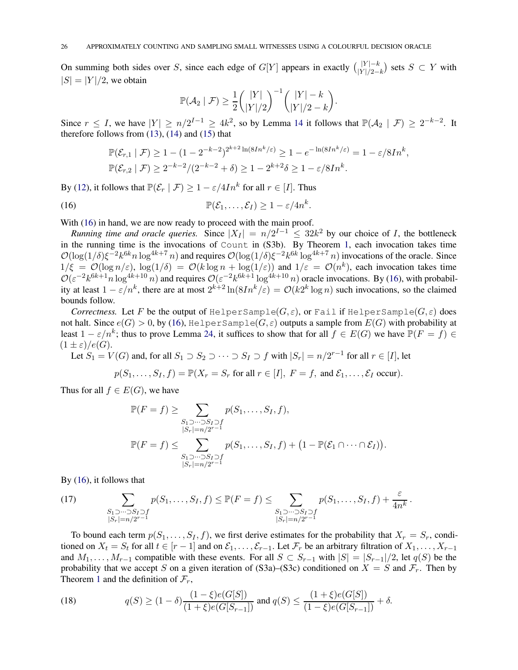On summing both sides over S, since each edge of  $G[Y]$  appears in exactly  $\binom{|Y|-k}{|Y|/2-k}$ ) sets  $S \subset Y$  with  $|S| = |Y|/2$ , we obtain

$$
\mathbb{P}(\mathcal{A}_2 \mid \mathcal{F}) \ge \frac{1}{2} \binom{|Y|}{|Y|/2}^{-1} \binom{|Y| - k}{|Y|/2 - k}.
$$

Since  $r \leq I$ , we have  $|Y| \geq n/2^{I-1} \geq 4k^2$ , so by Lemma [14](#page-8-0) it follows that  $\mathbb{P}(\mathcal{A}_2 | \mathcal{F}) \geq 2^{-k-2}$ . It therefore follows from [\(13\)](#page-24-1), [\(14\)](#page-24-0) and [\(15\)](#page-24-2) that

<span id="page-25-0"></span>
$$
\mathbb{P}(\mathcal{E}_{r,1} \mid \mathcal{F}) \ge 1 - (1 - 2^{-k-2})^{2^{k+2}\ln(8In^k/\varepsilon)} \ge 1 - e^{-\ln(8In^k/\varepsilon)} = 1 - \varepsilon/8In^k,
$$
  

$$
\mathbb{P}(\mathcal{E}_{r,2} \mid \mathcal{F}) \ge 2^{-k-2}/(2^{-k-2} + \delta) \ge 1 - 2^{k+2}\delta \ge 1 - \varepsilon/8In^k.
$$

By [\(12\)](#page-24-3), it follows that  $\mathbb{P}(\mathcal{E}_r | \mathcal{F}) \ge 1 - \varepsilon/4In^k$  for all  $r \in [I]$ . Thus

(16) 
$$
\mathbb{P}(\mathcal{E}_1,\ldots,\mathcal{E}_I) \geq 1 - \varepsilon/4n^k.
$$

With [\(16\)](#page-25-0) in hand, we are now ready to proceed with the main proof.

*Running time and oracle queries.* Since  $|X_I| = n/2^{I-1} \leq 32k^2$  by our choice of *I*, the bottleneck in the running time is the invocations of Count in (S3b). By Theorem [1,](#page-2-1) each invocation takes time  $\mathcal{O}(\log(1/\delta)\xi^{-2}k^{6k}n\log^{4k+7}n)$  and requires  $\mathcal{O}(\log(1/\delta)\xi^{-2}k^{6k}\log^{4k+7}n)$  invocations of the oracle. Since  $1/\xi = \mathcal{O}(\log n/\varepsilon)$ ,  $\log(1/\delta) = \mathcal{O}(k \log n + \log(1/\varepsilon))$  and  $1/\varepsilon = \mathcal{O}(n^k)$ , each invocation takes time  $\mathcal{O}(\varepsilon^{-2}k^{6k+1}n\log^{4k+10}n)$  and requires  $\mathcal{O}(\varepsilon^{-2}k^{6k+1}\log^{4k+10}n)$  oracle invocations. By [\(16\)](#page-25-0), with probability at least  $1 - \varepsilon/n^k$ , there are at most  $2^{k+2} \ln(81n^k/\varepsilon) = O(k2^k \log n)$  such invocations, so the claimed bounds follow.

*Correctness.* Let F be the output of HelperSample( $G, \varepsilon$ ), or Fail if HelperSample( $G, \varepsilon$ ) does not halt. Since  $e(G) > 0$ , by [\(16\)](#page-25-0), HelperSample( $G, \varepsilon$ ) outputs a sample from  $E(G)$  with probability at least  $1 - \varepsilon/n^k$ ; thus to prove Lemma [24,](#page-24-4) it suffices to show that for all  $f \in E(G)$  we have  $\mathbb{P}(F = f) \in$  $(1 \pm \varepsilon)/e(G)$ .

Let  $S_1 = V(G)$  and, for all  $S_1 \supset S_2 \supset \cdots \supset S_I \supset f$  with  $|S_r| = n/2^{r-1}$  for all  $r \in [I]$ , let

$$
p(S_1, ..., S_I, f) = \mathbb{P}(X_r = S_r \text{ for all } r \in [I], F = f, \text{ and } \mathcal{E}_1, ..., \mathcal{E}_I \text{ occur}).
$$

Thus for all  $f \in E(G)$ , we have

$$
\mathbb{P}(F = f) \geq \sum_{\substack{S_1 \supset \cdots \supset S_I \supset f \\ |S_r| = n/2^{r-1} \\ S_1 \supset \cdots \supset S_I \supset f \\ |S_r| = n/2^{r-1}}} p(S_1, \ldots, S_I, f) + \left(1 - \mathbb{P}(\mathcal{E}_1 \cap \cdots \cap \mathcal{E}_I)\right).
$$

By [\(16\)](#page-25-0), it follows that

<span id="page-25-2"></span>(17) 
$$
\sum_{\substack{S_1 \supset \cdots \supset S_I \supset f \\ |S_r| = n/2^{r-1}}} p(S_1, \ldots, S_I, f) \leq \mathbb{P}(F = f) \leq \sum_{\substack{S_1 \supset \cdots \supset S_I \supset f \\ |S_r| = n/2^{r-1}}} p(S_1, \ldots, S_I, f) + \frac{\varepsilon}{4n^k}.
$$

To bound each term  $p(S_1, \ldots, S_I, f)$ , we first derive estimates for the probability that  $X_r = S_r$ , conditioned on  $X_t = S_t$  for all  $t \in [r-1]$  and on  $\mathcal{E}_1, \ldots, \mathcal{E}_{r-1}$ . Let  $\mathcal{F}_r$  be an arbitrary filtration of  $X_1, \ldots, X_{r-1}$ and  $M_1, \ldots, M_{r-1}$  compatible with these events. For all  $S \subset S_{r-1}$  with  $|S| = |S_{r-1}|/2$ , let  $q(S)$  be the probability that we accept S on a given iteration of (S3a)–(S3c) conditioned on  $X = S$  and  $\mathcal{F}_r$ . Then by Theorem [1](#page-2-1) and the definition of  $\mathcal{F}_r$ ,

<span id="page-25-1"></span>(18) 
$$
q(S) \ge (1 - \delta) \frac{(1 - \xi)e(G[S])}{(1 + \xi)e(G[S_{r-1}])} \text{ and } q(S) \le \frac{(1 + \xi)e(G[S])}{(1 - \xi)e(G[S_{r-1}])} + \delta.
$$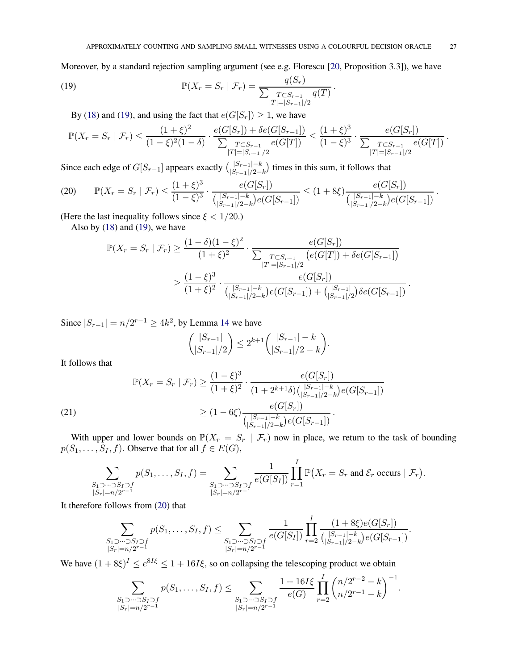Moreover, by a standard rejection sampling argument (see e.g. Florescu [\[20,](#page-34-21) Proposition 3.3]), we have

(19) 
$$
\mathbb{P}(X_r = S_r | \mathcal{F}_r) = \frac{q(S_r)}{\sum_{\substack{T \subset S_{r-1} \\ |T| = |S_{r-1}|/2}} q(T)}.
$$

<span id="page-26-0"></span>By [\(18\)](#page-25-1) and [\(19\)](#page-26-0), and using the fact that  $e(G[S_r]) \geq 1$ , we have

$$
\mathbb{P}(X_r = S_r \mid \mathcal{F}_r) \le \frac{(1+\xi)^2}{(1-\xi)^2(1-\delta)} \cdot \frac{e(G[S_r]) + \delta e(G[S_{r-1}])}{\sum_{|T|=|S_{r-1}|/2} e(G[T])} \le \frac{(1+\xi)^3}{(1-\xi)^3} \cdot \frac{e(G[S_r])}{\sum_{|T|=|S_{r-1}|/2} e(G[T])}.
$$

Since each edge of  $G[S_{r-1}]$  appears exactly  $\binom{|S_{r-1}| - k}{|S_{r-1}|/2 - k}$ ) times in this sum, it follows that

<span id="page-26-1"></span>
$$
(20) \qquad \mathbb{P}(X_r = S_r \mid \mathcal{F}_r) \leq \frac{(1+\xi)^3}{(1-\xi)^3} \cdot \frac{e(G[S_r])}{\binom{|S_{r-1}|-k}{|S_{r-1}|/2-k}e(G[S_{r-1}])} \leq (1+8\xi) \frac{e(G[S_r])}{\binom{|S_{r-1}|-k}{|S_{r-1}|/2-k}e(G[S_{r-1}])}.
$$

(Here the last inequality follows since  $\xi < 1/20$ .)

Also by  $(18)$  and  $(19)$ , we have

$$
\mathbb{P}(X_r = S_r | \mathcal{F}_r) \ge \frac{(1 - \delta)(1 - \xi)^2}{(1 + \xi)^2} \cdot \frac{e(G[S_r])}{\sum_{\substack{T \subset S_{r-1} \\ |T| = |S_{r-1}|/2}} \left(e(G[T]) + \delta e(G[S_{r-1}])\right)} \\
\ge \frac{(1 - \xi)^3}{(1 + \xi)^2} \cdot \frac{e(G[S_r])}{\binom{|S_{r-1}| - k}{|S_{r-1}|/2 - k} e(G[S_{r-1}]) + \binom{|S_{r-1}|}{|S_{r-1}|/2} \delta e(G[S_{r-1}])}.
$$

Since  $|S_{r-1}| = n/2^{r-1} \ge 4k^2$ , by Lemma [14](#page-8-0) we have

$$
\binom{|S_{r-1}|}{|S_{r-1}|/2} \le 2^{k+1} \binom{|S_{r-1}| - k}{|S_{r-1}|/2 - k}.
$$

It follows that

$$
\mathbb{P}(X_r = S_r | \mathcal{F}_r) \ge \frac{(1-\xi)^3}{(1+\xi)^2} \cdot \frac{e(G[S_r])}{(1+2^{k+1}\delta)\binom{|S_{r-1}|-k}{|S_{r-1}|/2-k}e(G[S_{r-1}])}
$$
\n
$$
\ge (1-6\xi) \frac{e(G[S_r])}{\binom{|S_{r-1}|-k}{|S_{r-1}|/2-k}e(G[S_{r-1}])}.
$$

<span id="page-26-2"></span>With upper and lower bounds on  $\mathbb{P}(X_r = S_r | \mathcal{F}_r)$  now in place, we return to the task of bounding  $p(S_1, \ldots, S_I, f)$ . Observe that for all  $f \in E(G)$ ,

$$
\sum_{\substack{S_1 \supset \cdots \supset S_I \supset f \\ |S_r| = n/2^{r-1}}} p(S_1, \ldots, S_I, f) = \sum_{\substack{S_1 \supset \cdots \supset S_I \supset f \\ |S_r| = n/2^{r-1}}} \frac{1}{e(G[S_I])} \prod_{r=1}^I \mathbb{P}(X_r = S_r \text{ and } \mathcal{E}_r \text{ occurs } | \mathcal{F}_r).
$$

It therefore follows from [\(20\)](#page-26-1) that

$$
\sum_{\substack{S_1 \supset \cdots \supset S_I \supset f \\ |S_r| = n/2^{r-1}}} p(S_1, \ldots, S_I, f) \le \sum_{\substack{S_1 \supset \cdots \supset S_I \supset f \\ |S_r| = n/2^{r-1}}} \frac{1}{e(G[S_I])} \prod_{r=2}^I \frac{(1 + 8\xi)e(G[S_r])}{\binom{|S_{r-1}| - k}{|S_{r-1}|/2 - k}} e(G[S_{r-1}])}.
$$

We have  $(1 + 8\xi)^{\mathsf{I}} \le e^{8\mathsf{I}\xi} \le 1 + 16\mathsf{I}\xi$ , so on collapsing the telescoping product we obtain

$$
\sum_{\substack{S_1 \supset \cdots \supset S_I \supset f \\ |S_r| = n/2^{r-1}}} p(S_1, \ldots, S_I, f) \le \sum_{\substack{S_1 \supset \cdots \supset S_I \supset f \\ |S_r| = n/2^{r-1}}} \frac{1 + 16I\xi}{e(G)} \prod_{r=2}^I \binom{n/2^{r-2} - k}{n/2^{r-1} - k}^{-1}.
$$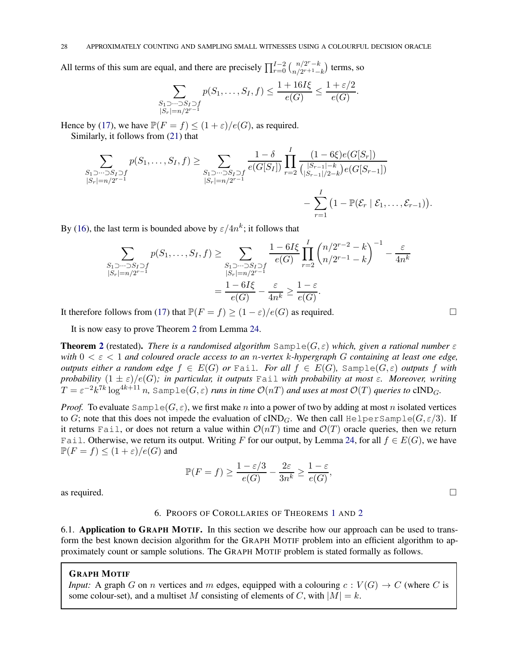All terms of this sum are equal, and there are precisely  $\prod_{r=0}^{I-2} \binom{n/2^r-k}{n/2^{r+1}-k}$ ) terms, so

$$
\sum_{\substack{S_1 \supset \cdots \supset S_I \supset f \\ |S_r| = n/2^{r-1}}} p(S_1, \ldots, S_I, f) \le \frac{1 + 16I\xi}{e(G)} \le \frac{1 + \varepsilon/2}{e(G)}.
$$

Hence by [\(17\)](#page-25-2), we have  $\mathbb{P}(F = f) \leq (1 + \varepsilon)/e(G)$ , as required. Similarly, it follows from [\(21\)](#page-26-2) that

$$
\sum_{\substack{S_1 \supset \cdots \supset S_I \supset f \\ |S_r| = n/2^{r-1}}} p(S_1, \ldots, S_I, f) \ge \sum_{\substack{S_1 \supset \cdots \supset S_I \supset f \\ |S_r| = n/2^{r-1}}} \frac{1 - \delta}{e(G[S_I])} \prod_{r=2}^I \frac{(1 - 6\xi)e(G[S_r])}{\binom{|S_{r-1}| - k}{|S_{r-1}|/2 - k}e(G[S_{r-1}])} - \sum_{r=1}^I (1 - \mathbb{P}(\mathcal{E}_r | \mathcal{E}_1, \ldots, \mathcal{E}_{r-1})).
$$

By [\(16\)](#page-25-0), the last term is bounded above by  $\varepsilon/4n^k$ ; it follows that

$$
\sum_{\substack{S_1 \supset \dots \supset S_I \supset f \\ |S_r| = n/2^{r-1}}} p(S_1, \dots, S_I, f) \ge \sum_{\substack{S_1 \supset \dots \supset S_I \supset f \\ |S_r| = n/2^{r-1}}} \frac{1 - 6I\xi}{e(G)} \prod_{r=2}^I \binom{n/2^{r-2} - k}{n/2^{r-1} - k}^{-1} - \frac{\varepsilon}{4n^k}
$$

$$
= \frac{1 - 6I\xi}{e(G)} - \frac{\varepsilon}{4n^k} \ge \frac{1 - \varepsilon}{e(G)}.
$$

It therefore follows from [\(17\)](#page-25-2) that  $\mathbb{P}(F = f) \ge (1 - \varepsilon)/e(G)$  as required.

It is now easy to prove Theorem [2](#page-2-2) from Lemma [24.](#page-24-4)

**Theorem [2](#page-2-2)** (restated). *There is a randomised algorithm*  $Sample(G, \varepsilon)$  *which, given a rational number*  $\varepsilon$ *with* 0 < ε < 1 *and coloured oracle access to an* n*-vertex* k*-hypergraph* G *containing at least one edge, outputs either a random edge*  $f \in E(G)$  *or* Fail*. For all*  $f \in E(G)$ *,* Sample( $G, \varepsilon$ ) *outputs* f *with probability*  $(1 \pm \varepsilon)/e(G)$ *; in particular, it outputs* Fail *with probability at most*  $\varepsilon$ *. Moreover, writing*  $T=\varepsilon^{-2}k^{7k}\log^{4k+11}n$ , Sample $(G,\varepsilon)$  *runs in time*  $\mathcal{O}(nT)$  *and uses at most*  $\mathcal{O}(T)$  *queries to* cIND<sub>G</sub>.

*Proof.* To evaluate  $\text{Sample}(G, \varepsilon)$ , we first make n into a power of two by adding at most n isolated vertices to G; note that this does not impede the evaluation of cIND<sub>G</sub>. We then call HelperSample( $G, \varepsilon/3$ ). If it returns Fail, or does not return a value within  $\mathcal{O}(nT)$  time and  $\mathcal{O}(T)$  oracle queries, then we return Fail. Otherwise, we return its output. Writing F for our output, by Lemma [24,](#page-24-4) for all  $f \in E(G)$ , we have  $\mathbb{P}(F = f) \leq (1 + \varepsilon)/e(G)$  and

$$
\mathbb{P}(F=f) \ge \frac{1-\varepsilon/3}{e(G)} - \frac{2\varepsilon}{3n^k} \ge \frac{1-\varepsilon}{e(G)},
$$
 as required.

<span id="page-27-0"></span>

### 6. PROOFS OF COROLLARIES OF THEOREMS [1](#page-2-1) AND [2](#page-2-2)

6.1. Application to GRAPH MOTIF. In this section we describe how our approach can be used to transform the best known decision algorithm for the GRAPH MOTIF problem into an efficient algorithm to approximately count or sample solutions. The GRAPH MOTIF problem is stated formally as follows.

#### GRAPH MOTIF

*Input:* A graph G on n vertices and m edges, equipped with a colouring  $c: V(G) \to C$  (where C is some colour-set), and a multiset M consisting of elements of C, with  $|M| = k$ .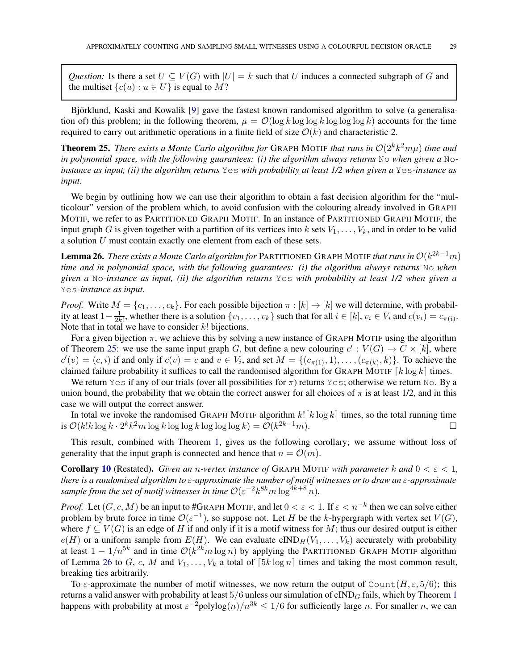*Question:* Is there a set  $U \subseteq V(G)$  with  $|U| = k$  such that U induces a connected subgraph of G and the multiset  $\{c(u) : u \in U\}$  is equal to M?

Björklund, Kaski and Kowalik [\[9\]](#page-33-4) gave the fastest known randomised algorithm to solve (a generalisation of) this problem; in the following theorem,  $\mu = O(\log k \log \log k \log \log \log k)$  accounts for the time required to carry out arithmetic operations in a finite field of size  $\mathcal{O}(k)$  and characteristic 2.

<span id="page-28-0"></span>**Theorem 25.** *There exists a Monte Carlo algorithm for* GRAPH MOTIF *that runs in*  $O(2^k k^2 m \mu)$  *time and in polynomial space, with the following guarantees: (i) the algorithm always returns* No *when given a* No*instance as input, (ii) the algorithm returns* Yes *with probability at least 1/2 when given a* Yes*-instance as input.*

We begin by outlining how we can use their algorithm to obtain a fast decision algorithm for the "multicolour" version of the problem which, to avoid confusion with the colouring already involved in GRAPH MOTIF, we refer to as PARTITIONED GRAPH MOTIF. In an instance of PARTITIONED GRAPH MOTIF, the input graph G is given together with a partition of its vertices into k sets  $V_1, \ldots, V_k$ , and in order to be valid a solution U must contain exactly one element from each of these sets.

<span id="page-28-1"></span>**Lemma 26.** *There exists a Monte Carlo algorithm for* PARTITIONED GRAPH MOTIF *that runs in*  $\mathcal{O}(k^{2k-1}m)$ *time and in polynomial space, with the following guarantees: (i) the algorithm always returns* No *when given a* No*-instance as input, (ii) the algorithm returns* Yes *with probability at least 1/2 when given a* Yes*-instance as input.*

*Proof.* Write  $M = \{c_1, \ldots, c_k\}$ . For each possible bijection  $\pi : [k] \to [k]$  we will determine, with probability at least  $1 - \frac{1}{2k}$  $\frac{1}{2k!}$ , whether there is a solution  $\{v_1, \ldots, v_k\}$  such that for all  $i \in [k]$ ,  $v_i \in V_i$  and  $c(v_i) = c_{\pi(i)}$ . Note that in total we have to consider  $k!$  bijections.

For a given bijection  $\pi$ , we achieve this by solving a new instance of GRAPH MOTIF using the algorithm of Theorem [25:](#page-28-0) we use the same input graph G, but define a new colouring  $c' : V(G) \to C \times [k]$ , where  $c'(v) = (c, i)$  if and only if  $c(v) = c$  and  $v \in V_i$ , and set  $M = \{(c_{\pi(1)}, 1), \dots, (c_{\pi(k)}, k)\}$ . To achieve the claimed failure probability it suffices to call the randomised algorithm for GRAPH MOTIF  $\lceil k \log k \rceil$  times.

We return Yes if any of our trials (over all possibilities for  $\pi$ ) returns Yes; otherwise we return No. By a union bound, the probability that we obtain the correct answer for all choices of  $\pi$  is at least 1/2, and in this case we will output the correct answer.

In total we invoke the randomised GRAPH MOTIF algorithm  $k![k \log k]$  times, so the total running time  $\mathcal{O}(k!k \log k \cdot 2^k k^2 m \log k \log \log k \log \log \log k) = \mathcal{O}(k^{2k-1} m)$ . is  $\mathcal{O}(k!k \log k \cdot 2^k k^2 m \log k \log \log k \log \log \log k) = \mathcal{O}(k^{2k-1}m)$ . □

This result, combined with Theorem [1,](#page-2-1) gives us the following corollary; we assume without loss of generality that the input graph is connected and hence that  $n = \mathcal{O}(m)$ .

**Corollary [10](#page-7-0)** (Restated). *Given an n-vertex instance of* GRAPH MOTIF *with parameter* k and  $0 < \varepsilon < 1$ , *there is a randomised algorithm to* ε*-approximate the number of motif witnesses or to draw an* ε*-approximate* sample from the set of motif witnesses in time  $\mathcal{O}(\varepsilon^{-2}k^{8k}m\log^{4k+8}n)$ .

*Proof.* Let  $(G, c, M)$  be an input to #GRAPH MOTIF, and let  $0 < \varepsilon < 1$ . If  $\varepsilon < n^{-k}$  then we can solve either problem by brute force in time  $\mathcal{O}(\varepsilon^{-1})$ , so suppose not. Let H be the k-hypergraph with vertex set  $V(G)$ , where  $f \subseteq V(G)$  is an edge of H if and only if it is a motif witness for M; thus our desired output is either  $e(H)$  or a uniform sample from  $E(H)$ . We can evaluate  $cIND_H(V_1, \ldots, V_k)$  accurately with probability at least  $1 - 1/n^{5k}$  and in time  $\mathcal{O}(k^{2k} m \log n)$  by applying the PARTITIONED GRAPH MOTIF algorithm of Lemma [26](#page-28-1) to G, c, M and  $V_1, \ldots, V_k$  a total of  $[5k \log n]$  times and taking the most common result, breaking ties arbitrarily.

To  $\varepsilon$ -approximate the number of motif witnesses, we now return the output of Count $(H, \varepsilon, 5/6)$ ; this returns a valid answer with probability at least  $5/6$  unless our simulation of cIND<sub>G</sub> fails, which by Theorem [1](#page-2-1) happens with probability at most  $\varepsilon^{-2}$ polylog $(n)/n^{3k} \le 1/6$  for sufficiently large n. For smaller n, we can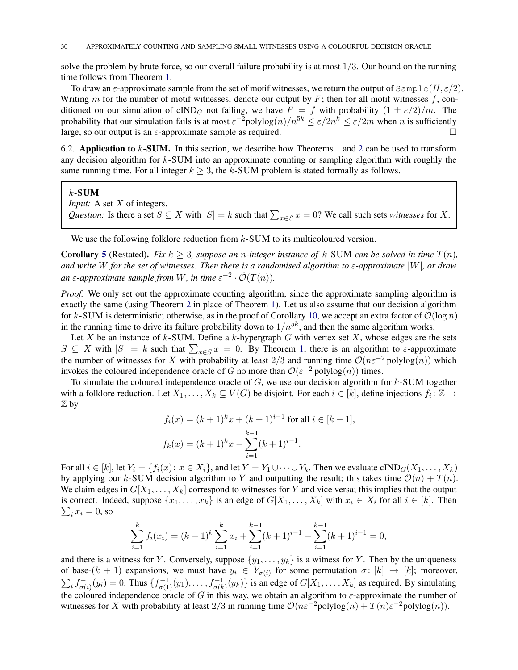solve the problem by brute force, so our overall failure probability is at most  $1/3$ . Our bound on the running time follows from Theorem [1.](#page-2-1)

To draw an  $\varepsilon$ -approximate sample from the set of motif witnesses, we return the output of  $\text{Sample}(H, \varepsilon/2)$ . Writing m for the number of motif witnesses, denote our output by  $F$ ; then for all motif witnesses f, conditioned on our simulation of cIND<sub>G</sub> not failing, we have  $F = f$  with probability  $(1 \pm \varepsilon/2)/m$ . The probability that our simulation fails is at most  $\varepsilon^{-2}$ polylog $(n)/n^{5k} \le \varepsilon/2n^k \le \varepsilon/2m$  when n is sufficiently large, so our output is an  $\varepsilon$ -approximate sample as required.

<span id="page-29-0"></span>6.[2](#page-2-2). Application to  $k$ -SUM. In this section, we describe how Theorems [1](#page-2-1) and 2 can be used to transform any decision algorithm for  $k$ -SUM into an approximate counting or sampling algorithm with roughly the same running time. For all integer  $k > 3$ , the k-SUM problem is stated formally as follows.

#### $k$ -SUM

*Input:* A set X of integers.

*Question:* Is there a set  $S \subseteq X$  with  $|S| = k$  such that  $\sum_{x \in S} x = 0$ ? We call such sets *witnesses* for X.

We use the following folklore reduction from  $k$ -SUM to its multicoloured version.

**Corollary [5](#page-4-1)** (Restated). *Fix*  $k \geq 3$ *, suppose an n-integer instance of*  $k$ -SUM *can be solved in time*  $T(n)$ *, and write* W *for the set of witnesses. Then there is a randomised algorithm to* ε*-approximate* |W|*, or draw an*  $\varepsilon$ -approximate sample from W, in time  $\varepsilon^{-2} \cdot \mathcal{O}(T(n))$ .

*Proof.* We only set out the approximate counting algorithm, since the approximate sampling algorithm is exactly the same (using Theorem [2](#page-2-2) in place of Theorem [1\)](#page-2-1). Let us also assume that our decision algorithm for k-SUM is deterministic; otherwise, as in the proof of Corollary [10,](#page-7-0) we accept an extra factor of  $\mathcal{O}(\log n)$ in the running time to drive its failure probability down to  $1/n^{5k}$ , and then the same algorithm works.

Let X be an instance of  $k$ -SUM. Define a  $k$ -hypergraph  $G$  with vertex set X, whose edges are the sets  $S \subseteq X$  with  $|S| = k$  such that  $\sum_{x \in S} x = 0$ . By Theorem [1,](#page-2-1) there is an algorithm to  $\varepsilon$ -approximate the number of witnesses for X with probability at least 2/3 and running time  $\mathcal{O}(n\varepsilon^{-2}$  polylog $(n)$ ) which invokes the coloured independence oracle of G no more than  $\mathcal{O}(\varepsilon^{-2} \text{polylog}(n))$  times.

To simulate the coloured independence oracle of  $G$ , we use our decision algorithm for  $k$ -SUM together with a folklore reduction. Let  $X_1, \ldots, X_k \subseteq V(G)$  be disjoint. For each  $i \in [k]$ , define injections  $f_i: \mathbb{Z} \to$ Z by

$$
f_i(x) = (k+1)^k x + (k+1)^{i-1} \text{ for all } i \in [k-1],
$$
  

$$
f_k(x) = (k+1)^k x - \sum_{i=1}^{k-1} (k+1)^{i-1}.
$$

For all  $i \in [k]$ , let  $Y_i = \{f_i(x): x \in X_i\}$ , and let  $Y = Y_1 \cup \cdots \cup Y_k$ . Then we evaluate  $\text{cIND}_G(X_1, \ldots, X_k)$ by applying our k-SUM decision algorithm to Y and outputting the result; this takes time  $\mathcal{O}(n) + T(n)$ . We claim edges in  $G[X_1, \ldots, X_k]$  correspond to witnesses for Y and vice versa; this implies that the output is correct. Indeed, suppose  $\{x_1, \ldots, x_k\}$  is an edge of  $G[X_1, \ldots, X_k]$  with  $x_i \in X_i$  for all  $i \in [k]$ . Then  $\sum_i x_i = 0$ , so

$$
\sum_{i=1}^{k} f_i(x_i) = (k+1)^k \sum_{i=1}^{k} x_i + \sum_{i=1}^{k-1} (k+1)^{i-1} - \sum_{i=1}^{k-1} (k+1)^{i-1} = 0,
$$

and there is a witness for Y. Conversely, suppose  $\{y_1, \ldots, y_k\}$  is a witness for Y. Then by the uniqueness of base- $(k + 1)$  expansions, we must have  $y_i \in Y_{\sigma(i)}$  for some permutation  $\sigma \colon [k] \to [k]$ ; moreover,  $\sum_i f_{\sigma(i)}^{-1}(y_i) = 0$ . Thus  $\{f_{\sigma(1)}^{-1}(y_1), \ldots, f_{\sigma(k)}^{-1}(y_k)\}$  is an edge of  $G[X_1, \ldots, X_k]$  as required. By simulating the coloured independence oracle of G in this way, we obtain an algorithm to  $\varepsilon$ -approximate the number of witnesses for X with probability at least 2/3 in running time  $\mathcal{O}(n\varepsilon^{-2} \text{polylog}(n) + T(n)\varepsilon^{-2} \text{polylog}(n)).$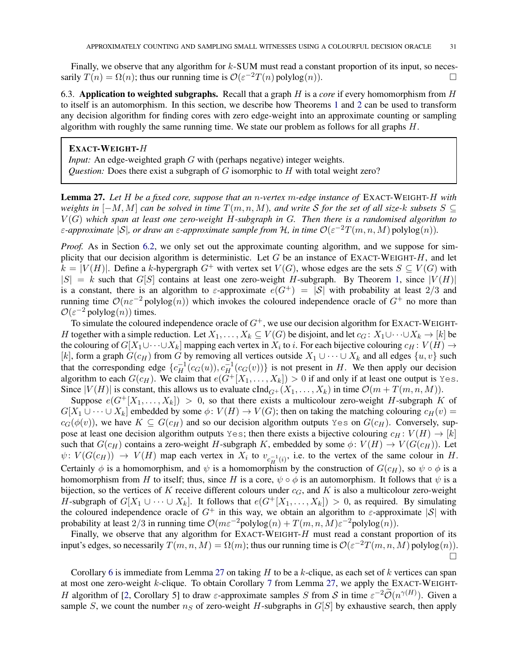Finally, we observe that any algorithm for  $k$ -SUM must read a constant proportion of its input, so necessarily  $T(n) = \Omega(n)$ ; thus our running time is  $\mathcal{O}(\varepsilon^{-2}T(n) \text{ polylog}(n))$ .

6.3. Application to weighted subgraphs. Recall that a graph H is a *core* if every homomorphism from H to itself is an automorphism. In this section, we describe how Theorems [1](#page-2-1) and [2](#page-2-2) can be used to transform any decision algorithm for finding cores with zero edge-weight into an approximate counting or sampling algorithm with roughly the same running time. We state our problem as follows for all graphs  $H$ .

# EXACT-WEIGHT-H

*Input:* An edge-weighted graph G with (perhaps negative) integer weights. *Question:* Does there exist a subgraph of G isomorphic to H with total weight zero?

<span id="page-30-0"></span>Lemma 27. *Let* H *be a fixed core, suppose that an* n*-vertex* m*-edge instance of* EXACT-WEIGHT-H *with weights in*  $[-M, M]$  *can be solved in time*  $T(m, n, M)$ *, and write* S *for the set of all size-k subsets*  $S \subseteq$ V (G) *which span at least one zero-weight* H*-subgraph in* G*. Then there is a randomised algorithm to*  $\varepsilon$ -approximate  $|S|$ , or draw an  $\varepsilon$ -approximate sample from H, in time  $\mathcal{O}(\varepsilon^{-2}T(m,n,M)$  polylog $(n)$ ).

*Proof.* As in Section [6.2,](#page-29-0) we only set out the approximate counting algorithm, and we suppose for simplicity that our decision algorithm is deterministic. Let G be an instance of EXACT-WEIGHT- $H$ , and let  $k = |V(H)|$ . Define a k-hypergraph  $G^+$  with vertex set  $V(G)$ , whose edges are the sets  $S \subseteq V(G)$  with  $|S| = k$  such that  $G[S]$  contains at least one zero-weight H-subgraph. By Theorem [1,](#page-2-1) since  $|V(H)|$ is a constant, there is an algorithm to  $\varepsilon$ -approximate  $e(G^+) = |S|$  with probability at least  $2/3$  and running time  $\mathcal{O}(n\varepsilon^{-2} \text{polylog}(n))$  which invokes the coloured independence oracle of  $G^+$  no more than  $\mathcal{O}(\varepsilon^{-2} \text{polylog}(n))$  times.

To simulate the coloured independence oracle of  $G^+$ , we use our decision algorithm for EXACT-WEIGHT-H together with a simple reduction. Let  $X_1, \ldots, X_k \subseteq V(G)$  be disjoint, and let  $c_G: X_1 \cup \cdots \cup X_k \to [k]$  be the colouring of  $G[X_1\cup\cdots\cup X_k]$  mapping each vertex in  $X_i$  to i. For each bijective colouring  $c_H: V(H) \to V(H)$ [k], form a graph  $G(c_H)$  from G by removing all vertices outside  $X_1 \cup \cdots \cup X_k$  and all edges  $\{u, v\}$  such that the corresponding edge  $\{c_H^{-1}(c_G(u)), c_H^{-1}(c_G(v))\}$  is not present in H. We then apply our decision algorithm to each  $G(c_H)$ . We claim that  $e(\tilde{G}^+[X_1,\ldots,X_k]) > 0$  if and only if at least one output is Yes. Since  $|V(H)|$  is constant, this allows us to evaluate  $cInd_{G^+}(X_1,\ldots,X_k)$  in time  $\mathcal{O}(m+T(m,n,M))$ .

Suppose  $e(G^+[X_1,\ldots,X_k]) > 0$ , so that there exists a multicolour zero-weight H-subgraph K of  $G[X_1 \cup \cdots \cup X_k]$  embedded by some  $\phi: V(H) \to V(G)$ ; then on taking the matching colouring  $c_H(v)$  =  $c_G(\phi(v))$ , we have  $K \subseteq G(c_H)$  and so our decision algorithm outputs Yes on  $G(c_H)$ . Conversely, suppose at least one decision algorithm outputs Yes; then there exists a bijective colouring  $c_H : V(H) \to [k]$ such that  $G(c_H)$  contains a zero-weight H-subgraph K, embedded by some  $\phi: V(H) \to V(G(c_H))$ . Let  $\psi: V(G(c_H)) \to V(H)$  map each vertex in  $X_i$  to  $v_{c_H^{-1}(i)}$ , i.e. to the vertex of the same colour in H. Certainly  $\phi$  is a homomorphism, and  $\psi$  is a homomorphism by the construction of  $G(c_H)$ , so  $\psi \circ \phi$  is a homomorphism from H to itself; thus, since H is a core,  $\psi \circ \phi$  is an automorphism. It follows that  $\psi$  is a bijection, so the vertices of K receive different colours under  $c<sub>G</sub>$ , and K is also a multicolour zero-weight H-subgraph of  $G[X_1 \cup \cdots \cup X_k]$ . It follows that  $e(G^+[X_1,\ldots,X_k]) > 0$ , as required. By simulating the coloured independence oracle of  $G^+$  in this way, we obtain an algorithm to  $\varepsilon$ -approximate  $|S|$  with probability at least 2/3 in running time  $\mathcal{O}(m\varepsilon^{-2} \text{polylog}(n) + T(m,n,M)\varepsilon^{-2} \text{polylog}(n)).$ 

Finally, we observe that any algorithm for EXACT-WEIGHT- $H$  must read a constant proportion of its input's edges, so necessarily  $T(m, n, M) = \Omega(m)$ ; thus our running time is  $\mathcal{O}(\varepsilon^{-2}T(m, n, M)$  polylog $(n)$ ).  $\Box$ 

Corollary [6](#page-5-1) is immediate from Lemma [27](#page-30-0) on taking  $H$  to be a  $k$ -clique, as each set of  $k$  vertices can span at most one zero-weight k-clique. To obtain Corollary [7](#page-5-2) from Lemma [27,](#page-30-0) we apply the EXACT-WEIGHT-H algorithm of [2, Corollary 5] to draw  $\varepsilon$ -approximate samples S from S in time  $\varepsilon^{-2}\widetilde{\mathcal{O}}(n^{\gamma(H)})$ . Given a sample S, we count the number  $n<sub>S</sub>$  of zero-weight H-subgraphs in  $G[S]$  by exhaustive search, then apply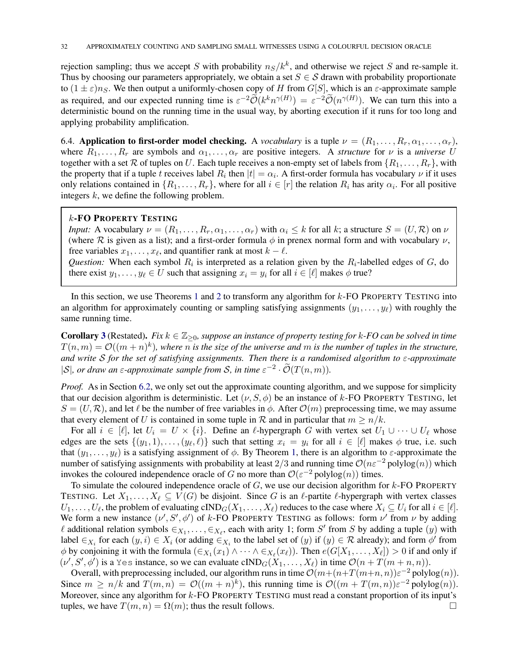rejection sampling; thus we accept S with probability  $n_S/k^k$ , and otherwise we reject S and re-sample it. Thus by choosing our parameters appropriately, we obtain a set  $S \in \mathcal{S}$  drawn with probability proportionate to  $(1 \pm \varepsilon)n_S$ . We then output a uniformly-chosen copy of H from G[S], which is an  $\varepsilon$ -approximate sample as required, and our expected running time is  $\varepsilon^{-2} \widetilde{\mathcal{O}}(k^k n^{\gamma(H)}) = \varepsilon^{-2} \widetilde{\mathcal{O}}(n^{\gamma(H)})$ . We can turn this into a deterministic bound on the running time in the usual way, by aborting execution if it runs for too long and applying probability amplification.

6.4. Application to first-order model checking. A *vocabulary* is a tuple  $\nu = (R_1, \ldots, R_r, \alpha_1, \ldots, \alpha_r)$ , where  $R_1, \ldots, R_r$  are symbols and  $\alpha_1, \ldots, \alpha_r$  are positive integers. A *structure* for  $\nu$  is a *universe* U together with a set R of tuples on U. Each tuple receives a non-empty set of labels from  $\{R_1, \ldots, R_r\}$ , with the property that if a tuple t receives label  $R_i$  then  $|t| = \alpha_i$ . A first-order formula has vocabulary  $\nu$  if it uses only relations contained in  $\{R_1, \ldots, R_r\}$ , where for all  $i \in [r]$  the relation  $R_i$  has arity  $\alpha_i$ . For all positive integers  $k$ , we define the following problem.

# k-FO PROPERTY TESTING

*Input:* A vocabulary  $\nu = (R_1, \ldots, R_r, \alpha_1, \ldots, \alpha_r)$  with  $\alpha_i \leq k$  for all k; a structure  $S = (U, \mathcal{R})$  on  $\nu$ (where R is given as a list); and a first-order formula  $\phi$  in prenex normal form and with vocabulary  $\nu$ , free variables  $x_1, \ldots, x_\ell$ , and quantifier rank at most  $k - \ell$ . *Question:* When each symbol  $R_i$  is interpreted as a relation given by the  $R_i$ -labelled edges of  $G$ , do

there exist  $y_1, \ldots, y_\ell \in U$  such that assigning  $x_i = y_i$  for all  $i \in [\ell]$  makes  $\phi$  true?

In this section, we use Theorems [1](#page-2-1) and [2](#page-2-2) to transform any algorithm for  $k$ -FO PROPERTY TESTING into an algorithm for approximately counting or sampling satisfying assignments  $(y_1, \ldots, y_\ell)$  with roughly the same running time.

**Corollary [3](#page-4-2)** (Restated). *Fix*  $k \in \mathbb{Z}_{\geq 0}$ , suppose an instance of property testing for k-FO can be solved in time  $T(n,m) = \mathcal{O}((m+n)^k)$ , where *n* is the size of the universe and *m* is the number of tuples in the structure, *and write* S *for the set of satisfying assignments. Then there is a randomised algorithm to* ε*-approximate*  $|S|$ , or draw an  $\varepsilon$ -approximate sample from S, in time  $\varepsilon^{-2} \cdot \tilde{\mathcal{O}}(T(n,m))$ .

*Proof.* As in Section [6.2,](#page-29-0) we only set out the approximate counting algorithm, and we suppose for simplicity that our decision algorithm is deterministic. Let  $(\nu, S, \phi)$  be an instance of k-FO PROPERTY TESTING, let  $S = (U, \mathcal{R})$ , and let  $\ell$  be the number of free variables in  $\phi$ . After  $\mathcal{O}(m)$  preprocessing time, we may assume that every element of U is contained in some tuple in R and in particular that  $m \ge n/k$ .

For all  $i \in [\ell]$ , let  $U_i = U \times \{i\}$ . Define an  $\ell$ -hypergraph G with vertex set  $U_1 \cup \cdots \cup U_\ell$  whose edges are the sets  $\{(y_1, 1), \ldots, (y_\ell, \ell)\}\$  such that setting  $x_i = y_i$  for all  $i \in [\ell]$  makes  $\phi$  true, i.e. such that  $(y_1, \ldots, y_\ell)$  $(y_1, \ldots, y_\ell)$  $(y_1, \ldots, y_\ell)$  is a satisfying assignment of  $\phi$ . By Theorem 1, there is an algorithm to  $\varepsilon$ -approximate the number of satisfying assignments with probability at least 2/3 and running time  $\mathcal{O}(n\varepsilon^{-2}$  polylog $(n)$ ) which invokes the coloured independence oracle of G no more than  $\mathcal{O}(\varepsilon^{-2} \text{polylog}(n))$  times.

To simulate the coloured independence oracle of  $G$ , we use our decision algorithm for  $k$ -FO PROPERTY TESTING. Let  $X_1, \ldots, X_\ell \subseteq V(G)$  be disjoint. Since G is an  $\ell$ -partite  $\ell$ -hypergraph with vertex classes  $U_1, \ldots, U_\ell$ , the problem of evaluating  $\text{cIND}_G(X_1, \ldots, X_\ell)$  reduces to the case where  $X_i \subseteq U_i$  for all  $i \in [\ell]$ . We form a new instance  $(\nu', S', \phi')$  of k-FO PROPERTY TESTING as follows: form  $\nu'$  from  $\nu$  by adding  $\ell$  additional relation symbols  $\in_{X_1}, \ldots, \in_{X_\ell}$ , each with arity 1; form S' by adding a tuple  $(y)$  with label  $\in_{X_i}$  for each  $(y, i) \in X_i$  (or adding  $\in_{X_i}$  to the label set of  $(y)$  if  $(y) \in \mathcal{R}$  already); and form  $\phi'$  from  $\phi$  by conjoining it with the formula  $(\epsilon_{X_1}(x_1) \wedge \cdots \wedge \epsilon_{X_\ell}(x_\ell))$ . Then  $e(G[X_1, \ldots, X_\ell]) > 0$  if and only if  $(\nu', S', \phi')$  is a Yes instance, so we can evaluate cIND<sub>G</sub> $(X_1, \ldots, X_\ell)$  in time  $\mathcal{O}(n + T(m + n, n)).$ 

Overall, with preprocessing included, our algorithm runs in time  $\mathcal{O}(m + (n+T(m+n, n))\varepsilon^{-2}$  polylog $(n)$ ). Since  $m \ge n/k$  and  $T(m, n) = \mathcal{O}((m+n)^k)$ , this running time is  $\mathcal{O}((m+T(m,n))\varepsilon^{-2} \text{polylog}(n))$ . Moreover, since any algorithm for k-FO PROPERTY TESTING must read a constant proportion of its input's tuples, we have  $T(m, n) = \Omega(m)$ ; thus the result follows.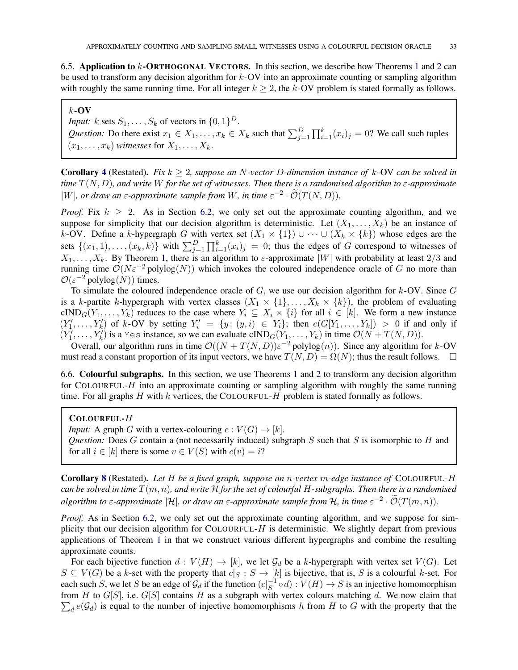6.5. Application to k-ORTHOGONAL VECTORS. In this section, we describe how Theorems [1](#page-2-1) and [2](#page-2-2) can be used to transform any decision algorithm for  $k$ -OV into an approximate counting or sampling algorithm with roughly the same running time. For all integer  $k \ge 2$ , the k-OV problem is stated formally as follows.

## $k$ -OV

*Input:*  $k$  sets  $S_1, \ldots, S_k$  of vectors in  $\{0, 1\}^D$ . *Question:* Do there exist  $x_1 \in X_1, \ldots, x_k \in X_k$  such that  $\sum_{j=1}^D \prod_{i=1}^k (x_i)_j = 0$ ? We call such tuples  $(x_1, \ldots, x_k)$  *witnesses* for  $X_1, \ldots, X_k$ .

Corollary [4](#page-4-3) (Restated). *Fix* k ≥ 2*, suppose an* N*-vector* D*-dimension instance of* k-OV *can be solved in time* T(N, D)*, and write* W *for the set of witnesses. Then there is a randomised algorithm to* ε*-approximate* |W|, or draw an  $\varepsilon$ -approximate sample from W, in time  $\varepsilon^{-2} \cdot \mathcal{O}(T(N, D)).$ 

*Proof.* Fix  $k \geq 2$ . As in Section [6.2,](#page-29-0) we only set out the approximate counting algorithm, and we suppose for simplicity that our decision algorithm is deterministic. Let  $(X_1, \ldots, X_k)$  be an instance of k-OV. Define a k-hypergraph G with vertex set  $(X_1 \times \{1\}) \cup \cdots \cup (X_k \times \{k\})$  whose edges are the sets  $\{(x_1, 1), \ldots, (x_k, k)\}\)$  with  $\sum_{j=1}^D \prod_{i=1}^k (x_i)_j = 0$ ; thus the edges of G correspond to witnesses of  $X_1, \ldots, X_k$  $X_1, \ldots, X_k$  $X_1, \ldots, X_k$ . By Theorem 1, there is an algorithm to  $\varepsilon$ -approximate |W| with probability at least 2/3 and running time  $\mathcal{O}(N\varepsilon^{-2} \text{polylog}(N))$  which invokes the coloured independence oracle of G no more than  $\mathcal{O}(\varepsilon^{-2} \text{polylog}(N))$  times.

To simulate the coloured independence oracle of  $G$ , we use our decision algorithm for  $k$ -OV. Since  $G$ is a k-partite k-hypergraph with vertex classes  $(X_1 \times \{1\}, \ldots, X_k \times \{k\})$ , the problem of evaluating cIND<sub>G</sub> $(Y_1, \ldots, Y_k)$  reduces to the case where  $Y_i \subseteq X_i \times \{i\}$  for all  $i \in [k]$ . We form a new instance  $(Y'_1,\ldots,Y'_k)$  of k-OV by setting  $Y'_i = \{y: (y,i) \in Y_i\}$ ; then  $e(G[Y_1,\ldots,Y_k]) > 0$  if and only if  $(Y'_1, \ldots, Y'_k)$  is a Yes instance, so we can evaluate  $\text{cIND}_G(Y_1, \ldots, Y_k)$  in time  $\mathcal{O}(N + T(N, D)).$ 

Overall, our algorithm runs in time  $O((N + T(N, D))\varepsilon^{-2}$  polylog $(n)$ ). Since any algorithm for k-OV must read a constant proportion of its input vectors, we have  $T(N, D) = \Omega(N)$ ; thus the result follows.  $\square$ 

6.6. Colourful subgraphs. In this section, we use Theorems [1](#page-2-1) and [2](#page-2-2) to transform any decision algorithm for COLOURFUL- $H$  into an approximate counting or sampling algorithm with roughly the same running time. For all graphs  $H$  with  $k$  vertices, the COLOURFUL- $H$  problem is stated formally as follows.

# COLOURFUL-H

*Input:* A graph G with a vertex-colouring  $c: V(G) \rightarrow [k]$ . *Question:* Does G contain a (not necessarily induced) subgraph S such that S is isomorphic to H and for all  $i \in [k]$  there is some  $v \in V(S)$  with  $c(v) = i$ ?

Corollary [8](#page-5-3) (Restated). *Let* H *be a fixed graph, suppose an* n*-vertex* m*-edge instance of* COLOURFUL-H *can be solved in time* T(m, n)*, and write* H *for the set of colourful* H*-subgraphs. Then there is a randomised algorithm to*  $\varepsilon$ -approximate  $|\mathcal{H}|$ , or draw an  $\varepsilon$ -approximate sample from  $\mathcal{H}$ , in time  $\varepsilon^{-2} \cdot \mathcal{O}(T(m,n))$ .

*Proof.* As in Section [6.2,](#page-29-0) we only set out the approximate counting algorithm, and we suppose for simplicity that our decision algorithm for COLOURFUL-H is deterministic. We slightly depart from previous applications of Theorem [1](#page-2-1) in that we construct various different hypergraphs and combine the resulting approximate counts.

For each bijective function  $d: V(H) \to [k]$ , we let  $\mathcal{G}_d$  be a k-hypergraph with vertex set  $V(G)$ . Let  $S \subseteq V(G)$  be a k-set with the property that  $c|S : S \to [k]$  is bijective, that is, S is a colourful k-set. For each such S, we let S be an edge of  $\mathcal{G}_d$  if the function  $(c|_S^{-1} \circ d) : V(H) \to S$  is an injective homomorphism from H to  $G[S]$ , i.e.  $G[S]$  contains H as a subgraph with vertex colours matching d. We now claim that  $\sum_{d} e(G_d)$  is equal to the number of injective homomorphisms h from H to G with the property that the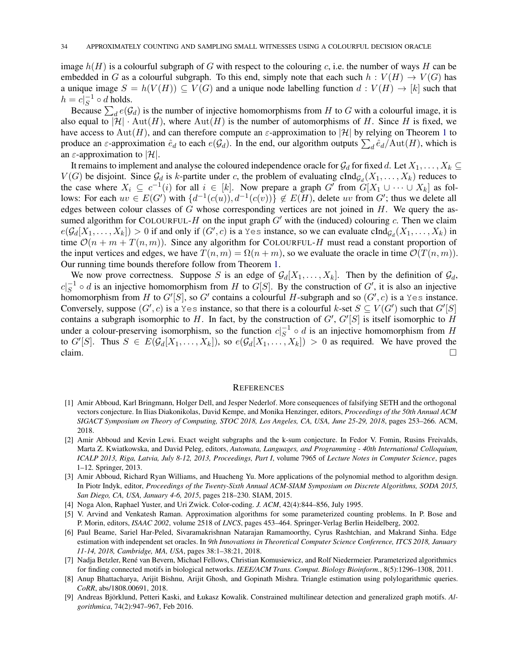image  $h(H)$  is a colourful subgraph of G with respect to the colouring c, i.e. the number of ways H can be embedded in G as a colourful subgraph. To this end, simply note that each such  $h: V(H) \to V(G)$  has a unique image  $S = h(V(H)) \subseteq V(G)$  and a unique node labelling function  $d: V(H) \to [k]$  such that  $h = c|_S^{-1} \circ d$  holds.

Because  $\sum_d e(G_d)$  is the number of injective homomorphisms from H to G with a colourful image, it is also equal to  $|\mathcal{H}| \cdot \text{Aut}(H)$ , where  $\text{Aut}(H)$  is the number of automorphisms of H. Since H is fixed, we have access to Aut(H), and can therefore compute an  $\varepsilon$ -approximation to |H| by relying on Theorem [1](#page-2-1) to produce an  $\varepsilon$ -approximation  $\hat{e}_d$  to each  $e(\mathcal{G}_d)$ . In the end, our algorithm outputs  $\sum_d \hat{e}_d / \text{Aut}(H)$ , which is an  $\varepsilon$ -approximation to |H|.

It remains to implement and analyse the coloured independence oracle for  $\mathcal{G}_d$  for fixed d. Let  $X_1, \ldots, X_k \subseteq$  $V(G)$  be disjoint. Since  $\mathcal{G}_d$  is k-partite under c, the problem of evaluating cInd $g_d(X_1, \ldots, X_k)$  reduces to the case where  $X_i \subseteq c^{-1}(i)$  for all  $i \in [k]$ . Now prepare a graph G' from  $G[X_1 \cup \cdots \cup X_k]$  as follows: For each  $uv \in E(G')$  with  $\{d^{-1}(c(u)), d^{-1}(c(v))\} \notin E(H)$ , delete uv from  $G'$ ; thus we delete all edges between colour classes of  $G$  whose corresponding vertices are not joined in  $H$ . We query the assumed algorithm for COLOURFUL-H on the input graph  $G'$  with the (induced) colouring c. Then we claim  $e(G_d[X_1,\ldots,X_k]) > 0$  if and only if  $(G',c)$  is a Yes instance, so we can evaluate  $cInd_{G_d}(X_1,\ldots,X_k)$  in time  $\mathcal{O}(n + m + T(n, m))$ . Since any algorithm for COLOURFUL-H must read a constant proportion of the input vertices and edges, we have  $T(n, m) = \Omega(n + m)$ , so we evaluate the oracle in time  $\mathcal{O}(T(n, m))$ . Our running time bounds therefore follow from Theorem [1.](#page-2-1)

We now prove correctness. Suppose S is an edge of  $\mathcal{G}_d[X_1,\ldots,X_k]$ . Then by the definition of  $\mathcal{G}_d$ ,  $c|_S^{-1} \circ d$  is an injective homomorphism from H to G[S]. By the construction of G', it is also an injective homomorphism from  $H$  to  $G'[S]$ , so  $G'$  contains a colourful  $H$ -subgraph and so  $(G',c)$  is a Yes instance. Conversely, suppose  $(G', c)$  is a Yes instance, so that there is a colourful k-set  $S \subseteq V(G')$  such that  $G'[S]$ contains a subgraph isomorphic to H. In fact, by the construction of  $G'$ ,  $G'[S]$  is itself isomorphic to H under a colour-preserving isomorphism, so the function  $c|_S^{-1} \circ d$  is an injective homomorphism from H to  $G'[S]$ . Thus  $S \in E(\mathcal{G}_d[X_1,\ldots,X_k])$ , so  $e(\mathcal{G}_d[X_1,\ldots,X_k]) > 0$  as required. We have proved the claim.  $\Box$ 

#### **REFERENCES**

- [1] Amir Abboud, Karl Bringmann, Holger Dell, and Jesper Nederlof. More consequences of falsifying SETH and the orthogonal vectors conjecture. In Ilias Diakonikolas, David Kempe, and Monika Henzinger, editors, *Proceedings of the 50th Annual ACM SIGACT Symposium on Theory of Computing, STOC 2018, Los Angeles, CA, USA, June 25-29, 2018*, pages 253–266. ACM, 2018.
- [2] Amir Abboud and Kevin Lewi. Exact weight subgraphs and the k-sum conjecture. In Fedor V. Fomin, Rusins Freivalds, Marta Z. Kwiatkowska, and David Peleg, editors, *Automata, Languages, and Programming - 40th International Colloquium, ICALP 2013, Riga, Latvia, July 8-12, 2013, Proceedings, Part I*, volume 7965 of *Lecture Notes in Computer Science*, pages 1–12. Springer, 2013.
- [3] Amir Abboud, Richard Ryan Williams, and Huacheng Yu. More applications of the polynomial method to algorithm design. In Piotr Indyk, editor, *Proceedings of the Twenty-Sixth Annual ACM-SIAM Symposium on Discrete Algorithms, SODA 2015, San Diego, CA, USA, January 4-6, 2015*, pages 218–230. SIAM, 2015.
- <span id="page-33-5"></span><span id="page-33-2"></span>[4] Noga Alon, Raphael Yuster, and Uri Zwick. Color-coding. *J. ACM*, 42(4):844–856, July 1995.
- [5] V. Arvind and Venkatesh Raman. Approximation algorithms for some parameterized counting problems. In P. Bose and P. Morin, editors, *ISAAC 2002*, volume 2518 of *LNCS*, pages 453–464. Springer-Verlag Berlin Heidelberg, 2002.
- <span id="page-33-0"></span>[6] Paul Beame, Sariel Har-Peled, Sivaramakrishnan Natarajan Ramamoorthy, Cyrus Rashtchian, and Makrand Sinha. Edge estimation with independent set oracles. In *9th Innovations in Theoretical Computer Science Conference, ITCS 2018, January 11-14, 2018, Cambridge, MA, USA*, pages 38:1–38:21, 2018.
- <span id="page-33-3"></span>[7] Nadja Betzler, Ren´e van Bevern, Michael Fellows, Christian Komusiewicz, and Rolf Niedermeier. Parameterized algorithmics for finding connected motifs in biological networks. *IEEE/ACM Trans. Comput. Biology Bioinform.*, 8(5):1296–1308, 2011.
- <span id="page-33-1"></span>[8] Anup Bhattacharya, Arijit Bishnu, Arijit Ghosh, and Gopinath Mishra. Triangle estimation using polylogarithmic queries. *CoRR*, abs/1808.00691, 2018.
- <span id="page-33-4"></span>[9] Andreas Björklund, Petteri Kaski, and Łukasz Kowalik. Constrained multilinear detection and generalized graph motifs. Al*gorithmica*, 74(2):947–967, Feb 2016.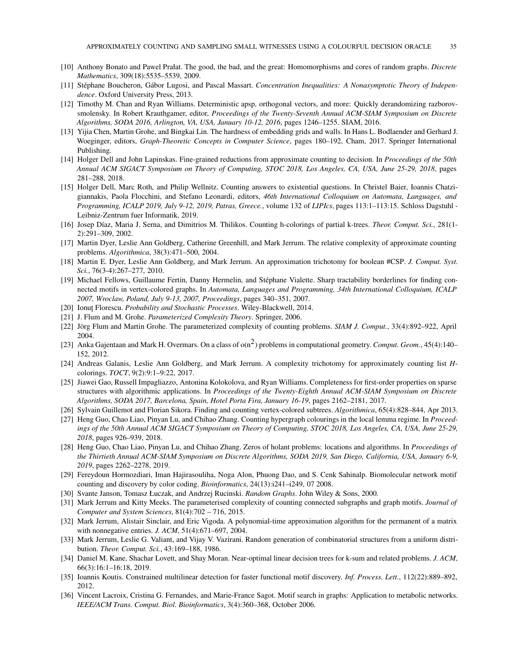- <span id="page-34-19"></span><span id="page-34-9"></span>[10] Anthony Bonato and Pawel Prałat. The good, the bad, and the great: Homomorphisms and cores of random graphs. *Discrete Mathematics*, 309(18):5535–5539, 2009.
- [11] Stéphane Boucheron, Gábor Lugosi, and Pascal Massart. *Concentration Inequalities: A Nonasymptotic Theory of Independence*. Oxford University Press, 2013.
- [12] Timothy M. Chan and Ryan Williams. Deterministic apsp, orthogonal vectors, and more: Quickly derandomizing razborovsmolensky. In Robert Krauthgamer, editor, *Proceedings of the Twenty-Seventh Annual ACM-SIAM Symposium on Discrete Algorithms, SODA 2016, Arlington, VA, USA, January 10-12, 2016*, pages 1246–1255. SIAM, 2016.
- <span id="page-34-12"></span>[13] Yijia Chen, Martin Grohe, and Bingkai Lin. The hardness of embedding grids and walls. In Hans L. Bodlaender and Gerhard J. Woeginger, editors, *Graph-Theoretic Concepts in Computer Science*, pages 180–192, Cham, 2017. Springer International Publishing.
- <span id="page-34-6"></span>[14] Holger Dell and John Lapinskas. Fine-grained reductions from approximate counting to decision. In *Proceedings of the 50th Annual ACM SIGACT Symposium on Theory of Computing, STOC 2018, Los Angeles, CA, USA, June 25-29, 2018*, pages 281–288, 2018.
- [15] Holger Dell, Marc Roth, and Philip Wellnitz. Counting answers to existential questions. In Christel Baier, Ioannis Chatzigiannakis, Paola Flocchini, and Stefano Leonardi, editors, *46th International Colloquium on Automata, Languages, and Programming, ICALP 2019, July 9-12, 2019, Patras, Greece.*, volume 132 of *LIPIcs*, pages 113:1–113:15. Schloss Dagstuhl - Leibniz-Zentrum fuer Informatik, 2019.
- [16] Josep Díaz, Maria J. Serna, and Dimitrios M. Thilikos. Counting h-colorings of partial k-trees. *Theor. Comput. Sci.*, 281(1-2):291–309, 2002.
- <span id="page-34-1"></span>[17] Martin Dyer, Leslie Ann Goldberg, Catherine Greenhill, and Mark Jerrum. The relative complexity of approximate counting problems. *Algorithmica*, 38(3):471–500, 2004.
- <span id="page-34-2"></span>[18] Martin E. Dyer, Leslie Ann Goldberg, and Mark Jerrum. An approximation trichotomy for boolean #CSP. *J. Comput. Syst. Sci.*, 76(3-4):267–277, 2010.
- <span id="page-34-14"></span>[19] Michael Fellows, Guillaume Fertin, Danny Hermelin, and Stéphane Vialette. Sharp tractability borderlines for finding connected motifs in vertex-colored graphs. In *Automata, Languages and Programming, 34th International Colloquium, ICALP 2007, Wroclaw, Poland, July 9-13, 2007, Proceedings*, pages 340–351, 2007.
- <span id="page-34-21"></span><span id="page-34-10"></span>[20] Ionut¸ Florescu. *Probability and Stochastic Processes*. Wiley-Blackwell, 2014.
- <span id="page-34-18"></span>[21] J. Flum and M. Grohe. *Parameterized Complexity Theory*. Springer, 2006.
- [22] Jörg Flum and Martin Grohe. The parameterized complexity of counting problems. *SIAM J. Comput.*, 33(4):892-922, April 2004.
- [23] Anka Gajentaan and Mark H. Overmars. On a class of  $o(n^2)$  problems in computational geometry. *Comput. Geom.*, 45(4):140– 152, 2012.
- <span id="page-34-3"></span>[24] Andreas Galanis, Leslie Ann Goldberg, and Mark Jerrum. A complexity trichotomy for approximately counting list *H*colorings. *TOCT*, 9(2):9:1–9:22, 2017.
- <span id="page-34-8"></span>[25] Jiawei Gao, Russell Impagliazzo, Antonina Kolokolova, and Ryan Williams. Completeness for first-order properties on sparse structures with algorithmic applications. In *Proceedings of the Twenty-Eighth Annual ACM-SIAM Symposium on Discrete Algorithms, SODA 2017, Barcelona, Spain, Hotel Porta Fira, January 16-19*, pages 2162–2181, 2017.
- <span id="page-34-15"></span><span id="page-34-4"></span>[26] Sylvain Guillemot and Florian Sikora. Finding and counting vertex-colored subtrees. *Algorithmica*, 65(4):828–844, Apr 2013.
- [27] Heng Guo, Chao Liao, Pinyan Lu, and Chihao Zhang. Counting hypergraph colourings in the local lemma regime. In *Proceedings of the 50th Annual ACM SIGACT Symposium on Theory of Computing, STOC 2018, Los Angeles, CA, USA, June 25-29, 2018*, pages 926–939, 2018.
- <span id="page-34-5"></span>[28] Heng Guo, Chao Liao, Pinyan Lu, and Chihao Zhang. Zeros of holant problems: locations and algorithms. In *Proceedings of the Thirtieth Annual ACM-SIAM Symposium on Discrete Algorithms, SODA 2019, San Diego, California, USA, January 6-9, 2019*, pages 2262–2278, 2019.
- <span id="page-34-17"></span>[29] Fereydoun Hormozdiari, Iman Hajirasouliha, Noga Alon, Phuong Dao, and S. Cenk Sahinalp. Biomolecular network motif counting and discovery by color coding. *Bioinformatics*, 24(13):i241–i249, 07 2008.
- <span id="page-34-20"></span><span id="page-34-11"></span>[30] Svante Janson, Tomasz Łuczak, and Andrzej Rucinski. *Random Graphs*. John Wiley & Sons, 2000.
- [31] Mark Jerrum and Kitty Meeks. The parameterised complexity of counting connected subgraphs and graph motifs. *Journal of Computer and System Sciences*, 81(4):702 – 716, 2015.
- <span id="page-34-0"></span>[32] Mark Jerrum, Alistair Sinclair, and Eric Vigoda. A polynomial-time approximation algorithm for the permanent of a matrix with nonnegative entries. *J. ACM*, 51(4):671–697, 2004.
- <span id="page-34-7"></span>[33] Mark Jerrum, Leslie G. Valiant, and Vijay V. Vazirani. Random generation of combinatorial structures from a uniform distribution. *Theor. Comput. Sci.*, 43:169–188, 1986.
- [34] Daniel M. Kane, Shachar Lovett, and Shay Moran. Near-optimal linear decision trees for k-sum and related problems. *J. ACM*, 66(3):16:1–16:18, 2019.
- <span id="page-34-16"></span><span id="page-34-13"></span>[35] Ioannis Koutis. Constrained multilinear detection for faster functional motif discovery. *Inf. Process. Lett.*, 112(22):889–892, 2012.
- [36] Vincent Lacroix, Cristina G. Fernandes, and Marie-France Sagot. Motif search in graphs: Application to metabolic networks. *IEEE/ACM Trans. Comput. Biol. Bioinformatics*, 3(4):360–368, October 2006.